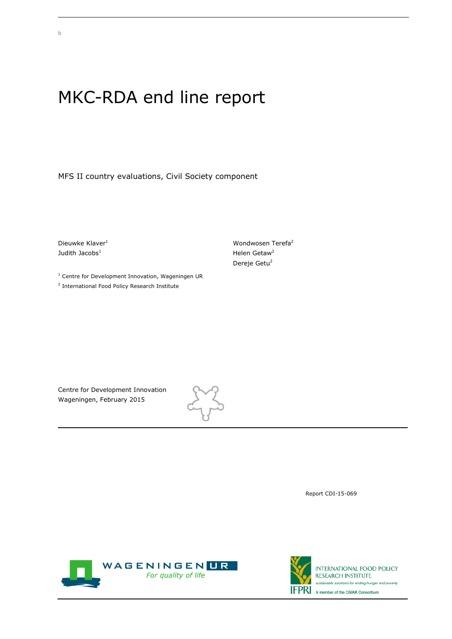## MKC-RDA end line report

MFS II country evaluations, Civil Society component

Dieuwke Klaver<sup>1</sup> Judith Jacobs $<sup>1</sup>$ </sup>

 $<sup>1</sup>$  Centre for Development Innovation, Wageningen UR</sup> <sup>2</sup> International Food Policy Research Institute

Wondwosen Terefa<sup>2</sup> Helen Getaw<sup>2</sup> Dereje Getu<sup>2</sup>

Centre for Development Innovation Wageningen, February 2015



Report CDI-15-069



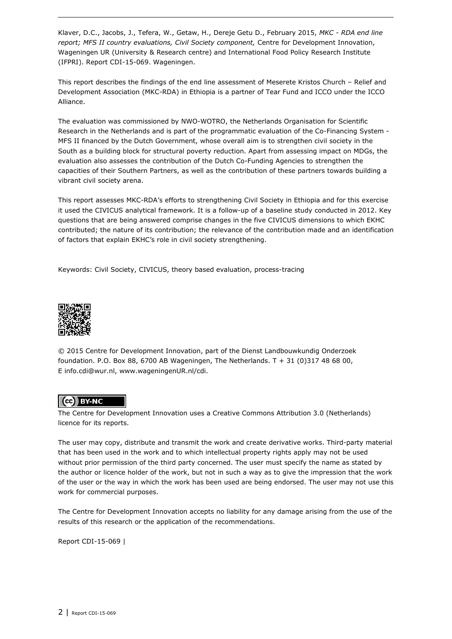Klaver, D.C., Jacobs, J., Tefera, W., Getaw, H., Dereje Getu D., February 2015, *MKC - RDA end line report; MFS II country evaluations, Civil Society component,* Centre for Development Innovation, Wageningen UR (University & Research centre) and International Food Policy Research Institute (IFPRI). Report CDI-15-069. Wageningen.

This report describes the findings of the end line assessment of Meserete Kristos Church – Relief and Development Association (MKC-RDA) in Ethiopia is a partner of Tear Fund and ICCO under the ICCO Alliance.

The evaluation was commissioned by NWO-WOTRO, the Netherlands Organisation for Scientific Research in the Netherlands and is part of the programmatic evaluation of the Co-Financing System - MFS II financed by the Dutch Government, whose overall aim is to strengthen civil society in the South as a building block for structural poverty reduction. Apart from assessing impact on MDGs, the evaluation also assesses the contribution of the Dutch Co-Funding Agencies to strengthen the capacities of their Southern Partners, as well as the contribution of these partners towards building a vibrant civil society arena.

This report assesses MKC-RDA's efforts to strengthening Civil Society in Ethiopia and for this exercise it used the CIVICUS analytical framework. It is a follow-up of a baseline study conducted in 2012. Key questions that are being answered comprise changes in the five CIVICUS dimensions to which EKHC contributed; the nature of its contribution; the relevance of the contribution made and an identification of factors that explain EKHC's role in civil society strengthening.

Keywords: Civil Society, CIVICUS, theory based evaluation, process-tracing



© 2015 Centre for Development Innovation, part of the Dienst Landbouwkundig Onderzoek foundation. P.O. Box 88, 6700 AB Wageningen, The Netherlands. T + 31 (0)317 48 68 00, E info.cdi@wur.nl, www.wageningenUR.nl/cdi.

### (cc) BY-NC

The Centre for Development Innovation uses a Creative Commons Attribution 3.0 (Netherlands) licence for its reports.

The user may copy, distribute and transmit the work and create derivative works. Third-party material that has been used in the work and to which intellectual property rights apply may not be used without prior permission of the third party concerned. The user must specify the name as stated by the author or licence holder of the work, but not in such a way as to give the impression that the work of the user or the way in which the work has been used are being endorsed. The user may not use this work for commercial purposes.

The Centre for Development Innovation accepts no liability for any damage arising from the use of the results of this research or the application of the recommendations.

Report CDI-15-069 |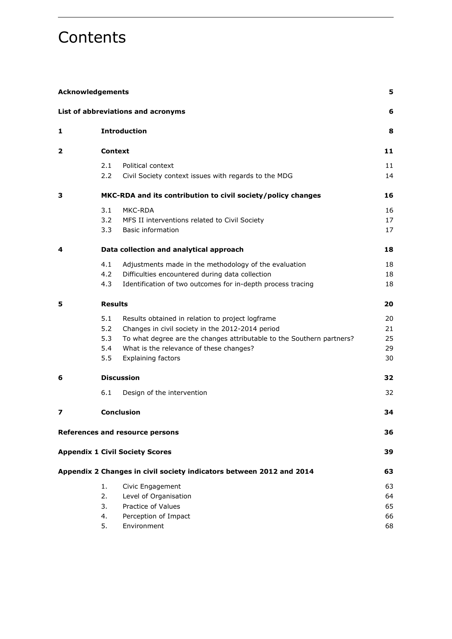## **Contents**

| <b>Acknowledgements</b> |                                 |                                                                                                                                                                                                                                                       | 5                          |
|-------------------------|---------------------------------|-------------------------------------------------------------------------------------------------------------------------------------------------------------------------------------------------------------------------------------------------------|----------------------------|
|                         |                                 | List of abbreviations and acronyms                                                                                                                                                                                                                    | 6                          |
| 1                       |                                 | <b>Introduction</b>                                                                                                                                                                                                                                   | 8                          |
| 2                       | <b>Context</b>                  |                                                                                                                                                                                                                                                       | 11                         |
|                         | 2.1<br>2.2                      | Political context<br>Civil Society context issues with regards to the MDG                                                                                                                                                                             | 11<br>14                   |
| з                       |                                 | MKC-RDA and its contribution to civil society/policy changes                                                                                                                                                                                          | 16                         |
|                         | 3.1<br>3.2<br>3.3               | MKC-RDA<br>MFS II interventions related to Civil Society<br><b>Basic information</b>                                                                                                                                                                  | 16<br>17<br>17             |
| 4                       |                                 | Data collection and analytical approach                                                                                                                                                                                                               | 18                         |
|                         | 4.1<br>4.2<br>4.3               | Adjustments made in the methodology of the evaluation<br>Difficulties encountered during data collection<br>Identification of two outcomes for in-depth process tracing                                                                               | 18<br>18<br>18             |
| 5                       | <b>Results</b>                  |                                                                                                                                                                                                                                                       | 20                         |
|                         | 5.1<br>5.2<br>5.3<br>5.4<br>5.5 | Results obtained in relation to project logframe<br>Changes in civil society in the 2012-2014 period<br>To what degree are the changes attributable to the Southern partners?<br>What is the relevance of these changes?<br><b>Explaining factors</b> | 20<br>21<br>25<br>29<br>30 |
| 6                       |                                 | <b>Discussion</b>                                                                                                                                                                                                                                     | 32                         |
|                         | 6.1                             | Design of the intervention                                                                                                                                                                                                                            | 32                         |
| 7                       |                                 | <b>Conclusion</b>                                                                                                                                                                                                                                     | 34                         |
|                         |                                 | <b>References and resource persons</b>                                                                                                                                                                                                                | 36                         |
|                         |                                 | <b>Appendix 1 Civil Society Scores</b>                                                                                                                                                                                                                | 39                         |
|                         |                                 | Appendix 2 Changes in civil society indicators between 2012 and 2014                                                                                                                                                                                  | 63                         |
|                         | 1.<br>2.<br>3.<br>4.<br>5.      | Civic Engagement<br>Level of Organisation<br>Practice of Values<br>Perception of Impact<br>Environment                                                                                                                                                | 63<br>64<br>65<br>66<br>68 |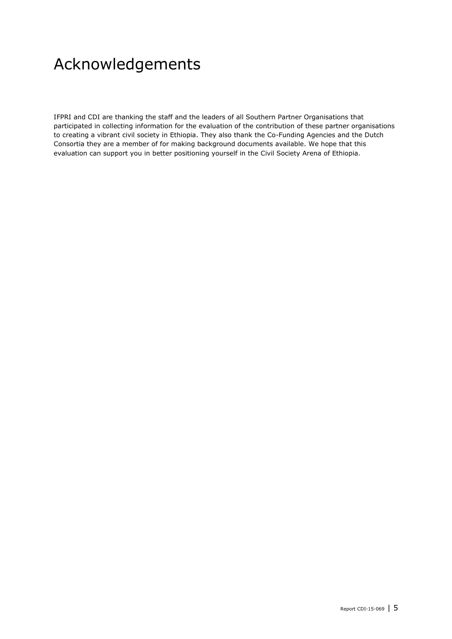## <span id="page-4-0"></span>Acknowledgements

IFPRI and CDI are thanking the staff and the leaders of all Southern Partner Organisations that participated in collecting information for the evaluation of the contribution of these partner organisations to creating a vibrant civil society in Ethiopia. They also thank the Co-Funding Agencies and the Dutch Consortia they are a member of for making background documents available. We hope that this evaluation can support you in better positioning yourself in the Civil Society Arena of Ethiopia.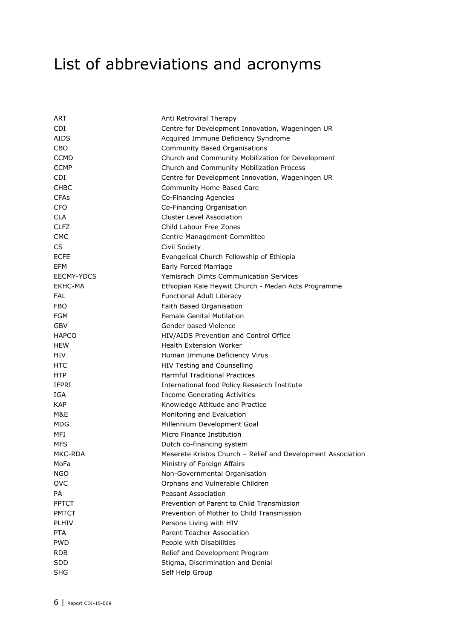# <span id="page-5-0"></span>List of abbreviations and acronyms

| ART          | Anti Retroviral Therapy                                      |
|--------------|--------------------------------------------------------------|
| CDI.         | Centre for Development Innovation, Wageningen UR             |
| <b>AIDS</b>  | Acquired Immune Deficiency Syndrome                          |
| CBO          | Community Based Organisations                                |
| <b>CCMD</b>  | Church and Community Mobilization for Development            |
| <b>CCMP</b>  | Church and Community Mobilization Process                    |
| CDI.         | Centre for Development Innovation, Wageningen UR             |
| <b>CHBC</b>  | Community Home Based Care                                    |
| <b>CFAs</b>  | Co-Financing Agencies                                        |
| <b>CFO</b>   | Co-Financing Organisation                                    |
| <b>CLA</b>   | <b>Cluster Level Association</b>                             |
| <b>CLFZ</b>  | Child Labour Free Zones                                      |
| <b>CMC</b>   | Centre Management Committee                                  |
| CS.          | Civil Society                                                |
| <b>ECFE</b>  | Evangelical Church Fellowship of Ethiopia                    |
| EFM          | Early Forced Marriage                                        |
| EECMY-YDCS   | <b>Yemisrach Dimts Communication Services</b>                |
| EKHC-MA      | Ethiopian Kale Heywit Church - Medan Acts Programme          |
| <b>FAL</b>   | <b>Functional Adult Literacy</b>                             |
| <b>FBO</b>   | Faith Based Organisation                                     |
| <b>FGM</b>   | <b>Female Genital Mutilation</b>                             |
| <b>GBV</b>   | Gender based Violence                                        |
| <b>HAPCO</b> | HIV/AIDS Prevention and Control Office                       |
| <b>HEW</b>   | <b>Health Extension Worker</b>                               |
| HIV          | Human Immune Deficiency Virus                                |
| HTC          | HIV Testing and Counselling                                  |
| <b>HTP</b>   | <b>Harmful Traditional Practices</b>                         |
| <b>IFPRI</b> | International food Policy Research Institute                 |
| IGA          | <b>Income Generating Activities</b>                          |
| <b>KAP</b>   | Knowledge Attitude and Practice                              |
| M&E          | Monitoring and Evaluation                                    |
| MDG          | Millennium Development Goal                                  |
| MFI          | Micro Finance Institution                                    |
| <b>MFS</b>   | Dutch co-financing system                                    |
| MKC-RDA      | Meserete Kristos Church - Relief and Development Association |
| MoFa         | Ministry of Foreign Affairs                                  |
| <b>NGO</b>   | Non-Governmental Organisation                                |
| <b>OVC</b>   | Orphans and Vulnerable Children                              |
| PA           | Peasant Association                                          |
| <b>PPTCT</b> | Prevention of Parent to Child Transmission                   |
| <b>PMTCT</b> | Prevention of Mother to Child Transmission                   |
| <b>PLHIV</b> | Persons Living with HIV                                      |
| <b>PTA</b>   | Parent Teacher Association                                   |
| <b>PWD</b>   | People with Disabilities                                     |
| RDB          | Relief and Development Program                               |
| <b>SDD</b>   | Stigma, Discrimination and Denial                            |
| <b>SHG</b>   | Self Help Group                                              |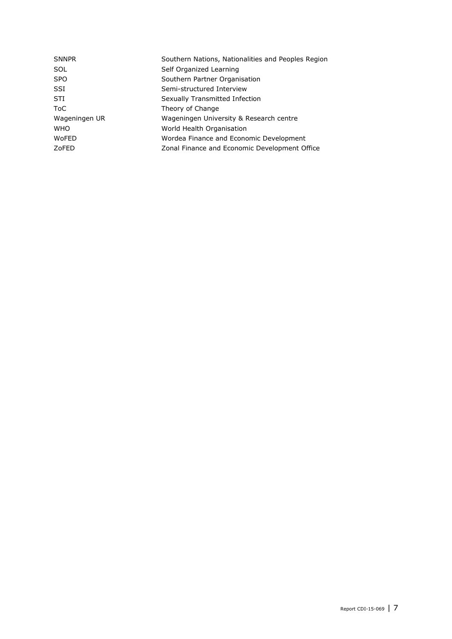| <b>SNNPR</b>  | Southern Nations, Nationalities and Peoples Region |
|---------------|----------------------------------------------------|
| SOL           | Self Organized Learning                            |
| <b>SPO</b>    | Southern Partner Organisation                      |
| SSI           | Semi-structured Interview                          |
| STI           | Sexually Transmitted Infection                     |
| ToC           | Theory of Change                                   |
| Wageningen UR | Wageningen University & Research centre            |
| <b>WHO</b>    | World Health Organisation                          |
| <b>WoFED</b>  | Wordea Finance and Economic Development            |
| ZoFED         | Zonal Finance and Economic Development Office      |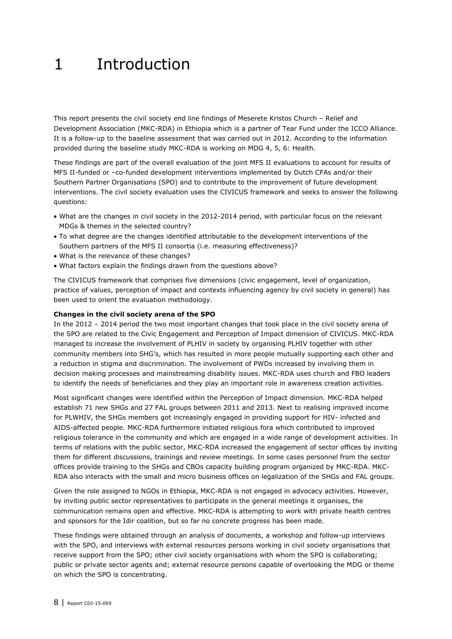## <span id="page-7-0"></span>1 Introduction

This report presents the civil society end line findings of Meserete Kristos Church – Relief and Development Association (MKC-RDA) in Ethiopia which is a partner of Tear Fund under the ICCO Alliance. It is a follow-up to the baseline assessment that was carried out in 2012. According to the information provided during the baseline study MKC-RDA is working on MDG 4, 5, 6: Health.

These findings are part of the overall evaluation of the joint MFS II evaluations to account for results of MFS II-funded or –co-funded development interventions implemented by Dutch CFAs and/or their Southern Partner Organisations (SPO) and to contribute to the improvement of future development interventions. The civil society evaluation uses the CIVICUS framework and seeks to answer the following questions:

- What are the changes in civil society in the 2012-2014 period, with particular focus on the relevant MDGs & themes in the selected country?
- To what degree are the changes identified attributable to the development interventions of the Southern partners of the MFS II consortia (i.e. measuring effectiveness)?
- What is the relevance of these changes?
- What factors explain the findings drawn from the questions above?

The CIVICUS framework that comprises five dimensions (civic engagement, level of organization, practice of values, perception of impact and contexts influencing agency by civil society in general) has been used to orient the evaluation methodology.

#### **Changes in the civil society arena of the SPO**

In the 2012 – 2014 period the two most important changes that took place in the civil society arena of the SPO are related to the Civic Engagement and Perception of Impact dimension of CIVICUS. MKC-RDA managed to increase the involvement of PLHIV in society by organising PLHIV together with other community members into SHG's, which has resulted in more people mutually supporting each other and a reduction in stigma and discrimination. The involvement of PWDs increased by involving them in decision making processes and mainstreaming disability issues. MKC-RDA uses church and FBO leaders to identify the needs of beneficiaries and they play an important role in awareness creation activities.

Most significant changes were identified within the Perception of Impact dimension. MKC-RDA helped establish 71 new SHGs and 27 FAL groups between 2011 and 2013. Next to realising improved income for PLWHIV, the SHGs members got increasingly engaged in providing support for HIV- infected and AIDS-affected people. MKC-RDA furthermore initiated religious fora which contributed to improved religious tolerance in the community and which are engaged in a wide range of development activities. In terms of relations with the public sector, MKC-RDA increased the engagement of sector offices by inviting them for different discussions, trainings and review meetings. In some cases personnel from the sector offices provide training to the SHGs and CBOs capacity building program organized by MKC-RDA. MKC-RDA also interacts with the small and micro business offices on legalization of the SHGs and FAL groups.

Given the role assigned to NGOs in Ethiopia, MKC-RDA is not engaged in advocacy activities. However, by inviting public sector representatives to participate in the general meetings it organises, the communication remains open and effective. MKC-RDA is attempting to work with private health centres and sponsors for the Idir coalition, but so far no concrete progress has been made.

These findings were obtained through an analysis of documents, a workshop and follow-up interviews with the SPO, and interviews with external resources persons working in civil society organisations that receive support from the SPO; other civil society organisations with whom the SPO is collaborating; public or private sector agents and; external resource persons capable of overlooking the MDG or theme on which the SPO is concentrating.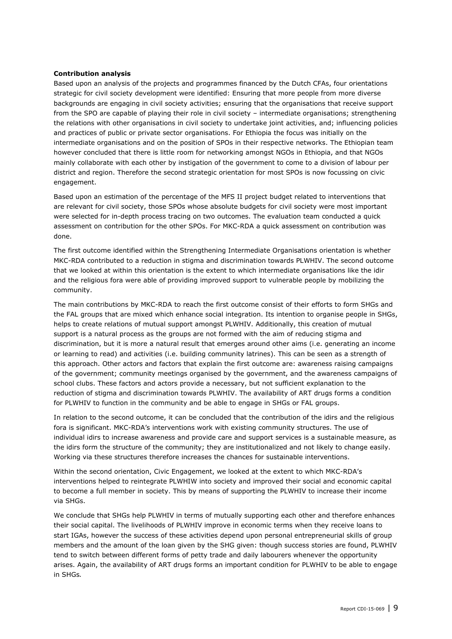#### **Contribution analysis**

Based upon an analysis of the projects and programmes financed by the Dutch CFAs, four orientations strategic for civil society development were identified: Ensuring that more people from more diverse backgrounds are engaging in civil society activities; ensuring that the organisations that receive support from the SPO are capable of playing their role in civil society – intermediate organisations; strengthening the relations with other organisations in civil society to undertake joint activities, and; influencing policies and practices of public or private sector organisations. For Ethiopia the focus was initially on the intermediate organisations and on the position of SPOs in their respective networks. The Ethiopian team however concluded that there is little room for networking amongst NGOs in Ethiopia, and that NGOs mainly collaborate with each other by instigation of the government to come to a division of labour per district and region. Therefore the second strategic orientation for most SPOs is now focussing on civic engagement.

Based upon an estimation of the percentage of the MFS II project budget related to interventions that are relevant for civil society, those SPOs whose absolute budgets for civil society were most important were selected for in-depth process tracing on two outcomes. The evaluation team conducted a quick assessment on contribution for the other SPOs. For MKC-RDA a quick assessment on contribution was done.

The first outcome identified within the Strengthening Intermediate Organisations orientation is whether MKC-RDA contributed to a reduction in stigma and discrimination towards PLWHIV. The second outcome that we looked at within this orientation is the extent to which intermediate organisations like the idir and the religious fora were able of providing improved support to vulnerable people by mobilizing the community.

The main contributions by MKC-RDA to reach the first outcome consist of their efforts to form SHGs and the FAL groups that are mixed which enhance social integration. Its intention to organise people in SHGs, helps to create relations of mutual support amongst PLWHIV. Additionally, this creation of mutual support is a natural process as the groups are not formed with the aim of reducing stigma and discrimination, but it is more a natural result that emerges around other aims (i.e. generating an income or learning to read) and activities (i.e. building community latrines). This can be seen as a strength of this approach. Other actors and factors that explain the first outcome are: awareness raising campaigns of the government; community meetings organised by the government, and the awareness campaigns of school clubs. These factors and actors provide a necessary, but not sufficient explanation to the reduction of stigma and discrimination towards PLWHIV. The availability of ART drugs forms a condition for PLWHIV to function in the community and be able to engage in SHGs or FAL groups.

In relation to the second outcome, it can be concluded that the contribution of the idirs and the religious fora is significant. MKC-RDA's interventions work with existing community structures. The use of individual idirs to increase awareness and provide care and support services is a sustainable measure, as the idirs form the structure of the community; they are institutionalized and not likely to change easily. Working via these structures therefore increases the chances for sustainable interventions.

Within the second orientation, Civic Engagement, we looked at the extent to which MKC-RDA's interventions helped to reintegrate PLWHIW into society and improved their social and economic capital to become a full member in society. This by means of supporting the PLWHIV to increase their income via SHGs.

We conclude that SHGs help PLWHIV in terms of mutually supporting each other and therefore enhances their social capital. The livelihoods of PLWHIV improve in economic terms when they receive loans to start IGAs, however the success of these activities depend upon personal entrepreneurial skills of group members and the amount of the loan given by the SHG given: though success stories are found, PLWHIV tend to switch between different forms of petty trade and daily labourers whenever the opportunity arises. Again, the availability of ART drugs forms an important condition for PLWHIV to be able to engage in SHGs*.*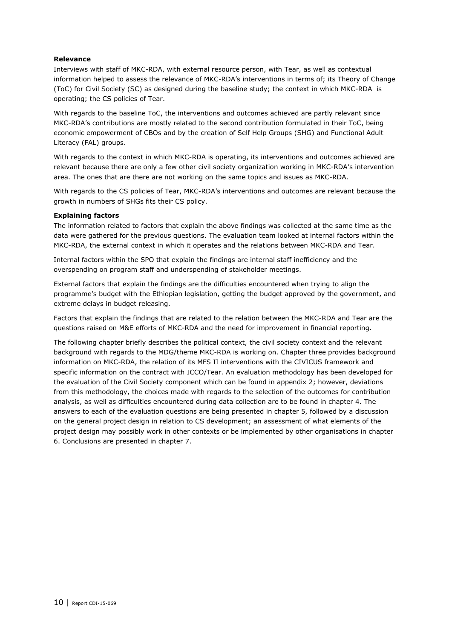#### **Relevance**

Interviews with staff of MKC-RDA, with external resource person, with Tear, as well as contextual information helped to assess the relevance of MKC-RDA's interventions in terms of; its Theory of Change (ToC) for Civil Society (SC) as designed during the baseline study; the context in which MKC-RDA is operating; the CS policies of Tear.

With regards to the baseline ToC, the interventions and outcomes achieved are partly relevant since MKC-RDA's contributions are mostly related to the second contribution formulated in their ToC, being economic empowerment of CBOs and by the creation of Self Help Groups (SHG) and Functional Adult Literacy (FAL) groups.

With regards to the context in which MKC-RDA is operating, its interventions and outcomes achieved are relevant because there are only a few other civil society organization working in MKC-RDA's intervention area. The ones that are there are not working on the same topics and issues as MKC-RDA.

With regards to the CS policies of Tear, MKC-RDA's interventions and outcomes are relevant because the growth in numbers of SHGs fits their CS policy.

#### **Explaining factors**

The information related to factors that explain the above findings was collected at the same time as the data were gathered for the previous questions. The evaluation team looked at internal factors within the MKC-RDA, the external context in which it operates and the relations between MKC-RDA and Tear.

Internal factors within the SPO that explain the findings are internal staff inefficiency and the overspending on program staff and underspending of stakeholder meetings.

External factors that explain the findings are the difficulties encountered when trying to align the programme's budget with the Ethiopian legislation, getting the budget approved by the government, and extreme delays in budget releasing.

Factors that explain the findings that are related to the relation between the MKC-RDA and Tear are the questions raised on M&E efforts of MKC-RDA and the need for improvement in financial reporting.

The following chapter briefly describes the political context, the civil society context and the relevant background with regards to the MDG/theme MKC-RDA is working on. Chapter three provides background information on MKC-RDA, the relation of its MFS II interventions with the CIVICUS framework and specific information on the contract with ICCO/Tear. An evaluation methodology has been developed for the evaluation of the Civil Society component which can be found in appendix 2; however, deviations from this methodology, the choices made with regards to the selection of the outcomes for contribution analysis, as well as difficulties encountered during data collection are to be found in chapter 4. The answers to each of the evaluation questions are being presented in chapter 5, followed by a discussion on the general project design in relation to CS development; an assessment of what elements of the project design may possibly work in other contexts or be implemented by other organisations in chapter 6. Conclusions are presented in chapter 7.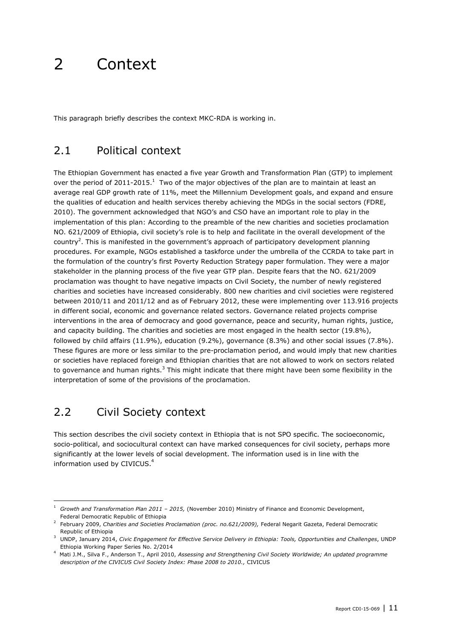## <span id="page-10-0"></span>2 Context

<span id="page-10-1"></span>This paragraph briefly describes the context MKC-RDA is working in.

## 2.1 Political context

The Ethiopian Government has enacted a five year Growth and Transformation Plan (GTP) to implement over the period of 2011-2015.<sup>1</sup> Two of the major objectives of the plan are to maintain at least an average real GDP growth rate of 11%, meet the Millennium Development goals, and expand and ensure the qualities of education and health services thereby achieving the MDGs in the social sectors (FDRE, 2010). The government acknowledged that NGO's and CSO have an important role to play in the implementation of this plan: According to the preamble of the new charities and societies proclamation NO. 621/2009 of Ethiopia, civil society's role is to help and facilitate in the overall development of the country<sup>2</sup>. This is manifested in the government's approach of participatory development planning procedures. For example, NGOs established a taskforce under the umbrella of the CCRDA to take part in the formulation of the country's first Poverty Reduction Strategy paper formulation. They were a major stakeholder in the planning process of the five year GTP plan. Despite fears that the NO. 621/2009 proclamation was thought to have negative impacts on Civil Society, the number of newly registered charities and societies have increased considerably. 800 new charities and civil societies were registered between 2010/11 and 2011/12 and as of February 2012, these were implementing over 113.916 projects in different social, economic and governance related sectors. Governance related projects comprise interventions in the area of democracy and good governance, peace and security, human rights, justice, and capacity building. The charities and societies are most engaged in the health sector (19.8%), followed by child affairs (11.9%), education (9.2%), governance (8.3%) and other social issues (7.8%). These figures are more or less similar to the pre-proclamation period, and would imply that new charities or societies have replaced foreign and Ethiopian charities that are not allowed to work on sectors related to governance and human rights.<sup>3</sup> This might indicate that there might have been some flexibility in the interpretation of some of the provisions of the proclamation.

## 2.2 Civil Society context

-

This section describes the civil society context in Ethiopia that is not SPO specific. The socioeconomic, socio-political, and sociocultural context can have marked consequences for civil society, perhaps more significantly at the lower levels of social development. The information used is in line with the information used by CIVICUS.<sup>4</sup>

<sup>1</sup> *Growth and Transformation Plan 2011 – 2015,* (November 2010) Ministry of Finance and Economic Development, Federal Democratic Republic of Ethiopia

<sup>2</sup> February 2009, *Charities and Societies Proclamation (proc. no.621/2009),* Federal Negarit Gazeta, Federal Democratic Republic of Ethiopia

<sup>3</sup> UNDP, January 2014, *Civic Engagement for Effective Service Delivery in Ethiopia: Tools, Opportunities and Challenges*, UNDP Ethiopia Working Paper Series No. 2/2014

<sup>4</sup> Mati J.M., Silva F., Anderson T., April 2010, *Assessing and Strengthening Civil Society Worldwide; An updated programme description of the CIVICUS Civil Society Index: Phase 2008 to 2010.,* CIVICUS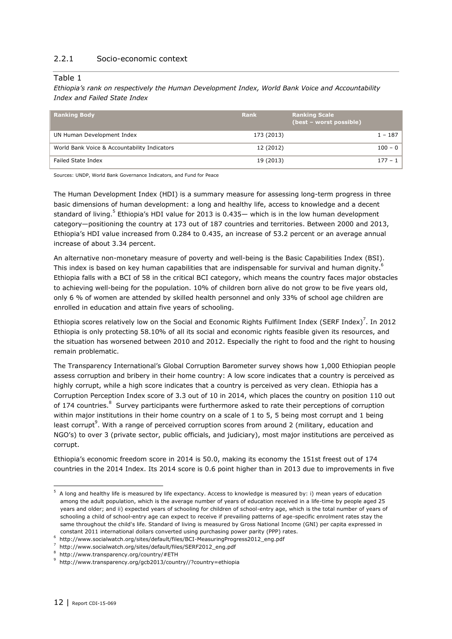#### 2.2.1 Socio-economic context

#### Table 1

*Ethiopia's rank on respectively the Human Development Index, World Bank Voice and Accountability Index and Failed State Index*

| <b>Ranking Body</b>                          | <b>Rank</b> | <b>Ranking Scale</b><br>(best - worst possible) |           |
|----------------------------------------------|-------------|-------------------------------------------------|-----------|
| UN Human Development Index                   | 173 (2013)  |                                                 | $1 - 187$ |
| World Bank Voice & Accountability Indicators | 12 (2012)   |                                                 | $100 - 0$ |
| Failed State Index                           | 19 (2013)   |                                                 | $177 - 1$ |

Sources: UNDP, World Bank Governance Indicators, and Fund for Peace

The Human Development Index (HDI) is a summary measure for assessing long-term progress in three basic dimensions of human development: a long and healthy life, access to knowledge and a decent standard of living.<sup>5</sup> Ethiopia's HDI value for 2013 is 0.435— which is in the low human development category—positioning the country at 173 out of 187 countries and territories. Between 2000 and 2013, Ethiopia's HDI value increased from 0.284 to 0.435, an increase of 53.2 percent or an average annual increase of about 3.34 percent.

An alternative non-monetary measure of poverty and well-being is the Basic Capabilities Index (BSI). This index is based on key human capabilities that are indispensable for survival and human dignity.<sup>6</sup> Ethiopia falls with a BCI of 58 in the critical BCI category, which means the country faces major obstacles to achieving well-being for the population. 10% of children born alive do not grow to be five years old, only 6 % of women are attended by skilled health personnel and only 33% of school age children are enrolled in education and attain five years of schooling.

Ethiopia scores relatively low on the Social and Economic Rights Fulfilment Index (SERF Index)<sup>7</sup>. In 2012 Ethiopia is only protecting 58.10% of all its social and economic rights feasible given its resources, and the situation has worsened between 2010 and 2012. Especially the right to food and the right to housing remain problematic.

The Transparency International's Global Corruption Barometer survey shows how 1,000 Ethiopian people assess corruption and bribery in their home country: A low score indicates that a country is perceived as highly corrupt, while a high score indicates that a country is perceived as very clean. Ethiopia has a Corruption Perception Index score of 3.3 out of 10 in 2014, which places the country on position 110 out of 174 countries.<sup>8</sup> Survey participants were furthermore asked to rate their perceptions of corruption within major institutions in their home country on a scale of 1 to 5, 5 being most corrupt and 1 being least corrupt<sup>9</sup>. With a range of perceived corruption scores from around 2 (military, education and NGO's) to over 3 (private sector, public officials, and judiciary), most major institutions are perceived as corrupt.

Ethiopia's economic freedom score in 2014 is 50.0, making its economy the 151st freest out of 174 countries in the 2014 Index. Its 2014 score is 0.6 point higher than in 2013 due to improvements in five

 $^5$  A long and healthy life is measured by life expectancy. Access to knowledge is measured by: i) mean years of education among the adult population, which is the average number of years of education received in a life-time by people aged 25 years and older; and ii) expected years of schooling for children of school-entry age, which is the total number of years of schooling a child of school-entry age can expect to receive if prevailing patterns of age-specific enrolment rates stay the same throughout the child's life. Standard of living is measured by Gross National Income (GNI) per capita expressed in constant 2011 international dollars converted using purchasing power parity (PPP) rates.

<sup>6</sup> [http://www.socialwatch.org/sites/default/files/BCI-MeasuringProgress2012\\_eng.pdf](http://www.socialwatch.org/sites/default/files/BCI-MeasuringProgress2012_eng.pdf)

<sup>7</sup> [http://www.socialwatch.org/sites/default/files/SERF2012\\_eng.pdf](http://www.socialwatch.org/sites/default/files/SERF2012_eng.pdf)

<sup>8</sup> http://www.transparency.org/country/#ETH

<sup>&</sup>lt;sup>9</sup> http://www.transparency.org/gcb2013/country//?country=ethiopia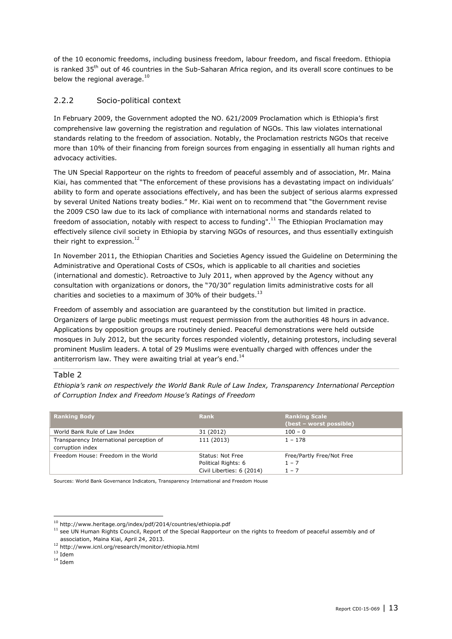of the 10 economic freedoms, including business freedom, labour freedom, and fiscal freedom. Ethiopia is ranked 35<sup>th</sup> out of 46 countries in the Sub-Saharan Africa region, and its overall score continues to be below the regional average.<sup>10</sup>

#### 2.2.2 Socio-political context

In February 2009, the Government adopted the NO. 621/2009 Proclamation which is Ethiopia's first comprehensive law governing the registration and regulation of NGOs. This law violates international standards relating to the freedom of association. Notably, the Proclamation restricts NGOs that receive more than 10% of their financing from foreign sources from engaging in essentially all human rights and advocacy activities.

The UN Special Rapporteur on the rights to freedom of peaceful assembly and of association, Mr. Maina Kiai, has commented that "The enforcement of these provisions has a devastating impact on individuals' ability to form and operate associations effectively, and has been the subject of serious alarms expressed by several United Nations treaty bodies." Mr. Kiai went on to recommend that "the Government revise the 2009 CSO law due to its lack of compliance with international norms and standards related to freedom of association, notably with respect to access to funding".<sup>11</sup> The Ethiopian Proclamation may effectively silence civil society in Ethiopia by starving NGOs of resources, and thus essentially extinguish their right to expression. $^{12}$ 

In November 2011, the Ethiopian Charities and Societies Agency issued the Guideline on Determining the Administrative and Operational Costs of CSOs, which is applicable to all charities and societies (international and domestic). Retroactive to July 2011, when approved by the Agency without any consultation with organizations or donors, the "70/30" regulation limits administrative costs for all charities and societies to a maximum of 30% of their budgets. $^{13}$ 

Freedom of assembly and association are guaranteed by the constitution but limited in practice. Organizers of large public meetings must request permission from the authorities 48 hours in advance. Applications by opposition groups are routinely denied. Peaceful demonstrations were held outside mosques in July 2012, but the security forces responded violently, detaining protestors, including several prominent Muslim leaders. A total of 29 Muslims were eventually charged with offences under the antiterrorism law. They were awaiting trial at year's end. $^{14}$ 

#### Table 2

*Ethiopia's rank on respectively the World Bank Rule of Law Index, Transparency International Perception of Corruption Index and Freedom House's Ratings of Freedom*

| <b>Ranking Body</b>                                          | <b>Rank</b>                                                          | <b>Ranking Scale</b><br>(best - worst possible) |
|--------------------------------------------------------------|----------------------------------------------------------------------|-------------------------------------------------|
| World Bank Rule of Law Index                                 | 31 (2012)                                                            | $100 - 0$                                       |
| Transparency International perception of<br>corruption index | 111 (2013)                                                           | $1 - 178$                                       |
| Freedom House: Freedom in the World                          | Status: Not Free<br>Political Rights: 6<br>Civil Liberties: 6 (2014) | Free/Partly Free/Not Free<br>$1 - 7$<br>$1 - 7$ |

Sources: World Bank Governance Indicators, Transparency International and Freedom House

 $^{10}$ <http://www.heritage.org/index/pdf/2014/countries/ethiopia.pdf>

 $11$  see UN Human Rights Council, Report of the Special Rapporteur on the rights to freedom of peaceful assembly and of association, Maina Kiai, April 24, 2013.

<sup>12</sup> <http://www.icnl.org/research/monitor/ethiopia.html>

<sup>13</sup> Idem

 $14$  Idem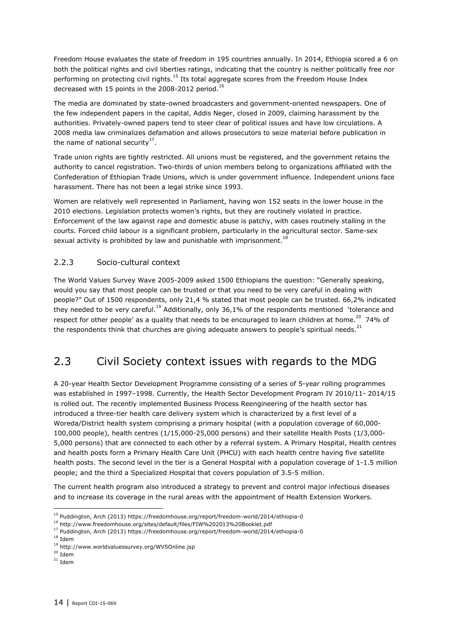Freedom House evaluates the state of freedom in 195 countries annually. In 2014, Ethiopia scored a 6 on both the political rights and civil liberties ratings, indicating that the country is neither politically free nor performing on protecting civil rights.<sup>15</sup> Its total aggregate scores from the Freedom House Index decreased with 15 points in the 2008-2012 period.<sup>16</sup>

The media are dominated by state-owned broadcasters and government-oriented newspapers. One of the few independent papers in the capital, Addis Neger, closed in 2009, claiming harassment by the authorities. Privately-owned papers tend to steer clear of political issues and have low circulations. A 2008 media law criminalizes defamation and allows prosecutors to seize material before publication in the name of national security<sup>17</sup>.

Trade union rights are tightly restricted. All unions must be registered, and the government retains the authority to cancel registration. Two-thirds of union members belong to organizations affiliated with the Confederation of Ethiopian Trade Unions, which is under government influence. Independent unions face harassment. There has not been a legal strike since 1993.

Women are relatively well represented in Parliament, having won 152 seats in the lower house in the 2010 elections. Legislation protects women's rights, but they are routinely violated in practice. Enforcement of the law against rape and domestic abuse is patchy, with cases routinely stalling in the courts. Forced child labour is a significant problem, particularly in the agricultural sector. Same-sex sexual activity is prohibited by law and punishable with imprisonment.<sup>18</sup>

#### 2.2.3 Socio-cultural context

The World Values Survey Wave 2005-2009 asked 1500 Ethiopians the question: "Generally speaking, would you say that most people can be trusted or that you need to be very careful in dealing with people?" Out of 1500 respondents, only 21,4 % stated that most people can be trusted. 66,2% indicated they needed to be very careful.<sup>19</sup> Additionally, only 36,1% of the respondents mentioned `tolerance and respect for other people' as a quality that needs to be encouraged to learn children at home.<sup>20</sup> 74% of the respondents think that churches are giving adequate answers to people's spiritual needs.<sup>21</sup>

## <span id="page-13-0"></span>2.3 Civil Society context issues with regards to the MDG

A 20-year [Health Sector Development Programme](http://phe-ethiopia.org/admin/uploads/attachment-721-HSDP%20IV%20Final%20Draft%2011Octoberr%202010.pdf) consisting of a series of 5-year rolling programmes was established in 1997-1998. Currently, the Health Sector Development Program IV 2010/11-2014/15 is rolled out. The recently implemented Business Process Reengineering of the health sector has introduced a three-tier health care delivery system which is characterized by a first level of a Woreda/District health system comprising a primary hospital (with a population coverage of 60,000- 100,000 people), health centres (1/15,000-25,000 persons) and their satellite Health Posts (1/3,000- 5,000 persons) that are connected to each other by a referral system. A Primary Hospital, Health centres and health posts form a Primary Health Care Unit (PHCU) with each health centre having five satellite health posts. The second level in the tier is a General Hospital with a population coverage of 1-1.5 million people; and the third a Specialized Hospital that covers population of 3.5-5 million.

The current health program also introduced a strategy to prevent and control major infectious diseases and to increase its coverage in the rural areas with the appointment of Health Extension Workers.

<sup>15</sup> Puddington, Arch (2013) https://freedomhouse.org/report/freedom-world/2014/ethiopia-0

<sup>16</sup> <http://www.freedomhouse.org/sites/default/files/FIW%202013%20Booklet.pdf>

<sup>17</sup> Puddington, Arch (2013) https://freedomhouse.org/report/freedom-world/2014/ethiopia-0 <sup>18</sup> Idem

<sup>19</sup> <http://www.worldvaluessurvey.org/WVSOnline.jsp>

 $20$  Idem

 $21$  Idem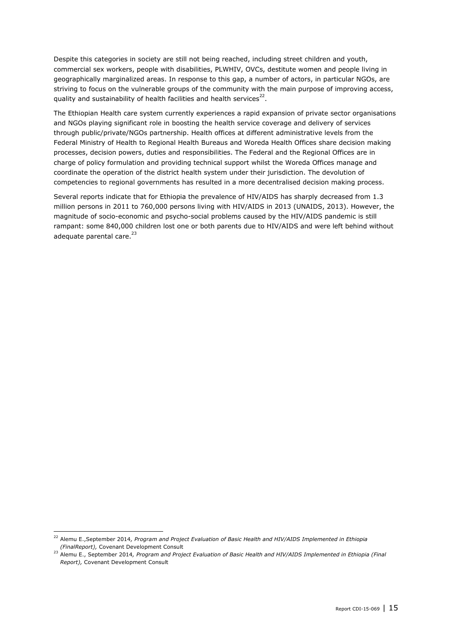Despite this categories in society are still not being reached, including street children and youth, commercial sex workers, people with disabilities, PLWHIV, OVCs, destitute women and people living in geographically marginalized areas. In response to this gap, a number of actors, in particular NGOs, are striving to focus on the vulnerable groups of the community with the main purpose of improving access, quality and sustainability of health facilities and health services<sup>22</sup>.

The Ethiopian Health care system currently experiences a rapid expansion of private sector organisations and NGOs playing significant role in boosting the health service coverage and delivery of services through public/private/NGOs partnership. Health offices at different administrative levels from the Federal Ministry of Health to Regional Health Bureaus and Woreda Health Offices share decision making processes, decision powers, duties and responsibilities. The Federal and the Regional Offices are in charge of policy formulation and providing technical support whilst the Woreda Offices manage and coordinate the operation of the district health system under their jurisdiction. The devolution of competencies to regional governments has resulted in a more decentralised decision making process.

Several reports indicate that for Ethiopia the prevalence of HIV/AIDS has sharply decreased from 1.3 million persons in 2011 to 760,000 persons living with HIV/AIDS in 2013 (UNAIDS, 2013). However, the magnitude of socio-economic and psycho-social problems caused by the HIV/AIDS pandemic is still rampant: some 840,000 children lost one or both parents due to HIV/AIDS and were left behind without adequate parental care.<sup>23</sup>

<sup>22</sup> Alemu E.,September 2014*, Program and Project Evaluation of Basic Health and HIV/AIDS Implemented in Ethiopia (FinalReport),* Covenant Development Consult

<sup>23</sup> Alemu E., September 2014*, Program and Project Evaluation of Basic Health and HIV/AIDS Implemented in Ethiopia (Final Report),* Covenant Development Consult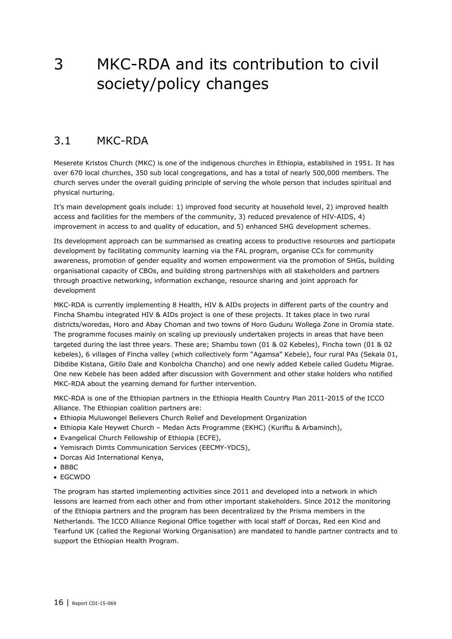## <span id="page-15-0"></span>3 MKC-RDA and its contribution to civil society/policy changes

### <span id="page-15-1"></span>3.1 MKC-RDA

Meserete Kristos Church (MKC) is one of the indigenous churches in Ethiopia, established in 1951. It has over 670 local churches, 350 sub local congregations, and has a total of nearly 500,000 members. The church serves under the overall guiding principle of serving the whole person that includes spiritual and physical nurturing.

It's main development goals include: 1) improved food security at household level, 2) improved health access and facilities for the members of the community, 3) reduced prevalence of HIV-AIDS, 4) improvement in access to and quality of education, and 5) enhanced SHG development schemes.

Its development approach can be summarised as creating access to productive resources and participate development by facilitating community learning via the FAL program, organise CCs for community awareness, promotion of gender equality and women empowerment via the promotion of SHGs, building organisational capacity of CBOs, and building strong partnerships with all stakeholders and partners through proactive networking, information exchange, resource sharing and joint approach for development

MKC-RDA is currently implementing 8 Health, HIV & AIDs projects in different parts of the country and Fincha Shambu integrated HIV & AIDs project is one of these projects. It takes place in two rural districts/woredas, Horo and Abay Choman and two towns of Horo Guduru Wollega Zone in Oromia state. The programme focuses mainly on scaling up previously undertaken projects in areas that have been targeted during the last three years. These are; Shambu town (01 & 02 Kebeles), Fincha town (01 & 02 kebeles), 6 villages of Fincha valley (which collectively form "Agamsa" Kebele), four rural PAs (Sekala 01, Dibdibe Kistana, Gitilo Dale and Konbolcha Chancho) and one newly added Kebele called Gudetu Migrae. One new Kebele has been added after discussion with Government and other stake holders who notified MKC-RDA about the yearning demand for further intervention.

MKC-RDA is one of the Ethiopian partners in the Ethiopia Health Country Plan 2011-2015 of the ICCO Alliance. The Ethiopian coalition partners are:

- Ethiopia Muluwongel Believers Church Relief and Development Organization
- Ethiopia Kale Heywet Church Medan Acts Programme (EKHC) (Kuriftu & Arbaminch),
- Evangelical Church Fellowship of Ethiopia (ECFE),
- Yemisrach Dimts Communication Services (EECMY-YDCS),
- Dorcas Aid International Kenya,
- $-BBBC$
- EGCWDO

The program has started implementing activities since 2011 and developed into a network in which lessons are learned from each other and from other important stakeholders. Since 2012 the monitoring of the Ethiopia partners and the program has been decentralized by the Prisma members in the Netherlands. The ICCO Alliance Regional Office together with local staff of Dorcas, Red een Kind and Tearfund UK (called the Regional Working Organisation) are mandated to handle partner contracts and to support the Ethiopian Health Program.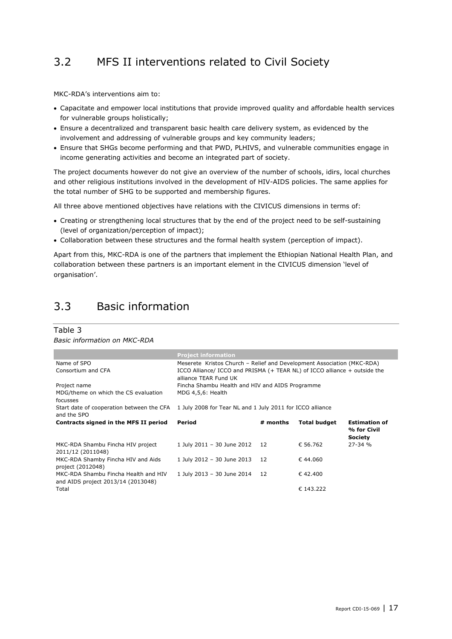## <span id="page-16-0"></span>3.2 MFS II interventions related to Civil Society

MKC-RDA's interventions aim to:

- Capacitate and empower local institutions that provide improved quality and affordable health services for vulnerable groups holistically;
- Ensure a decentralized and transparent basic health care delivery system, as evidenced by the involvement and addressing of vulnerable groups and key community leaders;
- Ensure that SHGs become performing and that PWD, PLHIVS, and vulnerable communities engage in income generating activities and become an integrated part of society.

The project documents however do not give an overview of the number of schools, idirs, local churches and other religious institutions involved in the development of HIV-AIDS policies. The same applies for the total number of SHG to be supported and membership figures.

All three above mentioned objectives have relations with the CIVICUS dimensions in terms of:

- Creating or strengthening local structures that by the end of the project need to be self-sustaining (level of organization/perception of impact);
- Collaboration between these structures and the formal health system (perception of impact).

Apart from this, MKC-RDA is one of the partners that implement the Ethiopian National Health Plan, and collaboration between these partners is an important element in the CIVICUS dimension 'level of organisation'.

## <span id="page-16-1"></span>3.3 Basic information

#### Table 3

*Basic information on MKC-RDA*

|                                                                            | <b>Project information</b>                                                                                                                                                   |          |                     |                                                       |
|----------------------------------------------------------------------------|------------------------------------------------------------------------------------------------------------------------------------------------------------------------------|----------|---------------------|-------------------------------------------------------|
| Name of SPO<br>Consortium and CFA                                          | Meserete Kristos Church - Relief and Development Association (MKC-RDA)<br>ICCO Alliance/ ICCO and PRISMA (+ TEAR NL) of ICCO alliance + outside the<br>alliance TEAR Fund UK |          |                     |                                                       |
| Project name                                                               | Fincha Shambu Health and HIV and AIDS Programme                                                                                                                              |          |                     |                                                       |
| MDG/theme on which the CS evaluation<br>focusses                           | MDG 4,5,6: Health                                                                                                                                                            |          |                     |                                                       |
| Start date of cooperation between the CFA<br>and the SPO                   | 1 July 2008 for Tear NL and 1 July 2011 for ICCO alliance                                                                                                                    |          |                     |                                                       |
| Contracts signed in the MFS II period                                      | Period                                                                                                                                                                       | # months | <b>Total budget</b> | <b>Estimation of</b><br>% for Civil<br><b>Society</b> |
| MKC-RDA Shambu Fincha HIV project<br>2011/12 (2011048)                     | 1 July 2011 - 30 June 2012                                                                                                                                                   | 12       | € 56.762            | 27-34 %                                               |
| MKC-RDA Shamby Fincha HIV and Aids<br>project (2012048)                    | 1 July 2012 - 30 June 2013                                                                                                                                                   | 12       | € 44.060            |                                                       |
| MKC-RDA Shambu Fincha Health and HIV<br>and AIDS project 2013/14 (2013048) | 1 July 2013 - 30 June 2014                                                                                                                                                   | 12       | €42.400             |                                                       |
| Total                                                                      |                                                                                                                                                                              |          | € 143.222           |                                                       |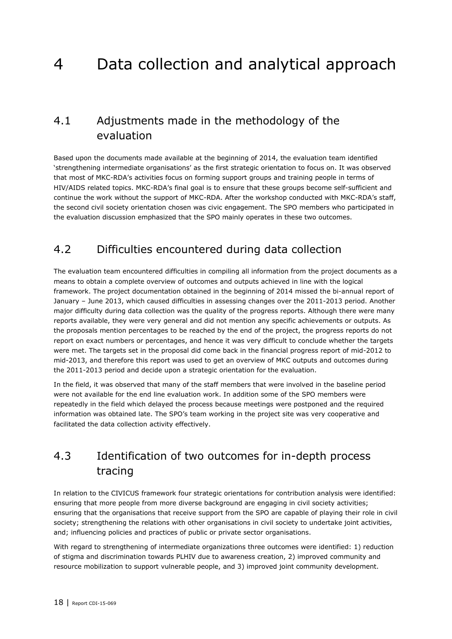## <span id="page-17-0"></span>4 Data collection and analytical approach

## <span id="page-17-1"></span>4.1 Adjustments made in the methodology of the evaluation

Based upon the documents made available at the beginning of 2014, the evaluation team identified 'strengthening intermediate organisations' as the first strategic orientation to focus on. It was observed that most of MKC-RDA's activities focus on forming support groups and training people in terms of HIV/AIDS related topics. MKC-RDA's final goal is to ensure that these groups become self-sufficient and continue the work without the support of MKC-RDA. After the workshop conducted with MKC-RDA's staff, the second civil society orientation chosen was civic engagement. The SPO members who participated in the evaluation discussion emphasized that the SPO mainly operates in these two outcomes.

### <span id="page-17-2"></span>4.2 Difficulties encountered during data collection

The evaluation team encountered difficulties in compiling all information from the project documents as a means to obtain a complete overview of outcomes and outputs achieved in line with the logical framework. The project documentation obtained in the beginning of 2014 missed the bi-annual report of January – June 2013, which caused difficulties in assessing changes over the 2011-2013 period. Another major difficulty during data collection was the quality of the progress reports. Although there were many reports available, they were very general and did not mention any specific achievements or outputs. As the proposals mention percentages to be reached by the end of the project, the progress reports do not report on exact numbers or percentages, and hence it was very difficult to conclude whether the targets were met. The targets set in the proposal did come back in the financial progress report of mid-2012 to mid-2013, and therefore this report was used to get an overview of MKC outputs and outcomes during the 2011-2013 period and decide upon a strategic orientation for the evaluation.

In the field, it was observed that many of the staff members that were involved in the baseline period were not available for the end line evaluation work. In addition some of the SPO members were repeatedly in the field which delayed the process because meetings were postponed and the required information was obtained late. The SPO's team working in the project site was very cooperative and facilitated the data collection activity effectively.

## <span id="page-17-3"></span>4.3 Identification of two outcomes for in-depth process tracing

In relation to the CIVICUS framework four strategic orientations for contribution analysis were identified: ensuring that more people from more diverse background are engaging in civil society activities; ensuring that the organisations that receive support from the SPO are capable of playing their role in civil society; strengthening the relations with other organisations in civil society to undertake joint activities, and; influencing policies and practices of public or private sector organisations.

With regard to strengthening of intermediate organizations three outcomes were identified: 1) reduction of stigma and discrimination towards PLHIV due to awareness creation, 2) improved community and resource mobilization to support vulnerable people, and 3) improved joint community development.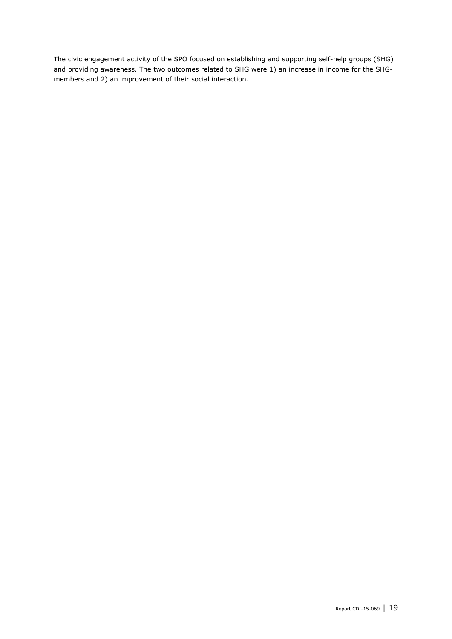The civic engagement activity of the SPO focused on establishing and supporting self-help groups (SHG) and providing awareness. The two outcomes related to SHG were 1) an increase in income for the SHGmembers and 2) an improvement of their social interaction.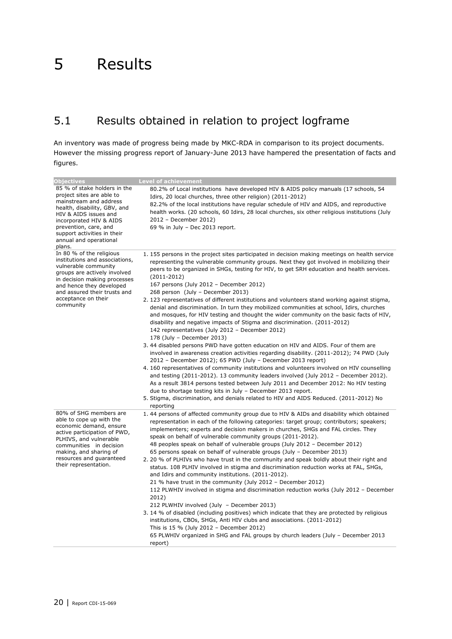## <span id="page-19-1"></span><span id="page-19-0"></span>5.1 Results obtained in relation to project logframe

An inventory was made of progress being made by MKC-RDA in comparison to its project documents. However the missing progress report of January-June 2013 have hampered the presentation of facts and figures.

| <b>Objectives</b>                                                                                                                                                                                                                                                   | <b>Level of achievement</b>                                                                                                                                                                                                                                                                                                                                                                                                                                                                                                                                                                                                                                                                                                                                                                                                                                                                                                                                                                                                                                                                                                                                                                                                                                                                                                                                                                                                                                                                                                            |
|---------------------------------------------------------------------------------------------------------------------------------------------------------------------------------------------------------------------------------------------------------------------|----------------------------------------------------------------------------------------------------------------------------------------------------------------------------------------------------------------------------------------------------------------------------------------------------------------------------------------------------------------------------------------------------------------------------------------------------------------------------------------------------------------------------------------------------------------------------------------------------------------------------------------------------------------------------------------------------------------------------------------------------------------------------------------------------------------------------------------------------------------------------------------------------------------------------------------------------------------------------------------------------------------------------------------------------------------------------------------------------------------------------------------------------------------------------------------------------------------------------------------------------------------------------------------------------------------------------------------------------------------------------------------------------------------------------------------------------------------------------------------------------------------------------------------|
| 85 % of stake holders in the<br>project sites are able to<br>mainstream and address<br>health, disability, GBV, and<br>HIV & AIDS issues and<br>incorporated HIV & AIDS<br>prevention, care, and<br>support activities in their<br>annual and operational<br>plans. | 80.2% of Local institutions have developed HIV & AIDS policy manuals (17 schools, 54<br>Idirs, 20 local churches, three other religion) (2011-2012)<br>82.2% of the local institutions have regular schedule of HIV and AIDS, and reproductive<br>health works. (20 schools, 60 Idirs, 28 local churches, six other religious institutions (July<br>2012 - December 2012)<br>69 % in July - Dec 2013 report.                                                                                                                                                                                                                                                                                                                                                                                                                                                                                                                                                                                                                                                                                                                                                                                                                                                                                                                                                                                                                                                                                                                           |
| In 80 % of the religious<br>institutions and associations,<br>vulnerable community<br>groups are actively involved<br>in decision making processes<br>and hence they developed<br>and assured their trusts and<br>acceptance on their<br>community                  | 1.155 persons in the project sites participated in decision making meetings on health service<br>representing the vulnerable community groups. Next they got involved in mobilizing their<br>peers to be organized in SHGs, testing for HIV, to get SRH education and health services.<br>$(2011 - 2012)$<br>167 persons (July 2012 - December 2012)<br>268 person (July - December 2013)<br>2. 123 representatives of different institutions and volunteers stand working against stigma,<br>denial and discrimination. In turn they mobilized communities at school, Idirs, churches<br>and mosques, for HIV testing and thought the wider community on the basic facts of HIV,<br>disability and negative impacts of Stigma and discrimination. (2011-2012)<br>142 representatives (July 2012 - December 2012)<br>178 (July - December 2013)<br>3.44 disabled persons PWD have gotten education on HIV and AIDS. Four of them are<br>involved in awareness creation activities regarding disability. (2011-2012); 74 PWD (July<br>2012 - December 2012); 65 PWD (July - December 2013 report)<br>4.160 representatives of community institutions and volunteers involved on HIV counselling<br>and testing (2011-2012). 13 community leaders involved (July 2012 - December 2012).<br>As a result 3814 persons tested between July 2011 and December 2012: No HIV testing<br>due to shortage testing kits in July - December 2013 report.<br>5. Stigma, discrimination, and denials related to HIV and AIDS Reduced. (2011-2012) No |
| 80% of SHG members are<br>able to cope up with the<br>economic demand, ensure<br>active participation of PWD,<br>PLHIVS, and vulnerable<br>communities in decision<br>making, and sharing of<br>resources and guaranteed<br>their representation.                   | reporting<br>1.44 persons of affected community group due to HIV & AIDs and disability which obtained<br>representation in each of the following categories: target group; contributors; speakers;<br>implementers; experts and decision makers in churches, SHGs and FAL circles. They<br>speak on behalf of vulnerable community groups (2011-2012).<br>48 peoples speak on behalf of vulnerable groups (July 2012 - December 2012)<br>65 persons speak on behalf of vulnerable groups (July - December 2013)<br>2. 20 % of PLHIVs who have trust in the community and speak boldly about their right and<br>status. 108 PLHIV involved in stigma and discrimination reduction works at FAL, SHGs,<br>and Idirs and community institutions. (2011-2012).<br>21 % have trust in the community (July 2012 - December 2012)<br>112 PLWHIV involved in stigma and discrimination reduction works (July 2012 - December<br>2012)<br>212 PLWHIV involved (July - December 2013)<br>3.14 % of disabled (including positives) which indicate that they are protected by religious<br>institutions, CBOs, SHGs, Anti HIV clubs and associations. (2011-2012)<br>This is 15 % (July 2012 - December 2012)<br>65 PLWHIV organized in SHG and FAL groups by church leaders (July - December 2013<br>report)                                                                                                                                                                                                                                      |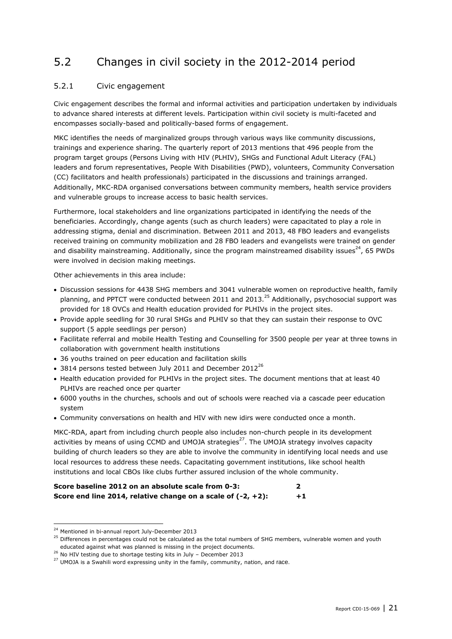## <span id="page-20-0"></span>5.2 Changes in civil society in the 2012-2014 period

#### 5.2.1 Civic engagement

Civic engagement describes the formal and informal activities and participation undertaken by individuals to advance shared interests at different levels. Participation within civil society is multi-faceted and encompasses socially-based and politically-based forms of engagement.

MKC identifies the needs of marginalized groups through various ways like community discussions, trainings and experience sharing. The quarterly report of 2013 mentions that 496 people from the program target groups (Persons Living with HIV (PLHIV), SHGs and Functional Adult Literacy (FAL) leaders and forum representatives, People With Disabilities (PWD), volunteers, Community Conversation (CC) facilitators and health professionals) participated in the discussions and trainings arranged. Additionally, MKC-RDA organised conversations between community members, health service providers and vulnerable groups to increase access to basic health services.

Furthermore, local stakeholders and line organizations participated in identifying the needs of the beneficiaries. Accordingly, change agents (such as church leaders) were capacitated to play a role in addressing stigma, denial and discrimination. Between 2011 and 2013, 48 FBO leaders and evangelists received training on community mobilization and 28 FBO leaders and evangelists were trained on gender and disability mainstreaming. Additionally, since the program mainstreamed disability issues<sup>24</sup>, 65 PWDs were involved in decision making meetings.

Other achievements in this area include:

- Discussion sessions for 4438 SHG members and 3041 vulnerable women on reproductive health, family planning, and PPTCT were conducted between 2011 and 2013.<sup>25</sup> Additionally, psychosocial support was provided for 18 OVCs and Health education provided for PLHIVs in the project sites.
- Provide apple seedling for 30 rural SHGs and PLHIV so that they can sustain their response to OVC support (5 apple seedlings per person)
- Facilitate referral and mobile Health Testing and Counselling for 3500 people per year at three towns in collaboration with government health institutions
- 36 youths trained on peer education and facilitation skills
- $\bullet$  3814 persons tested between July 2011 and December 2012<sup>26</sup>
- Health education provided for PLHIVs in the project sites. The document mentions that at least 40 PLHIVs are reached once per quarter
- 6000 youths in the churches, schools and out of schools were reached via a cascade peer education system
- Community conversations on health and HIV with new idirs were conducted once a month.

MKC-RDA, apart from including church people also includes non-church people in its development activities by means of using CCMD and UMOJA strategies $^{27}$ . The UMOJA strategy involves capacity building of church leaders so they are able to involve the community in identifying local needs and use local resources to address these needs. Capacitating government institutions, like school health institutions and local CBOs like clubs further assured inclusion of the whole community.

| Score baseline 2012 on an absolute scale from 0-3:              |      |
|-----------------------------------------------------------------|------|
| Score end line 2014, relative change on a scale of $(-2, +2)$ : | $+1$ |

<sup>&</sup>lt;sup>24</sup> Mentioned in bi-annual report July-December 2013

<sup>&</sup>lt;sup>25</sup> Differences in percentages could not be calculated as the total numbers of SHG members, vulnerable women and youth educated against what was planned is missing in the project documents.

<sup>&</sup>lt;sup>26</sup> No HIV testing due to shortage testing kits in July – December 2013

<sup>&</sup>lt;sup>27</sup> UMOJA is a Swahili word expressing unity in the family, community, nation, and race.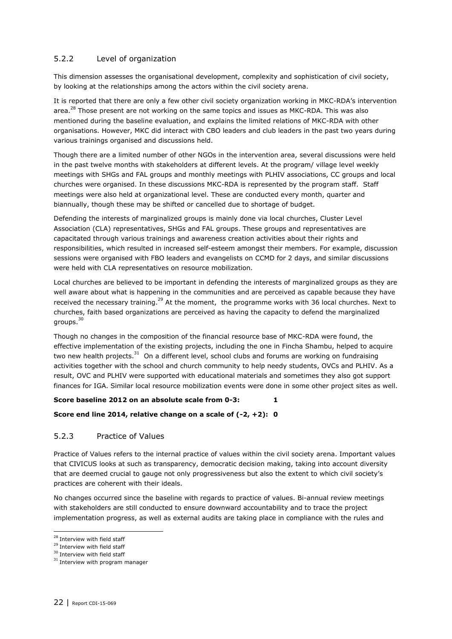#### 5.2.2 Level of organization

This dimension assesses the organisational development, complexity and sophistication of civil society, by looking at the relationships among the actors within the civil society arena.

It is reported that there are only a few other civil society organization working in MKC-RDA's intervention area.<sup>28</sup> Those present are not working on the same topics and issues as MKC-RDA. This was also mentioned during the baseline evaluation, and explains the limited relations of MKC-RDA with other organisations. However, MKC did interact with CBO leaders and club leaders in the past two years during various trainings organised and discussions held.

Though there are a limited number of other NGOs in the intervention area, several discussions were held in the past twelve months with stakeholders at different levels. At the program/ village level weekly meetings with SHGs and FAL groups and monthly meetings with PLHIV associations, CC groups and local churches were organised. In these discussions MKC-RDA is represented by the program staff. Staff meetings were also held at organizational level. These are conducted every month, quarter and biannually, though these may be shifted or cancelled due to shortage of budget.

Defending the interests of marginalized groups is mainly done via local churches, Cluster Level Association (CLA) representatives, SHGs and FAL groups. These groups and representatives are capacitated through various trainings and awareness creation activities about their rights and responsibilities, which resulted in increased self-esteem amongst their members. For example, discussion sessions were organised with FBO leaders and evangelists on CCMD for 2 days, and similar discussions were held with CLA representatives on resource mobilization.

Local churches are believed to be important in defending the interests of marginalized groups as they are well aware about what is happening in the communities and are perceived as capable because they have received the necessary training.<sup>29</sup> At the moment, the programme works with 36 local churches. Next to churches, faith based organizations are perceived as having the capacity to defend the marginalized groups. 30

Though no changes in the composition of the financial resource base of MKC-RDA were found, the effective implementation of the existing projects, including the one in Fincha Shambu, helped to acquire two new health projects.<sup>31</sup> On a different level, school clubs and forums are working on fundraising activities together with the school and church community to help needy students, OVCs and PLHIV. As a result, OVC and PLHIV were supported with educational materials and sometimes they also got support finances for IGA. Similar local resource mobilization events were done in some other project sites as well.

#### **Score baseline 2012 on an absolute scale from 0-3:** 1

#### **Score end line 2014, relative change on a scale of (-2, +2): 0**

#### 5.2.3 Practice of Values

Practice of Values refers to the internal practice of values within the civil society arena. Important values that CIVICUS looks at such as transparency, democratic decision making, taking into account diversity that are deemed crucial to gauge not only progressiveness but also the extent to which civil society's practices are coherent with their ideals.

No changes occurred since the baseline with regards to practice of values. Bi-annual review meetings with stakeholders are still conducted to ensure downward accountability and to trace the project implementation progress, as well as external audits are taking place in compliance with the rules and

<sup>&</sup>lt;sup>28</sup> Interview with field staff

<sup>&</sup>lt;sup>29</sup> Interview with field staff

<sup>&</sup>lt;sup>30</sup> Interview with field staff

<sup>&</sup>lt;sup>31</sup> Interview with program manager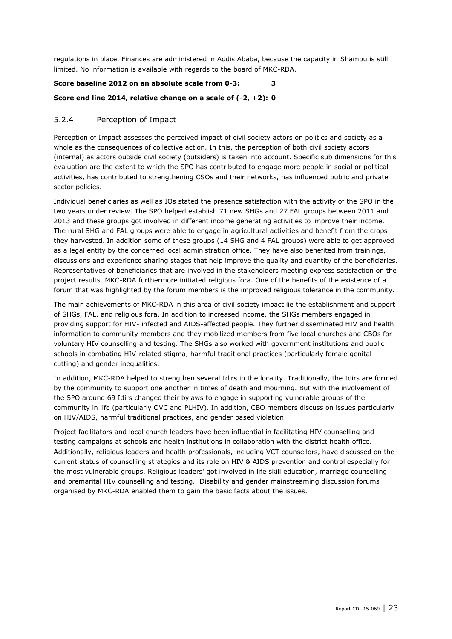regulations in place. Finances are administered in Addis Ababa, because the capacity in Shambu is still limited. No information is available with regards to the board of MKC-RDA.

#### **Score baseline 2012 on an absolute scale from 0-3: 3**

#### **Score end line 2014, relative change on a scale of (-2, +2): 0**

#### 5.2.4 Perception of Impact

Perception of Impact assesses the perceived impact of civil society actors on politics and society as a whole as the consequences of collective action. In this, the perception of both civil society actors (internal) as actors outside civil society (outsiders) is taken into account. Specific sub dimensions for this evaluation are the extent to which the SPO has contributed to engage more people in social or political activities, has contributed to strengthening CSOs and their networks, has influenced public and private sector policies.

Individual beneficiaries as well as IOs stated the presence satisfaction with the activity of the SPO in the two years under review. The SPO helped establish 71 new SHGs and 27 FAL groups between 2011 and 2013 and these groups got involved in different income generating activities to improve their income. The rural SHG and FAL groups were able to engage in agricultural activities and benefit from the crops they harvested. In addition some of these groups (14 SHG and 4 FAL groups) were able to get approved as a legal entity by the concerned local administration office. They have also benefited from trainings, discussions and experience sharing stages that help improve the quality and quantity of the beneficiaries. Representatives of beneficiaries that are involved in the stakeholders meeting express satisfaction on the project results. MKC-RDA furthermore initiated religious fora. One of the benefits of the existence of a forum that was highlighted by the forum members is the improved religious tolerance in the community.

The main achievements of MKC-RDA in this area of civil society impact lie the establishment and support of SHGs, FAL, and religious fora. In addition to increased income, the SHGs members engaged in providing support for HIV- infected and AIDS-affected people. They further disseminated HIV and health information to community members and they mobilized members from five local churches and CBOs for voluntary HIV counselling and testing. The SHGs also worked with government institutions and public schools in combating HIV-related stigma, harmful traditional practices (particularly female genital cutting) and gender inequalities.

In addition, MKC-RDA helped to strengthen several Idirs in the locality. Traditionally, the Idirs are formed by the community to support one another in times of death and mourning. But with the involvement of the SPO around 69 Idirs changed their bylaws to engage in supporting vulnerable groups of the community in life (particularly OVC and PLHIV). In addition, CBO members discuss on issues particularly on HIV/AIDS, harmful traditional practices, and gender based violation

Project facilitators and local church leaders have been influential in facilitating HIV counselling and testing campaigns at schools and health institutions in collaboration with the district health office. Additionally, religious leaders and health professionals, including VCT counsellors, have discussed on the current status of counselling strategies and its role on HIV & AIDS prevention and control especially for the most vulnerable groups. Religious leaders' got involved in life skill education, marriage counselling and premarital HIV counselling and testing. Disability and gender mainstreaming discussion forums organised by MKC-RDA enabled them to gain the basic facts about the issues.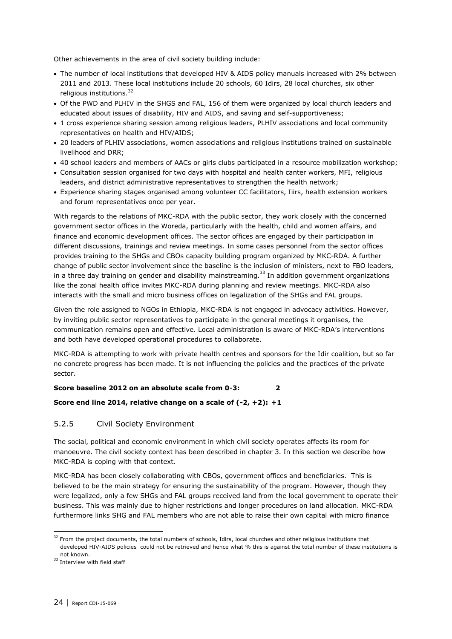Other achievements in the area of civil society building include:

- The number of local institutions that developed HIV & AIDS policy manuals increased with 2% between 2011 and 2013. These local institutions include 20 schools, 60 Idirs, 28 local churches, six other religious institutions.<sup>32</sup>
- Of the PWD and PLHIV in the SHGS and FAL, 156 of them were organized by local church leaders and educated about issues of disability, HIV and AIDS, and saving and self-supportiveness;
- 1 cross experience sharing session among religious leaders, PLHIV associations and local community representatives on health and HIV/AIDS;
- 20 leaders of PLHIV associations, women associations and religious institutions trained on sustainable livelihood and DRR;
- 40 school leaders and members of AACs or girls clubs participated in a resource mobilization workshop;
- Consultation session organised for two days with hospital and health canter workers, MFI, religious leaders, and district administrative representatives to strengthen the health network;
- Experience sharing stages organised among volunteer CC facilitators, Iiirs, health extension workers and forum representatives once per year.

With regards to the relations of MKC-RDA with the public sector, they work closely with the concerned government sector offices in the Woreda, particularly with the health, child and women affairs, and finance and economic development offices. The sector offices are engaged by their participation in different discussions, trainings and review meetings. In some cases personnel from the sector offices provides training to the SHGs and CBOs capacity building program organized by MKC-RDA. A further change of public sector involvement since the baseline is the inclusion of ministers, next to FBO leaders, in a three day training on gender and disability mainstreaming.<sup>33</sup> In addition government organizations like the zonal health office invites MKC-RDA during planning and review meetings. MKC-RDA also interacts with the small and micro business offices on legalization of the SHGs and FAL groups.

Given the role assigned to NGOs in Ethiopia, MKC-RDA is not engaged in advocacy activities. However, by inviting public sector representatives to participate in the general meetings it organises, the communication remains open and effective. Local administration is aware of MKC-RDA's interventions and both have developed operational procedures to collaborate.

MKC-RDA is attempting to work with private health centres and sponsors for the Idir coalition, but so far no concrete progress has been made. It is not influencing the policies and the practices of the private sector.

#### **Score baseline 2012 on an absolute scale from 0-3: 2**

#### **Score end line 2014, relative change on a scale of (-2, +2): +1**

#### 5.2.5 Civil Society Environment

The social, political and economic environment in which civil society operates affects its room for manoeuvre. The civil society context has been described in chapter 3. In this section we describe how MKC-RDA is coping with that context.

MKC-RDA has been closely collaborating with CBOs, government offices and beneficiaries. This is believed to be the main strategy for ensuring the sustainability of the program. However, though they were legalized, only a few SHGs and FAL groups received land from the local government to operate their business. This was mainly due to higher restrictions and longer procedures on land allocation. MKC-RDA furthermore links SHG and FAL members who are not able to raise their own capital with micro finance

<sup>&</sup>lt;sup>32</sup> From the project documents, the total numbers of schools, Idirs, local churches and other religious institutions that developed HIV-AIDS policies could not be retrieved and hence what % this is against the total number of these institutions is not known.

<sup>&</sup>lt;sup>33</sup> Interview with field staff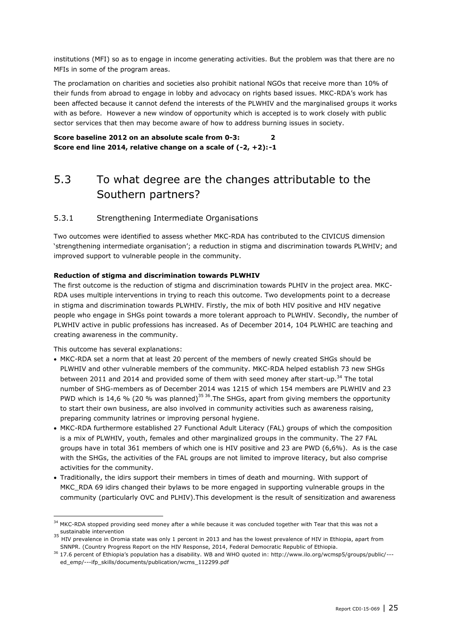institutions (MFI) so as to engage in income generating activities. But the problem was that there are no MFIs in some of the program areas.

The proclamation on charities and societies also prohibit national NGOs that receive more than 10% of their funds from abroad to engage in lobby and advocacy on rights based issues. MKC-RDA's work has been affected because it cannot defend the interests of the PLWHIV and the marginalised groups it works with as before. However a new window of opportunity which is accepted is to work closely with public sector services that then may become aware of how to address burning issues in society.

<span id="page-24-0"></span>**Score baseline 2012 on an absolute scale from 0-3: 2 Score end line 2014, relative change on a scale of (-2, +2):-1**

## 5.3 To what degree are the changes attributable to the Southern partners?

#### 5.3.1 Strengthening Intermediate Organisations

Two outcomes were identified to assess whether MKC-RDA has contributed to the CIVICUS dimension 'strengthening intermediate organisation'; a reduction in stigma and discrimination towards PLWHIV; and improved support to vulnerable people in the community.

#### **Reduction of stigma and discrimination towards PLWHIV**

The first outcome is the reduction of stigma and discrimination towards PLHIV in the project area. MKC-RDA uses multiple interventions in trying to reach this outcome. Two developments point to a decrease in stigma and discrimination towards PLWHIV. Firstly, the mix of both HIV positive and HIV negative people who engage in SHGs point towards a more tolerant approach to PLWHIV. Secondly, the number of PLWHIV active in public professions has increased. As of December 2014, 104 PLWHIC are teaching and creating awareness in the community.

This outcome has several explanations:

- MKC-RDA set a norm that at least 20 percent of the members of newly created SHGs should be PLWHIV and other vulnerable members of the community. MKC-RDA helped establish 73 new SHGs between 2011 and 2014 and provided some of them with seed money after start-up.<sup>34</sup> The total number of SHG-members as of December 2014 was 1215 of which 154 members are PLWHIV and 23 PWD which is 14,6 % (20 % was planned)<sup>35 36</sup>. The SHGs, apart from giving members the opportunity to start their own business, are also involved in community activities such as awareness raising, preparing community latrines or improving personal hygiene.
- MKC-RDA furthermore established 27 Functional Adult Literacy (FAL) groups of which the composition is a mix of PLWHIV, youth, females and other marginalized groups in the community. The 27 FAL groups have in total 361 members of which one is HIV positive and 23 are PWD (6,6%). As is the case with the SHGs, the activities of the FAL groups are not limited to improve literacy, but also comprise activities for the community.
- Traditionally, the idirs support their members in times of death and mourning. With support of MKC\_RDA 69 idirs changed their bylaws to be more engaged in supporting vulnerable groups in the community (particularly OVC and PLHIV).This development is the result of sensitization and awareness

 $34$  MKC-RDA stopped providing seed money after a while because it was concluded together with Tear that this was not a

<sup>35</sup> sustainable intervention<br><sup>35</sup> HIV prevalence in Oromia state was only 1 percent in 2013 and has the lowest prevalence of HIV in Ethiopia, apart from SNNPR. (Country Progress Report on the HIV Response, 2014, Federal Democratic Republic of Ethiopia.

<sup>&</sup>lt;sup>36</sup> 17.6 percent of Ethiopia's population has a disability. WB and WHO quoted in: http://www.ilo.org/wcmsp5/groups/public/--ed\_emp/---ifp\_skills/documents/publication/wcms\_112299.pdf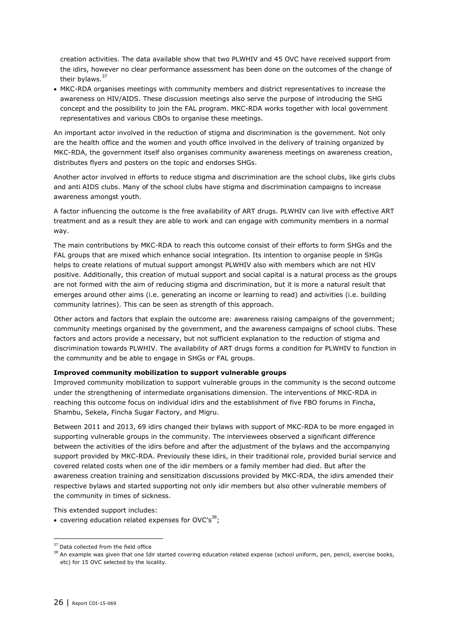creation activities. The data available show that two PLWHIV and 45 OVC have received support from the idirs, however no clear performance assessment has been done on the outcomes of the change of their bylaws.<sup>37</sup>

 MKC-RDA organises meetings with community members and district representatives to increase the awareness on HIV/AIDS. These discussion meetings also serve the purpose of introducing the SHG concept and the possibility to join the FAL program. MKC-RDA works together with local government representatives and various CBOs to organise these meetings.

An important actor involved in the reduction of stigma and discrimination is the government. Not only are the health office and the women and youth office involved in the delivery of training organized by MKC-RDA, the government itself also organises community awareness meetings on awareness creation, distributes flyers and posters on the topic and endorses SHGs.

Another actor involved in efforts to reduce stigma and discrimination are the school clubs, like girls clubs and anti AIDS clubs. Many of the school clubs have stigma and discrimination campaigns to increase awareness amongst youth.

A factor influencing the outcome is the free availability of ART drugs. PLWHIV can live with effective ART treatment and as a result they are able to work and can engage with community members in a normal way.

The main contributions by MKC-RDA to reach this outcome consist of their efforts to form SHGs and the FAL groups that are mixed which enhance social integration. Its intention to organise people in SHGs helps to create relations of mutual support amongst PLWHIV also with members which are not HIV positive. Additionally, this creation of mutual support and social capital is a natural process as the groups are not formed with the aim of reducing stigma and discrimination, but it is more a natural result that emerges around other aims (i.e. generating an income or learning to read) and activities (i.e. building community latrines). This can be seen as strength of this approach.

Other actors and factors that explain the outcome are: awareness raising campaigns of the government; community meetings organised by the government, and the awareness campaigns of school clubs. These factors and actors provide a necessary, but not sufficient explanation to the reduction of stigma and discrimination towards PLWHIV. The availability of ART drugs forms a condition for PLWHIV to function in the community and be able to engage in SHGs or FAL groups.

#### **Improved community mobilization to support vulnerable groups**

Improved community mobilization to support vulnerable groups in the community is the second outcome under the strengthening of intermediate organisations dimension. The interventions of MKC-RDA in reaching this outcome focus on individual idirs and the establishment of five FBO forums in Fincha, Shambu, Sekela, Fincha Sugar Factory, and Migru.

Between 2011 and 2013, 69 idirs changed their bylaws with support of MKC-RDA to be more engaged in supporting vulnerable groups in the community. The interviewees observed a significant difference between the activities of the idirs before and after the adjustment of the bylaws and the accompanying support provided by MKC-RDA. Previously these idirs, in their traditional role, provided burial service and covered related costs when one of the idir members or a family member had died. But after the awareness creation training and sensitization discussions provided by MKC-RDA, the idirs amended their respective bylaws and started supporting not only idir members but also other vulnerable members of the community in times of sickness.

This extended support includes:

<sup>•</sup> covering education related expenses for OVC's<sup>38</sup>;

<sup>&</sup>lt;sup>37</sup> Data collected from the field office

<sup>&</sup>lt;sup>38</sup> An example was given that one Idir started covering education related expense (school uniform, pen, pencil, exercise books, etc) for 15 OVC selected by the locality.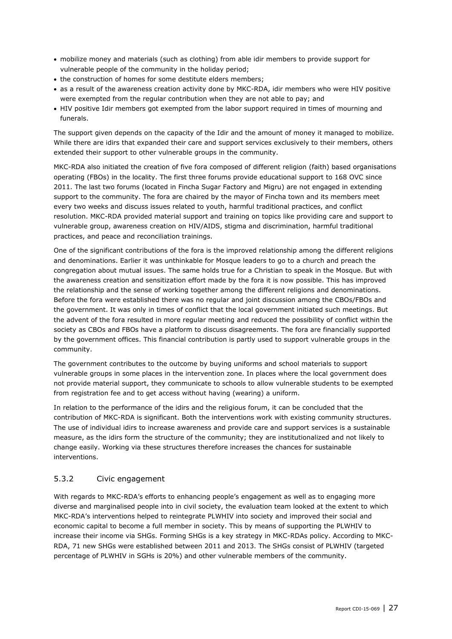- mobilize money and materials (such as clothing) from able idir members to provide support for vulnerable people of the community in the holiday period;
- the construction of homes for some destitute elders members;
- as a result of the awareness creation activity done by MKC-RDA, idir members who were HIV positive were exempted from the regular contribution when they are not able to pay; and
- HIV positive Idir members got exempted from the labor support required in times of mourning and funerals.

The support given depends on the capacity of the Idir and the amount of money it managed to mobilize. While there are idirs that expanded their care and support services exclusively to their members, others extended their support to other vulnerable groups in the community.

MKC-RDA also initiated the creation of five fora composed of different religion (faith) based organisations operating (FBOs) in the locality. The first three forums provide educational support to 168 OVC since 2011. The last two forums (located in Fincha Sugar Factory and Migru) are not engaged in extending support to the community. The fora are chaired by the mayor of Fincha town and its members meet every two weeks and discuss issues related to youth, harmful traditional practices, and conflict resolution. MKC-RDA provided material support and training on topics like providing care and support to vulnerable group, awareness creation on HIV/AIDS, stigma and discrimination, harmful traditional practices, and peace and reconciliation trainings.

One of the significant contributions of the fora is the improved relationship among the different religions and denominations. Earlier it was unthinkable for Mosque leaders to go to a church and preach the congregation about mutual issues. The same holds true for a Christian to speak in the Mosque. But with the awareness creation and sensitization effort made by the fora it is now possible. This has improved the relationship and the sense of working together among the different religions and denominations. Before the fora were established there was no regular and joint discussion among the CBOs/FBOs and the government. It was only in times of conflict that the local government initiated such meetings. But the advent of the fora resulted in more regular meeting and reduced the possibility of conflict within the society as CBOs and FBOs have a platform to discuss disagreements. The fora are financially supported by the government offices. This financial contribution is partly used to support vulnerable groups in the community.

The government contributes to the outcome by buying uniforms and school materials to support vulnerable groups in some places in the intervention zone. In places where the local government does not provide material support, they communicate to schools to allow vulnerable students to be exempted from registration fee and to get access without having (wearing) a uniform.

In relation to the performance of the idirs and the religious forum, it can be concluded that the contribution of MKC-RDA is significant. Both the interventions work with existing community structures. The use of individual idirs to increase awareness and provide care and support services is a sustainable measure, as the idirs form the structure of the community; they are institutionalized and not likely to change easily. Working via these structures therefore increases the chances for sustainable interventions.

#### 5.3.2 Civic engagement

With regards to MKC-RDA's efforts to enhancing people's engagement as well as to engaging more diverse and marginalised people into in civil society, the evaluation team looked at the extent to which MKC-RDA's interventions helped to reintegrate PLWHIV into society and improved their social and economic capital to become a full member in society. This by means of supporting the PLWHIV to increase their income via SHGs. Forming SHGs is a key strategy in MKC-RDAs policy. According to MKC-RDA, 71 new SHGs were established between 2011 and 2013. The SHGs consist of PLWHIV (targeted percentage of PLWHIV in SGHs is 20%) and other vulnerable members of the community.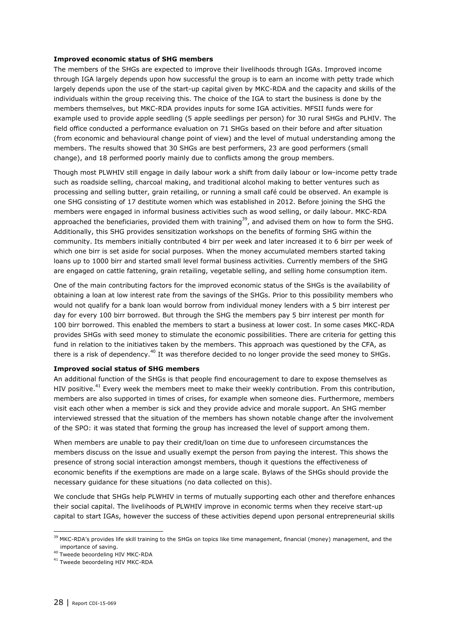#### **Improved economic status of SHG members**

The members of the SHGs are expected to improve their livelihoods through IGAs. Improved income through IGA largely depends upon how successful the group is to earn an income with petty trade which largely depends upon the use of the start-up capital given by MKC-RDA and the capacity and skills of the individuals within the group receiving this. The choice of the IGA to start the business is done by the members themselves, but MKC-RDA provides inputs for some IGA activities. MFSII funds were for example used to provide apple seedling (5 apple seedlings per person) for 30 rural SHGs and PLHIV. The field office conducted a performance evaluation on 71 SHGs based on their before and after situation (from economic and behavioural change point of view) and the level of mutual understanding among the members. The results showed that 30 SHGs are best performers, 23 are good performers (small change), and 18 performed poorly mainly due to conflicts among the group members.

Though most PLWHIV still engage in daily labour work a shift from daily labour or low-income petty trade such as roadside selling, charcoal making, and traditional alcohol making to better ventures such as processing and selling butter, grain retailing, or running a small café could be observed. An example is one SHG consisting of 17 destitute women which was established in 2012. Before joining the SHG the members were engaged in informal business activities such as wood selling, or daily labour. MKC-RDA approached the beneficiaries, provided them with training<sup>39</sup>, and advised them on how to form the SHG. Additionally, this SHG provides sensitization workshops on the benefits of forming SHG within the community. Its members initially contributed 4 birr per week and later increased it to 6 birr per week of which one birr is set aside for social purposes. When the money accumulated members started taking loans up to 1000 birr and started small level formal business activities. Currently members of the SHG are engaged on cattle fattening, grain retailing, vegetable selling, and selling home consumption item.

One of the main contributing factors for the improved economic status of the SHGs is the availability of obtaining a loan at low interest rate from the savings of the SHGs. Prior to this possibility members who would not qualify for a bank loan would borrow from individual money lenders with a 5 birr interest per day for every 100 birr borrowed. But through the SHG the members pay 5 birr interest per month for 100 birr borrowed. This enabled the members to start a business at lower cost. In some cases MKC-RDA provides SHGs with seed money to stimulate the economic possibilities. There are criteria for getting this fund in relation to the initiatives taken by the members. This approach was questioned by the CFA, as there is a risk of dependency.<sup>40</sup> It was therefore decided to no longer provide the seed money to SHGs.

#### **Improved social status of SHG members**

An additional function of the SHGs is that people find encouragement to dare to expose themselves as HIV positive.<sup>41</sup> Every week the members meet to make their weekly contribution. From this contribution, members are also supported in times of crises, for example when someone dies. Furthermore, members visit each other when a member is sick and they provide advice and morale support. An SHG member interviewed stressed that the situation of the members has shown notable change after the involvement of the SPO: it was stated that forming the group has increased the level of support among them.

When members are unable to pay their credit/loan on time due to unforeseen circumstances the members discuss on the issue and usually exempt the person from paying the interest. This shows the presence of strong social interaction amongst members, though it questions the effectiveness of economic benefits if the exemptions are made on a large scale. Bylaws of the SHGs should provide the necessary guidance for these situations (no data collected on this).

We conclude that SHGs help PLWHIV in terms of mutually supporting each other and therefore enhances their social capital. The livelihoods of PLWHIV improve in economic terms when they receive start-up capital to start IGAs, however the success of these activities depend upon personal entrepreneurial skills

<sup>&</sup>lt;sup>39</sup> MKC-RDA's provides life skill training to the SHGs on topics like time management, financial (money) management, and the importance of saving.

<sup>40</sup> Tweede beoordeling HIV MKC-RDA

<sup>41</sup> Tweede beoordeling HIV MKC-RDA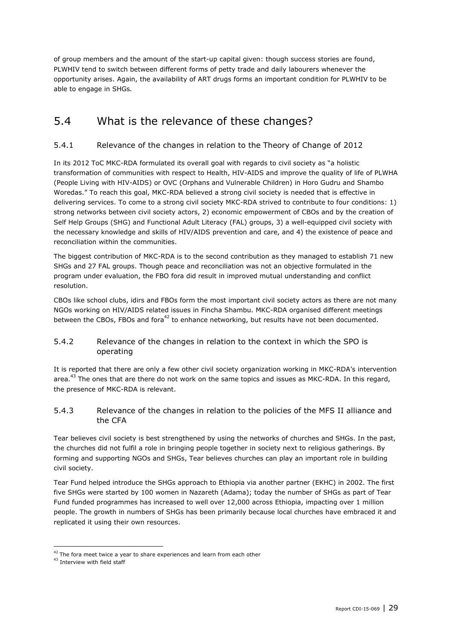of group members and the amount of the start-up capital given: though success stories are found, PLWHIV tend to switch between different forms of petty trade and daily labourers whenever the opportunity arises. Again, the availability of ART drugs forms an important condition for PLWHIV to be able to engage in SHGs*.*

## <span id="page-28-0"></span>5.4 What is the relevance of these changes?

### 5.4.1 Relevance of the changes in relation to the Theory of Change of 2012

In its 2012 ToC MKC-RDA formulated its overall goal with regards to civil society as "a holistic transformation of communities with respect to Health, HIV-AIDS and improve the quality of life of PLWHA (People Living with HIV-AIDS) or OVC (Orphans and Vulnerable Children) in Horo Gudru and Shambo Woredas." To reach this goal, MKC-RDA believed a strong civil society is needed that is effective in delivering services. To come to a strong civil society MKC-RDA strived to contribute to four conditions: 1) strong networks between civil society actors, 2) economic empowerment of CBOs and by the creation of Self Help Groups (SHG) and Functional Adult Literacy (FAL) groups, 3) a well-equipped civil society with the necessary knowledge and skills of HIV/AIDS prevention and care, and 4) the existence of peace and reconciliation within the communities.

The biggest contribution of MKC-RDA is to the second contribution as they managed to establish 71 new SHGs and 27 FAL groups. Though peace and reconciliation was not an objective formulated in the program under evaluation, the FBO fora did result in improved mutual understanding and conflict resolution.

CBOs like school clubs, idirs and FBOs form the most important civil society actors as there are not many NGOs working on HIV/AIDS related issues in Fincha Shambu. MKC-RDA organised different meetings between the CBOs, FBOs and fora<sup>42</sup> to enhance networking, but results have not been documented.

#### 5.4.2 Relevance of the changes in relation to the context in which the SPO is operating

It is reported that there are only a few other civil society organization working in MKC-RDA's intervention area.<sup>43</sup> The ones that are there do not work on the same topics and issues as MKC-RDA. In this regard, the presence of MKC-RDA is relevant.

#### 5.4.3 Relevance of the changes in relation to the policies of the MFS II alliance and the CFA

Tear believes civil society is best strengthened by using the networks of churches and SHGs. In the past, the churches did not fulfil a role in bringing people together in society next to religious gatherings. By forming and supporting NGOs and SHGs, Tear believes churches can play an important role in building civil society.

Tear Fund helped introduce the SHGs approach to Ethiopia via another partner (EKHC) in 2002. The first five SHGs were started by 100 women in Nazareth (Adama); today the number of SHGs as part of Tear Fund funded programmes has increased to well over 12,000 across Ethiopia, impacting over 1 million people. The growth in numbers of SHGs has been primarily because local churches have embraced it and replicated it using their own resources.

 $42$  The fora meet twice a year to share experiences and learn from each other

<sup>43</sup> Interview with field staff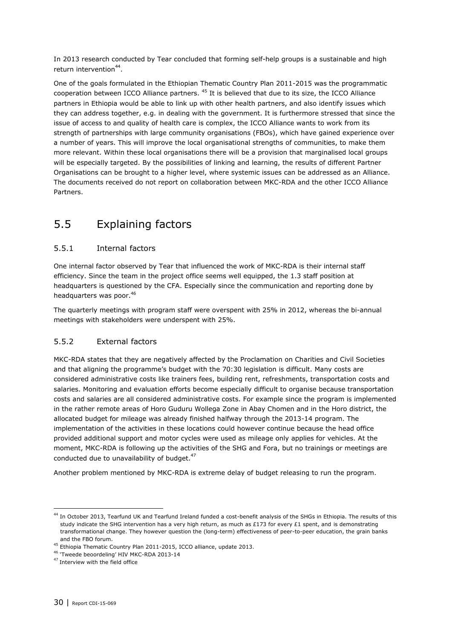In 2013 research conducted by Tear concluded that forming self-help groups is a sustainable and high return intervention<sup>44</sup>.

One of the goals formulated in the Ethiopian Thematic Country Plan 2011-2015 was the programmatic cooperation between ICCO Alliance partners. <sup>45</sup> It is believed that due to its size, the ICCO Alliance partners in Ethiopia would be able to link up with other health partners, and also identify issues which they can address together, e.g. in dealing with the government. It is furthermore stressed that since the issue of access to and quality of health care is complex, the ICCO Alliance wants to work from its strength of partnerships with large community organisations (FBOs), which have gained experience over a number of years. This will improve the local organisational strengths of communities, to make them more relevant. Within these local organisations there will be a provision that marginalised local groups will be especially targeted. By the possibilities of linking and learning, the results of different Partner Organisations can be brought to a higher level, where systemic issues can be addressed as an Alliance. The documents received do not report on collaboration between MKC-RDA and the other ICCO Alliance Partners.

## <span id="page-29-0"></span>5.5 Explaining factors

#### 5.5.1 Internal factors

One internal factor observed by Tear that influenced the work of MKC-RDA is their internal staff efficiency. Since the team in the project office seems well equipped, the 1.3 staff position at headquarters is questioned by the CFA. Especially since the communication and reporting done by headquarters was poor.<sup>46</sup>

The quarterly meetings with program staff were overspent with 25% in 2012, whereas the bi-annual meetings with stakeholders were underspent with 25%.

#### 5.5.2 External factors

MKC-RDA states that they are negatively affected by the Proclamation on Charities and Civil Societies and that aligning the programme's budget with the 70:30 legislation is difficult. Many costs are considered administrative costs like trainers fees, building rent, refreshments, transportation costs and salaries. Monitoring and evaluation efforts become especially difficult to organise because transportation costs and salaries are all considered administrative costs. For example since the program is implemented in the rather remote areas of Horo Guduru Wollega Zone in Abay Chomen and in the Horo district, the allocated budget for mileage was already finished halfway through the 2013-14 program. The implementation of the activities in these locations could however continue because the head office provided additional support and motor cycles were used as mileage only applies for vehicles. At the moment, MKC-RDA is following up the activities of the SHG and Fora, but no trainings or meetings are conducted due to unavailability of budget. $47$ 

Another problem mentioned by MKC-RDA is extreme delay of budget releasing to run the program.

<sup>44</sup> In October 2013, Tearfund UK and Tearfund Ireland funded a cost-benefit analysis of the SHGs in Ethiopia. The results of this study indicate the SHG intervention has a very high return, as much as £173 for every £1 spent, and is demonstrating transformational change. They however question the (long-term) effectiveness of peer-to-peer education, the grain banks and the FBO forum.

<sup>&</sup>lt;sup>45</sup> Ethiopia Thematic Country Plan 2011-2015, ICCO alliance, update 2013.

<sup>46</sup> 'Tweede beoordeling' HIV MKC-RDA 2013-14

<sup>&</sup>lt;sup>47</sup> Interview with the field office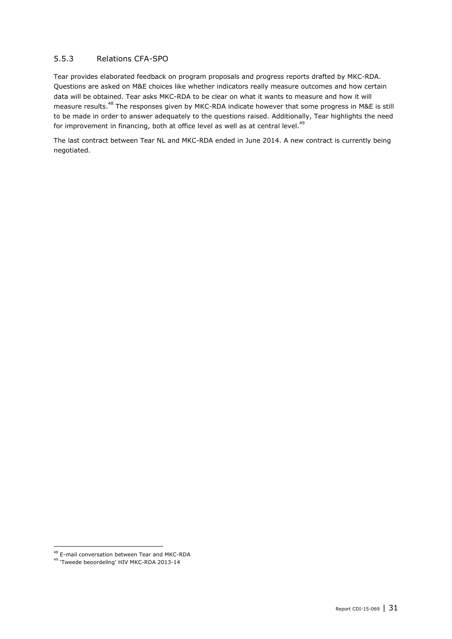#### 5.5.3 Relations CFA-SPO

Tear provides elaborated feedback on program proposals and progress reports drafted by MKC-RDA. Questions are asked on M&E choices like whether indicators really measure outcomes and how certain data will be obtained. Tear asks MKC-RDA to be clear on what it wants to measure and how it will measure results.<sup>48</sup> The responses given by MKC-RDA indicate however that some progress in M&E is still to be made in order to answer adequately to the questions raised. Additionally, Tear highlights the need for improvement in financing, both at office level as well as at central level.<sup>49</sup>

The last contract between Tear NL and MKC-RDA ended in June 2014. A new contract is currently being negotiated.

<sup>48</sup> E-mail conversation between Tear and MKC-RDA

<sup>&</sup>lt;sup>49</sup> 'Tweede beoordeling' HIV MKC-RDA 2013-14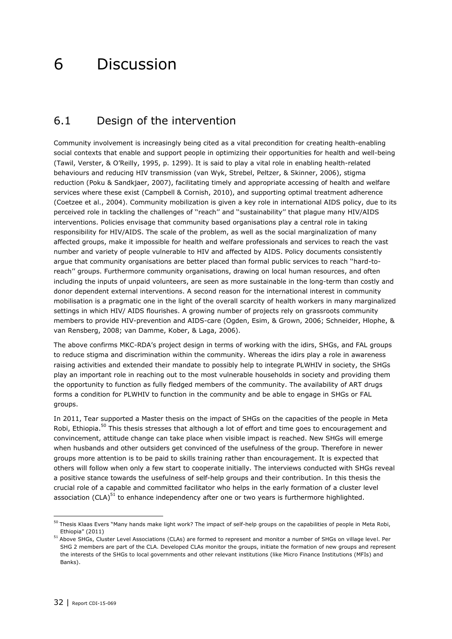## <span id="page-31-0"></span>6 Discussion

### <span id="page-31-1"></span>6.1 Design of the intervention

Community involvement is increasingly being cited as a vital precondition for creating health-enabling social contexts that enable and support people in optimizing their opportunities for health and well-being (Tawil, Verster, & O'Reilly, 1995, p. 1299). It is said to play a vital role in enabling health-related behaviours and reducing HIV transmission (van Wyk, Strebel, Peltzer, & Skinner, 2006), stigma reduction (Poku & Sandkjaer, 2007), facilitating timely and appropriate accessing of health and welfare services where these exist (Campbell & Cornish, 2010), and supporting optimal treatment adherence (Coetzee et al., 2004). Community mobilization is given a key role in international AIDS policy, due to its perceived role in tackling the challenges of ''reach'' and ''sustainability'' that plague many HIV/AIDS interventions. Policies envisage that community based organisations play a central role in taking responsibility for HIV/AIDS. The scale of the problem, as well as the social marginalization of many affected groups, make it impossible for health and welfare professionals and services to reach the vast number and variety of people vulnerable to HIV and affected by AIDS. Policy documents consistently argue that community organisations are better placed than formal public services to reach ''hard-toreach'' groups. Furthermore community organisations, drawing on local human resources, and often including the inputs of unpaid volunteers, are seen as more sustainable in the long-term than costly and donor dependent external interventions. A second reason for the international interest in community mobilisation is a pragmatic one in the light of the overall scarcity of health workers in many marginalized settings in which HIV/ AIDS flourishes. A growing number of projects rely on grassroots community members to provide HIV-prevention and AIDS-care (Ogden, Esim, & Grown, 2006; Schneider, Hlophe, & van Rensberg, 2008; van Damme, Kober, & Laga, 2006).

The above confirms MKC-RDA's project design in terms of working with the idirs, SHGs, and FAL groups to reduce stigma and discrimination within the community. Whereas the idirs play a role in awareness raising activities and extended their mandate to possibly help to integrate PLWHIV in society, the SHGs play an important role in reaching out to the most vulnerable households in society and providing them the opportunity to function as fully fledged members of the community. The availability of ART drugs forms a condition for PLWHIV to function in the community and be able to engage in SHGs or FAL groups.

In 2011, Tear supported a Master thesis on the impact of SHGs on the capacities of the people in Meta Robi, Ethiopia.<sup>50</sup> This thesis stresses that although a lot of effort and time goes to encouragement and convincement, attitude change can take place when visible impact is reached. New SHGs will emerge when husbands and other outsiders get convinced of the usefulness of the group. Therefore in newer groups more attention is to be paid to skills training rather than encouragement. It is expected that others will follow when only a few start to cooperate initially. The interviews conducted with SHGs reveal a positive stance towards the usefulness of self-help groups and their contribution. In this thesis the crucial role of a capable and committed facilitator who helps in the early formation of a cluster level association (CLA) $^{51}$  to enhance independency after one or two years is furthermore highlighted.

<sup>&</sup>lt;sup>50</sup> Thesis Klaas Evers "Many hands make light work? The impact of self-help groups on the capabilities of people in Meta Robi, Ethiopia" (2011)

<sup>51</sup> Above SHGs, Cluster Level Associations (CLAs) are formed to represent and monitor a number of SHGs on village level. Per SHG 2 members are part of the CLA. Developed CLAs monitor the groups, initiate the formation of new groups and represent the interests of the SHGs to local governments and other relevant institutions (like Micro Finance Institutions (MFIs) and Banks).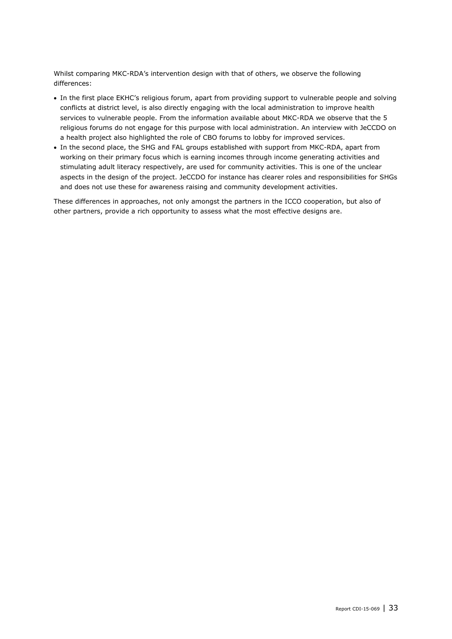Whilst comparing MKC-RDA's intervention design with that of others, we observe the following differences:

- In the first place EKHC's religious forum, apart from providing support to vulnerable people and solving conflicts at district level, is also directly engaging with the local administration to improve health services to vulnerable people. From the information available about MKC-RDA we observe that the 5 religious forums do not engage for this purpose with local administration. An interview with JeCCDO on a health project also highlighted the role of CBO forums to lobby for improved services.
- In the second place, the SHG and FAL groups established with support from MKC-RDA, apart from working on their primary focus which is earning incomes through income generating activities and stimulating adult literacy respectively, are used for community activities. This is one of the unclear aspects in the design of the project. JeCCDO for instance has clearer roles and responsibilities for SHGs and does not use these for awareness raising and community development activities.

These differences in approaches, not only amongst the partners in the ICCO cooperation, but also of other partners, provide a rich opportunity to assess what the most effective designs are.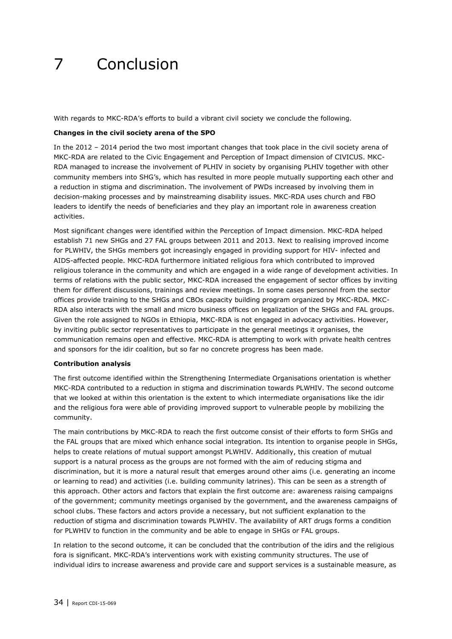## <span id="page-33-0"></span>7 Conclusion

With regards to MKC-RDA's efforts to build a vibrant civil society we conclude the following.

#### **Changes in the civil society arena of the SPO**

In the 2012 – 2014 period the two most important changes that took place in the civil society arena of MKC-RDA are related to the Civic Engagement and Perception of Impact dimension of CIVICUS. MKC-RDA managed to increase the involvement of PLHIV in society by organising PLHIV together with other community members into SHG's, which has resulted in more people mutually supporting each other and a reduction in stigma and discrimination. The involvement of PWDs increased by involving them in decision-making processes and by mainstreaming disability issues. MKC-RDA uses church and FBO leaders to identify the needs of beneficiaries and they play an important role in awareness creation activities.

Most significant changes were identified within the Perception of Impact dimension. MKC-RDA helped establish 71 new SHGs and 27 FAL groups between 2011 and 2013. Next to realising improved income for PLWHIV, the SHGs members got increasingly engaged in providing support for HIV- infected and AIDS-affected people. MKC-RDA furthermore initiated religious fora which contributed to improved religious tolerance in the community and which are engaged in a wide range of development activities. In terms of relations with the public sector, MKC-RDA increased the engagement of sector offices by inviting them for different discussions, trainings and review meetings. In some cases personnel from the sector offices provide training to the SHGs and CBOs capacity building program organized by MKC-RDA. MKC-RDA also interacts with the small and micro business offices on legalization of the SHGs and FAL groups. Given the role assigned to NGOs in Ethiopia, MKC-RDA is not engaged in advocacy activities. However, by inviting public sector representatives to participate in the general meetings it organises, the communication remains open and effective. MKC-RDA is attempting to work with private health centres and sponsors for the idir coalition, but so far no concrete progress has been made.

#### **Contribution analysis**

The first outcome identified within the Strengthening Intermediate Organisations orientation is whether MKC-RDA contributed to a reduction in stigma and discrimination towards PLWHIV. The second outcome that we looked at within this orientation is the extent to which intermediate organisations like the idir and the religious fora were able of providing improved support to vulnerable people by mobilizing the community.

The main contributions by MKC-RDA to reach the first outcome consist of their efforts to form SHGs and the FAL groups that are mixed which enhance social integration. Its intention to organise people in SHGs, helps to create relations of mutual support amongst PLWHIV. Additionally, this creation of mutual support is a natural process as the groups are not formed with the aim of reducing stigma and discrimination, but it is more a natural result that emerges around other aims (i.e. generating an income or learning to read) and activities (i.e. building community latrines). This can be seen as a strength of this approach. Other actors and factors that explain the first outcome are: awareness raising campaigns of the government; community meetings organised by the government, and the awareness campaigns of school clubs. These factors and actors provide a necessary, but not sufficient explanation to the reduction of stigma and discrimination towards PLWHIV. The availability of ART drugs forms a condition for PLWHIV to function in the community and be able to engage in SHGs or FAL groups.

In relation to the second outcome, it can be concluded that the contribution of the idirs and the religious fora is significant. MKC-RDA's interventions work with existing community structures. The use of individual idirs to increase awareness and provide care and support services is a sustainable measure, as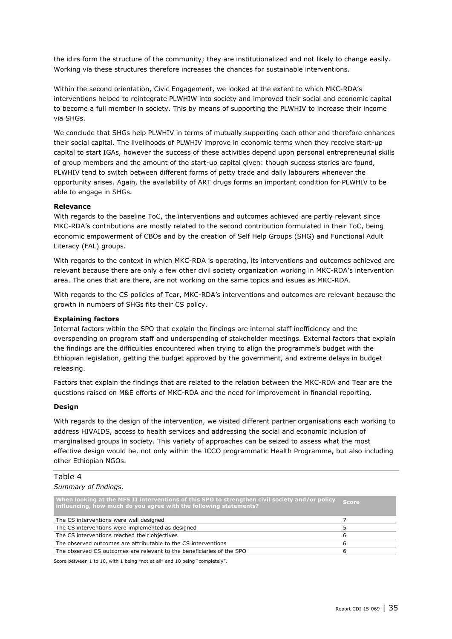the idirs form the structure of the community; they are institutionalized and not likely to change easily. Working via these structures therefore increases the chances for sustainable interventions.

Within the second orientation, Civic Engagement, we looked at the extent to which MKC-RDA's interventions helped to reintegrate PLWHIW into society and improved their social and economic capital to become a full member in society. This by means of supporting the PLWHIV to increase their income via SHGs.

We conclude that SHGs help PLWHIV in terms of mutually supporting each other and therefore enhances their social capital. The livelihoods of PLWHIV improve in economic terms when they receive start-up capital to start IGAs, however the success of these activities depend upon personal entrepreneurial skills of group members and the amount of the start-up capital given: though success stories are found, PLWHIV tend to switch between different forms of petty trade and daily labourers whenever the opportunity arises. Again, the availability of ART drugs forms an important condition for PLWHIV to be able to engage in SHGs*.*

#### **Relevance**

With regards to the baseline ToC, the interventions and outcomes achieved are partly relevant since MKC-RDA's contributions are mostly related to the second contribution formulated in their ToC, being economic empowerment of CBOs and by the creation of Self Help Groups (SHG) and Functional Adult Literacy (FAL) groups.

With regards to the context in which MKC-RDA is operating, its interventions and outcomes achieved are relevant because there are only a few other civil society organization working in MKC-RDA's intervention area. The ones that are there, are not working on the same topics and issues as MKC-RDA.

With regards to the CS policies of Tear, MKC-RDA's interventions and outcomes are relevant because the growth in numbers of SHGs fits their CS policy.

#### **Explaining factors**

Internal factors within the SPO that explain the findings are internal staff inefficiency and the overspending on program staff and underspending of stakeholder meetings. External factors that explain the findings are the difficulties encountered when trying to align the programme's budget with the Ethiopian legislation, getting the budget approved by the government, and extreme delays in budget releasing.

Factors that explain the findings that are related to the relation between the MKC-RDA and Tear are the questions raised on M&E efforts of MKC-RDA and the need for improvement in financial reporting.

#### **Design**

With regards to the design of the intervention, we visited different partner organisations each working to address HIVAIDS, access to health services and addressing the social and economic inclusion of marginalised groups in society. This variety of approaches can be seized to assess what the most effective design would be, not only within the ICCO programmatic Health Programme, but also including other Ethiopian NGOs.

#### Table 4 *Summary of findings.*

| When looking at the MFS II interventions of this SPO to strengthen civil society and/or policy Score<br>influencing, how much do you agree with the following statements? |   |
|---------------------------------------------------------------------------------------------------------------------------------------------------------------------------|---|
| The CS interventions were well designed                                                                                                                                   |   |
| The CS interventions were implemented as designed                                                                                                                         |   |
| The CS interventions reached their objectives                                                                                                                             | ь |
| The observed outcomes are attributable to the CS interventions                                                                                                            | ь |
| The observed CS outcomes are relevant to the beneficiaries of the SPO                                                                                                     |   |

Score between 1 to 10, with 1 being "not at all" and 10 being "completely".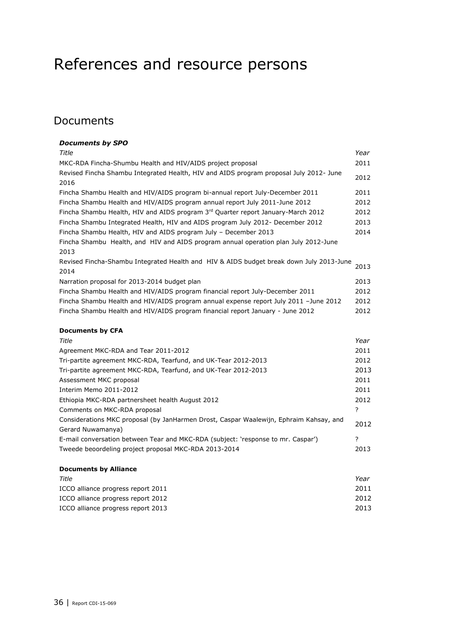## <span id="page-35-0"></span>References and resource persons

### Documents

#### *Documents by SPO Title Year* MKC-RDA Fincha-Shumbu Health and HIV/AIDS project proposal 2011 Revised Fincha Shambu Integrated Health, HIV and AIDS program proposal July 2012- June 2016 2012 Fincha Shambu Health and HIV/AIDS program bi-annual report July-December 2011 2011 Fincha Shambu Health and HIV/AIDS program annual report July 2011-June 2012 2012 Fincha Shambu Health, HIV and AIDS program  $3<sup>rd</sup>$  Quarter report January-March 2012 2012 Fincha Shambu Integrated Health, HIV and AIDS program July 2012- December 2012 2013 Fincha Shambu Health, HIV and AIDS program July – December 2013 2014 Fincha Shambu Health, and HIV and AIDS program annual operation plan July 2012-June 2013 Revised Fincha-Shambu Integrated Health and HIV & AIDS budget break down July 2013-June 2014 2013 Narration proposal for 2013-2014 budget plan 2013 Fincha Shambu Health and HIV/AIDS program financial report July-December 2011 2012 Fincha Shambu Health and HIV/AIDS program annual expense report July 2011 –June 2012 2012 Fincha Shambu Health and HIV/AIDS program financial report January - June 2012 2012 **Documents by CFA** *Title Year* Agreement MKC-RDA and Tear 2011-2012 2011 2012 2011 Tri-partite agreement MKC-RDA, Tearfund, and UK-Tear 2012-2013 2012 Tri-partite agreement MKC-RDA, Tearfund, and UK-Tear 2012-2013 2013 Assessment MKC proposal 2011 Interim Memo 2011-2012 2011 Ethiopia MKC-RDA partnersheet health August 2012 2012 Comments on MKC-RDA proposal ? Considerations MKC proposal (by JanHarmen Drost, Caspar Waalewijn, Ephraim Kahsay, and Gerard Nuwamanya) 2012 E-mail conversation between Tear and MKC-RDA (subject: 'response to mr. Caspar') ? Tweede beoordeling project proposal MKC-RDA 2013-2014 2013 **Documents by Alliance**

| Title                              | Year |
|------------------------------------|------|
| ICCO alliance progress report 2011 | 2011 |
| ICCO alliance progress report 2012 | 2012 |
| ICCO alliance progress report 2013 | 2013 |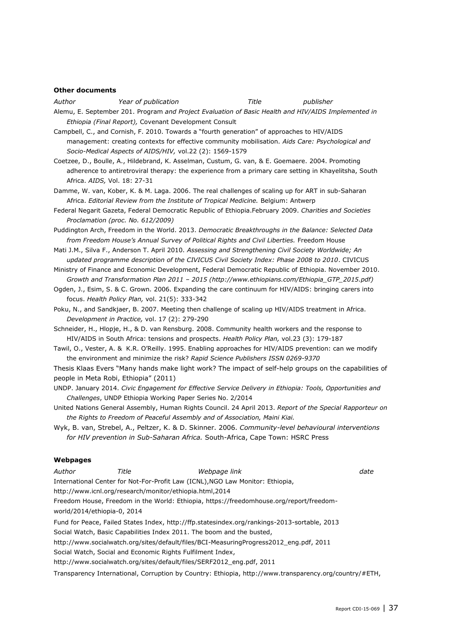#### **Other documents**

*Author Year of publication Title publisher*

- Alemu, E. September 201. Program *and Project Evaluation of Basic Health and HIV/AIDS Implemented in Ethiopia (Final Report),* Covenant Development Consult
- Campbell, C., and Cornish, F. 2010. Towards a "fourth generation" of approaches to HIV/AIDS management: creating contexts for effective community mobilisation. *Aids Care: Psychological and Socio-Medical Aspects of AIDS/HIV,* vol.22 (2): 1569-1579
- Coetzee, D., Boulle, A., Hildebrand, K. Asselman, Custum, G. van, & E. Goemaere. 2004. Promoting adherence to antiretroviral therapy: the experience from a primary care setting in Khayelitsha, South Africa. *AIDS,* Vol. 18: 27-31
- Damme, W. van, Kober, K. & M. Laga. 2006. The real challenges of scaling up for ART in sub-Saharan Africa. *Editorial Review from the Institute of Tropical Medicine.* Belgium: Antwerp
- Federal Negarit Gazeta, Federal Democratic Republic of Ethiopia.February 2009. *Charities and Societies Proclamation (proc. No. 612/2009)*
- Puddington Arch, Freedom in the World. 2013. *Democratic Breakthroughs in the Balance: Selected Data from Freedom House's Annual Survey of Political Rights and Civil Liberties.* Freedom House
- Mati J.M., Silva F., Anderson T. April 2010. *Assessing and Strengthening Civil Society Worldwide; An updated programme description of the CIVICUS Civil Society Index: Phase 2008 to 2010*. CIVICUS
- Ministry of Finance and Economic Development, Federal Democratic Republic of Ethiopia. November 2010. *Growth and Transformation Plan 2011 – 2015 [\(http://www.ethiopians.com/Ethiopia\\_GTP\\_2015.pdf\)](http://www.ethiopians.com/Ethiopia_GTP_2015.pdf)*
- Ogden, J., Esim, S. & C. Grown. 2006. Expanding the care continuum for HIV/AIDS: bringing carers into focus. *Health Policy Plan,* vol. 21(5): 333-342
- Poku, N., and Sandkjaer, B. 2007. Meeting then challenge of scaling up HIV/AIDS treatment in Africa. *Development in Practice,* vol. 17 (2): 279-290
- Schneider, H., Hlopje, H., & D. van Rensburg. 2008. Community health workers and the response to HIV/AIDS in South Africa: tensions and prospects. *Health Policy Plan,* vol.23 (3): 179-187
- Tawil, O., Vester, A. & K.R. O'Reilly. 1995. Enabling approaches for HIV/AIDS prevention: can we modify the environment and minimize the risk? *Rapid Science Publishers ISSN 0269-9370*

Thesis Klaas Evers "Many hands make light work? The impact of self-help groups on the capabilities of people in Meta Robi, Ethiopia" (2011)

- UNDP. January 2014. *Civic Engagement for Effective Service Delivery in Ethiopia: Tools, Opportunities and Challenges*, UNDP Ethiopia Working Paper Series No. 2/2014
- United Nations General Assembly, Human Rights Council. 24 April 2013. *Report of the Special Rapporteur on the Rights to Freedom of Peaceful Assembly and of Association, Maini Kiai.*
- Wyk, B. van, Strebel, A., Peltzer, K. & D. Skinner. 2006. *Community-level behavioural interventions for HIV prevention in Sub-Saharan Africa.* South-Africa, Cape Town: HSRC Press

#### **Webpages**

| Author | Title                       | Webpage link                                                                                                                                                          | date |
|--------|-----------------------------|-----------------------------------------------------------------------------------------------------------------------------------------------------------------------|------|
|        |                             | International Center for Not-For-Profit Law (ICNL), NGO Law Monitor: Ethiopia,                                                                                        |      |
|        |                             | http://www.icnl.org/research/monitor/ethiopia.html,2014                                                                                                               |      |
|        | world/2014/ethiopia-0, 2014 | Freedom House, Freedom in the World: Ethiopia, https://freedomhouse.org/report/freedom-                                                                               |      |
|        |                             | Fund for Peace, Failed States Index, http://ffp.statesindex.org/rankings-2013-sortable, 2013<br>Social Watch, Basic Capabilities Index 2011. The boom and the busted, |      |
|        |                             | http://www.socialwatch.org/sites/default/files/BCI-MeasuringProgress2012 eng.pdf, 2011                                                                                |      |
|        |                             | Social Watch, Social and Economic Rights Fulfilment Index,                                                                                                            |      |
|        |                             | http://www.socialwatch.org/sites/default/files/SERF2012 eng.pdf, 2011                                                                                                 |      |
|        |                             | Transparency International, Corruption by Country: Ethiopia, http://www.transparency.org/country/#ETH,                                                                |      |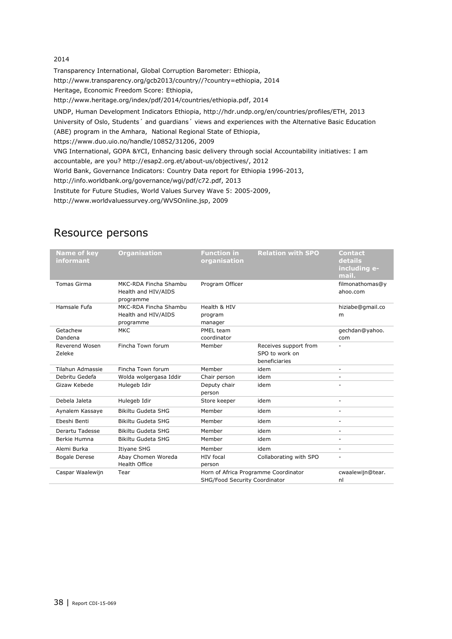#### 2014

Transparency International, Global Corruption Barometer: Ethiopia, [http://www.transparency.org/gcb2013/country//?country=ethiopia,](http://www.transparency.org/gcb2013/country/?country=ethiopia) 2014 Heritage, Economic Freedom Score: Ethiopia, [http://www.heritage.org/index/pdf/2014/countries/ethiopia.pdf,](http://www.heritage.org/index/pdf/2014/countries/ethiopia.pdf) 2014 UNDP, Human Development Indicators Ethiopia, [http://hdr.undp.org/en/countries/profiles/ETH,](http://hdr.undp.org/en/countries/profiles/ETH) 2013 University of Oslo, Students´ and guardians´ views and experiences with the Alternative Basic Education (ABE) program in the Amhara, National Regional State of Ethiopia, [https://www.duo.uio.no/handle/10852/31206,](https://www.duo.uio.no/handle/10852/31206) 2009 VNG International, GOPA &YCI, Enhancing basic delivery through social Accountability initiatives: I am accountable, are you? [http://esap2.org.et/about-us/objectives/,](http://esap2.org.et/about-us/objectives/) 2012 World Bank, Governance Indicators: Country Data report for Ethiopia 1996-2013, [http://info.worldbank.org/governance/wgi/pdf/c72.pdf,](http://info.worldbank.org/governance/wgi/pdf/c72.pdf) 2013 Institute for Future Studies, World Values Survey Wave 5: 2005-2009, [http://www.worldvaluessurvey.org/WVSOnline.jsp,](http://www.worldvaluessurvey.org/WVSOnline.jsp) 2009

<span id="page-37-0"></span>

| <b>Name of key</b><br>informant | <b>Organisation</b>                                       | <b>Function in</b><br>organisation | <b>Relation with SPO</b>                                 | <b>Contact</b><br>details<br>including e-<br>mail. |
|---------------------------------|-----------------------------------------------------------|------------------------------------|----------------------------------------------------------|----------------------------------------------------|
| Tomas Girma                     | MKC-RDA Fincha Shambu<br>Health and HIV/AIDS<br>programme | Program Officer                    |                                                          | filmonathomas@y<br>ahoo.com                        |
| Hamsale Fufa                    | MKC-RDA Fincha Shambu<br>Health and HIV/AIDS<br>programme | Health & HIV<br>program<br>manager |                                                          | hiziabe@gmail.co<br>m                              |
| Getachew<br>Dandena             | <b>MKC</b>                                                | PMEL team<br>coordinator           |                                                          | gechdan@yahoo.<br>com                              |
| Reverend Wosen<br>Zeleke        | Fincha Town forum                                         | Member                             | Receives support from<br>SPO to work on<br>beneficiaries |                                                    |
| Tilahun Admassie                | Fincha Town forum                                         | Member                             | idem                                                     | ٠                                                  |
| Debritu Gedefa                  | Wolda wolgergasa Iddir                                    | Chair person                       | idem                                                     | ٠                                                  |
| Gizaw Kebede                    | Hulegeb Idir                                              | Deputy chair<br>person             | idem                                                     | ٠                                                  |
| Debela Jaleta                   | Hulegeb Idir                                              | Store keeper                       | idem                                                     | $\overline{\phantom{a}}$                           |
| Aynalem Kassaye                 | Bikiltu Gudeta SHG                                        | Member                             | idem                                                     |                                                    |
| Ebeshi Benti                    | Bikiltu Gudeta SHG                                        | Member                             | idem                                                     |                                                    |
| Derartu Tadesse                 | Bikiltu Gudeta SHG                                        | Member                             | idem                                                     |                                                    |
| Berkie Humna                    | Bikiltu Gudeta SHG                                        | Member                             | idem                                                     | $\overline{a}$                                     |
| Alemi Burka                     | Itiyane SHG                                               | Member                             | idem                                                     | $\overline{a}$                                     |
| <b>Bogale Derese</b>            | Abay Chomen Woreda<br><b>Health Office</b>                | <b>HIV</b> focal<br>person         | Collaborating with SPO                                   |                                                    |
| Caspar Waalewijn                | Tear                                                      | SHG/Food Security Coordinator      | Horn of Africa Programme Coordinator                     | cwaalewijn@tear.<br>nl                             |

### Resource persons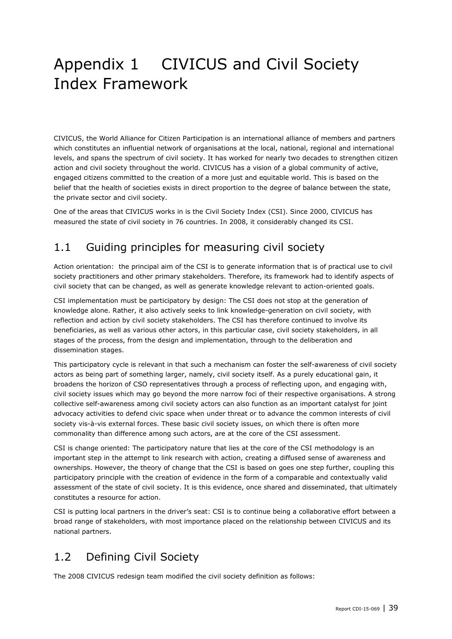## Appendix 1 CIVICUS and Civil Society Index Framework

CIVICUS, the World Alliance for Citizen Participation is an international alliance of members and partners which constitutes an influential network of organisations at the local, national, regional and international levels, and spans the spectrum of civil society. It has worked for nearly two decades to strengthen citizen action and civil society throughout the world. CIVICUS has a vision of a global community of active, engaged citizens committed to the creation of a more just and equitable world. This is based on the belief that the health of societies exists in direct proportion to the degree of balance between the state, the private sector and civil society.

One of the areas that CIVICUS works in is the Civil Society Index (CSI). Since 2000, CIVICUS has measured the state of civil society in 76 countries. In 2008, it considerably changed its CSI.

## 1.1 Guiding principles for measuring civil society

Action orientation: the principal aim of the CSI is to generate information that is of practical use to civil society practitioners and other primary stakeholders. Therefore, its framework had to identify aspects of civil society that can be changed, as well as generate knowledge relevant to action-oriented goals.

CSI implementation must be participatory by design: The CSI does not stop at the generation of knowledge alone. Rather, it also actively seeks to link knowledge-generation on civil society, with reflection and action by civil society stakeholders. The CSI has therefore continued to involve its beneficiaries, as well as various other actors, in this particular case, civil society stakeholders, in all stages of the process, from the design and implementation, through to the deliberation and dissemination stages.

This participatory cycle is relevant in that such a mechanism can foster the self-awareness of civil society actors as being part of something larger, namely, civil society itself. As a purely educational gain, it broadens the horizon of CSO representatives through a process of reflecting upon, and engaging with, civil society issues which may go beyond the more narrow foci of their respective organisations. A strong collective self-awareness among civil society actors can also function as an important catalyst for joint advocacy activities to defend civic space when under threat or to advance the common interests of civil society vis-à-vis external forces. These basic civil society issues, on which there is often more commonality than difference among such actors, are at the core of the CSI assessment.

CSI is change oriented: The participatory nature that lies at the core of the CSI methodology is an important step in the attempt to link research with action, creating a diffused sense of awareness and ownerships. However, the theory of change that the CSI is based on goes one step further, coupling this participatory principle with the creation of evidence in the form of a comparable and contextually valid assessment of the state of civil society. It is this evidence, once shared and disseminated, that ultimately constitutes a resource for action.

CSI is putting local partners in the driver's seat: CSI is to continue being a collaborative effort between a broad range of stakeholders, with most importance placed on the relationship between CIVICUS and its national partners.

## 1.2 Defining Civil Society

The 2008 CIVICUS redesign team modified the civil society definition as follows: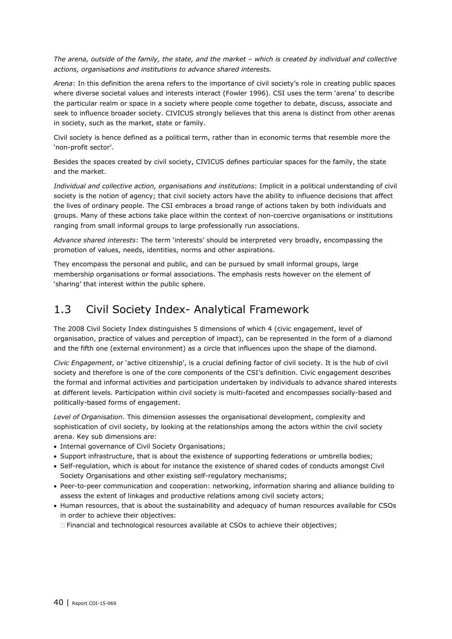*The arena, outside of the family, the state, and the market – which is created by individual and collective actions, organisations and institutions to advance shared interests.*

*Arena*: In this definition the arena refers to the importance of civil society's role in creating public spaces where diverse societal values and interests interact (Fowler 1996). CSI uses the term 'arena' to describe the particular realm or space in a society where people come together to debate, discuss, associate and seek to influence broader society. CIVICUS strongly believes that this arena is distinct from other arenas in society, such as the market, state or family.

Civil society is hence defined as a political term, rather than in economic terms that resemble more the 'non-profit sector'.

Besides the spaces created by civil society, CIVICUS defines particular spaces for the family, the state and the market.

*Individual and collective action, organisations and institutions*: Implicit in a political understanding of civil society is the notion of agency; that civil society actors have the ability to influence decisions that affect the lives of ordinary people. The CSI embraces a broad range of actions taken by both individuals and groups. Many of these actions take place within the context of non-coercive organisations or institutions ranging from small informal groups to large professionally run associations.

*Advance shared interests*: The term 'interests' should be interpreted very broadly, encompassing the promotion of values, needs, identities, norms and other aspirations.

They encompass the personal and public, and can be pursued by small informal groups, large membership organisations or formal associations. The emphasis rests however on the element of 'sharing' that interest within the public sphere.

### 1.3 Civil Society Index- Analytical Framework

The 2008 Civil Society Index distinguishes 5 dimensions of which 4 (civic engagement, level of organisation, practice of values and perception of impact), can be represented in the form of a diamond and the fifth one (external environment) as a circle that influences upon the shape of the diamond.

*Civic Engagement*, or 'active citizenship', is a crucial defining factor of civil society. It is the hub of civil society and therefore is one of the core components of the CSI's definition. Civic engagement describes the formal and informal activities and participation undertaken by individuals to advance shared interests at different levels. Participation within civil society is multi-faceted and encompasses socially-based and politically-based forms of engagement.

*Level of Organisation*. This dimension assesses the organisational development, complexity and sophistication of civil society, by looking at the relationships among the actors within the civil society arena. Key sub dimensions are:

- Internal governance of Civil Society Organisations;
- Support infrastructure, that is about the existence of supporting federations or umbrella bodies;
- Self-regulation, which is about for instance the existence of shared codes of conducts amongst Civil Society Organisations and other existing self-regulatory mechanisms;
- Peer-to-peer communication and cooperation: networking, information sharing and alliance building to assess the extent of linkages and productive relations among civil society actors;
- Human resources, that is about the sustainability and adequacy of human resources available for CSOs in order to achieve their objectives:
	- Financial and technological resources available at CSOs to achieve their objectives;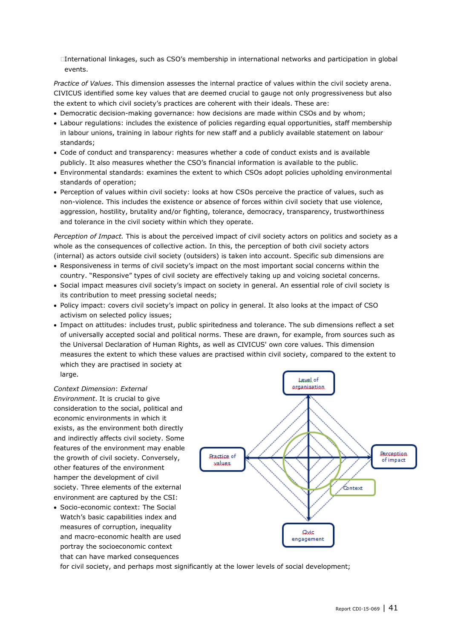-International linkages, such as CSO's membership in international networks and participation in global events.

*Practice of Values*. This dimension assesses the internal practice of values within the civil society arena. CIVICUS identified some key values that are deemed crucial to gauge not only progressiveness but also the extent to which civil society's practices are coherent with their ideals. These are:

- Democratic decision-making governance: how decisions are made within CSOs and by whom;
- Labour regulations: includes the existence of policies regarding equal opportunities, staff membership in labour unions, training in labour rights for new staff and a publicly available statement on labour standards;
- Code of conduct and transparency: measures whether a code of conduct exists and is available publicly. It also measures whether the CSO's financial information is available to the public.
- Environmental standards: examines the extent to which CSOs adopt policies upholding environmental standards of operation;
- Perception of values within civil society: looks at how CSOs perceive the practice of values, such as non-violence. This includes the existence or absence of forces within civil society that use violence, aggression, hostility, brutality and/or fighting, tolerance, democracy, transparency, trustworthiness and tolerance in the civil society within which they operate.

*Perception of Impact.* This is about the perceived impact of civil society actors on politics and society as a whole as the consequences of collective action. In this, the perception of both civil society actors (internal) as actors outside civil society (outsiders) is taken into account. Specific sub dimensions are

- Responsiveness in terms of civil society's impact on the most important social concerns within the country. "Responsive" types of civil society are effectively taking up and voicing societal concerns.
- Social impact measures civil society's impact on society in general. An essential role of civil society is its contribution to meet pressing societal needs;
- Policy impact: covers civil society's impact on policy in general. It also looks at the impact of CSO activism on selected policy issues;
- Impact on attitudes: includes trust, public spiritedness and tolerance. The sub dimensions reflect a set of universally accepted social and political norms. These are drawn, for example, from sources such as the Universal Declaration of Human Rights, as well as CIVICUS' own core values. This dimension measures the extent to which these values are practised within civil society, compared to the extent to which they are practised in society at large.

*Context Dimension*: *External Environment*. It is crucial to give consideration to the social, political and economic environments in which it exists, as the environment both directly and indirectly affects civil society. Some features of the environment may enable the growth of civil society. Conversely, other features of the environment hamper the development of civil society. Three elements of the external environment are captured by the CSI:

 Socio-economic context: The Social Watch's basic capabilities index and measures of corruption, inequality and macro-economic health are used portray the socioeconomic context that can have marked consequences



for civil society, and perhaps most significantly at the lower levels of social development;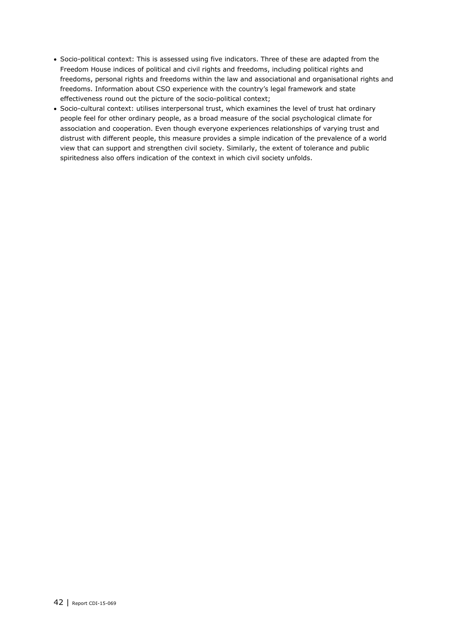- Socio-political context: This is assessed using five indicators. Three of these are adapted from the Freedom House indices of political and civil rights and freedoms, including political rights and freedoms, personal rights and freedoms within the law and associational and organisational rights and freedoms. Information about CSO experience with the country's legal framework and state effectiveness round out the picture of the socio-political context;
- Socio-cultural context: utilises interpersonal trust, which examines the level of trust hat ordinary people feel for other ordinary people, as a broad measure of the social psychological climate for association and cooperation. Even though everyone experiences relationships of varying trust and distrust with different people, this measure provides a simple indication of the prevalence of a world view that can support and strengthen civil society. Similarly, the extent of tolerance and public spiritedness also offers indication of the context in which civil society unfolds.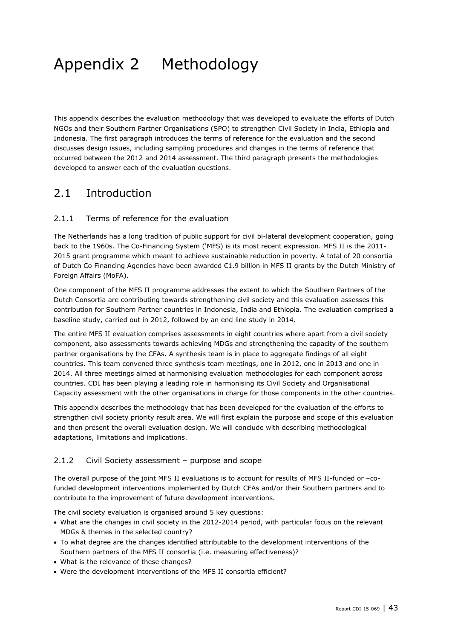## Appendix 2 Methodology

This appendix describes the evaluation methodology that was developed to evaluate the efforts of Dutch NGOs and their Southern Partner Organisations (SPO) to strengthen Civil Society in India, Ethiopia and Indonesia. The first paragraph introduces the terms of reference for the evaluation and the second discusses design issues, including sampling procedures and changes in the terms of reference that occurred between the 2012 and 2014 assessment. The third paragraph presents the methodologies developed to answer each of the evaluation questions.

### 2.1 Introduction

#### 2.1.1 Terms of reference for the evaluation

The Netherlands has a long tradition of public support for civil bi-lateral development cooperation, going back to the 1960s. The Co-Financing System ('MFS) is its most recent expression. MFS II is the 2011- 2015 grant programme which meant to achieve sustainable reduction in poverty. A total of 20 consortia of Dutch Co Financing Agencies have been awarded €1.9 billion in MFS II grants by the Dutch Ministry of Foreign Affairs (MoFA).

One component of the MFS II programme addresses the extent to which the Southern Partners of the Dutch Consortia are contributing towards strengthening civil society and this evaluation assesses this contribution for Southern Partner countries in Indonesia, India and Ethiopia. The evaluation comprised a baseline study, carried out in 2012, followed by an end line study in 2014.

The entire MFS II evaluation comprises assessments in eight countries where apart from a civil society component, also assessments towards achieving MDGs and strengthening the capacity of the southern partner organisations by the CFAs. A synthesis team is in place to aggregate findings of all eight countries. This team convened three synthesis team meetings, one in 2012, one in 2013 and one in 2014. All three meetings aimed at harmonising evaluation methodologies for each component across countries. CDI has been playing a leading role in harmonising its Civil Society and Organisational Capacity assessment with the other organisations in charge for those components in the other countries.

This appendix describes the methodology that has been developed for the evaluation of the efforts to strengthen civil society priority result area. We will first explain the purpose and scope of this evaluation and then present the overall evaluation design. We will conclude with describing methodological adaptations, limitations and implications.

#### 2.1.2 Civil Society assessment – purpose and scope

The overall purpose of the joint MFS II evaluations is to account for results of MFS II-funded or –cofunded development interventions implemented by Dutch CFAs and/or their Southern partners and to contribute to the improvement of future development interventions.

The civil society evaluation is organised around 5 key questions:

- What are the changes in civil society in the 2012-2014 period, with particular focus on the relevant MDGs & themes in the selected country?
- To what degree are the changes identified attributable to the development interventions of the Southern partners of the MFS II consortia (i.e. measuring effectiveness)?
- What is the relevance of these changes?
- Were the development interventions of the MFS II consortia efficient?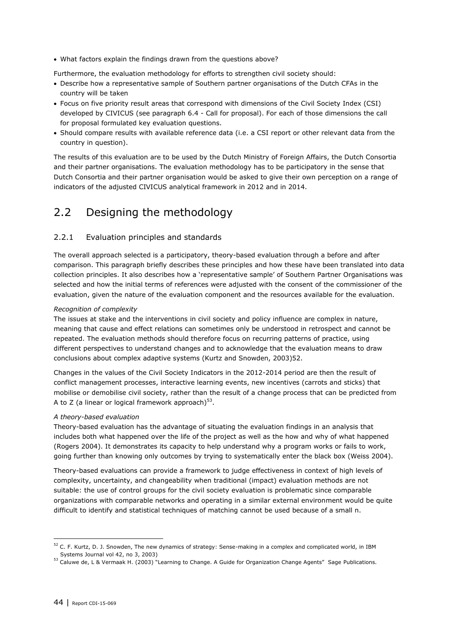What factors explain the findings drawn from the questions above?

Furthermore, the evaluation methodology for efforts to strengthen civil society should:

- Describe how a representative sample of Southern partner organisations of the Dutch CFAs in the country will be taken
- Focus on five priority result areas that correspond with dimensions of the Civil Society Index (CSI) developed by CIVICUS (see paragraph 6.4 - Call for proposal). For each of those dimensions the call for proposal formulated key evaluation questions.
- Should compare results with available reference data (i.e. a CSI report or other relevant data from the country in question).

The results of this evaluation are to be used by the Dutch Ministry of Foreign Affairs, the Dutch Consortia and their partner organisations. The evaluation methodology has to be participatory in the sense that Dutch Consortia and their partner organisation would be asked to give their own perception on a range of indicators of the adjusted CIVICUS analytical framework in 2012 and in 2014.

## 2.2 Designing the methodology

#### 2.2.1 Evaluation principles and standards

The overall approach selected is a participatory, theory-based evaluation through a before and after comparison. This paragraph briefly describes these principles and how these have been translated into data collection principles. It also describes how a 'representative sample' of Southern Partner Organisations was selected and how the initial terms of references were adjusted with the consent of the commissioner of the evaluation, given the nature of the evaluation component and the resources available for the evaluation.

#### *Recognition of complexity*

The issues at stake and the interventions in civil society and policy influence are complex in nature, meaning that cause and effect relations can sometimes only be understood in retrospect and cannot be repeated. The evaluation methods should therefore focus on recurring patterns of practice, using different perspectives to understand changes and to acknowledge that the evaluation means to draw conclusions about complex adaptive systems (Kurtz and Snowden, 2003)52.

Changes in the values of the Civil Society Indicators in the 2012-2014 period are then the result of conflict management processes, interactive learning events, new incentives (carrots and sticks) that mobilise or demobilise civil society, rather than the result of a change process that can be predicted from A to Z (a linear or logical framework approach) $^{53}$ .

#### *A theory-based evaluation*

Theory-based evaluation has the advantage of situating the evaluation findings in an analysis that includes both what happened over the life of the project as well as the how and why of what happened (Rogers 2004). It demonstrates its capacity to help understand why a program works or fails to work, going further than knowing only outcomes by trying to systematically enter the black box (Weiss 2004).

Theory-based evaluations can provide a framework to judge effectiveness in context of high levels of complexity, uncertainty, and changeability when traditional (impact) evaluation methods are not suitable: the use of control groups for the civil society evaluation is problematic since comparable organizations with comparable networks and operating in a similar external environment would be quite difficult to identify and statistical techniques of matching cannot be used because of a small n.

 $52$  C. F. Kurtz, D. J. Snowden, The new dynamics of strategy: Sense-making in a complex and complicated world, in IBM Systems Journal vol 42, no 3, 2003)

<sup>53</sup> Caluwe de, L & Vermaak H. (2003) "Learning to Change. A Guide for Organization Change Agents" Sage Publications.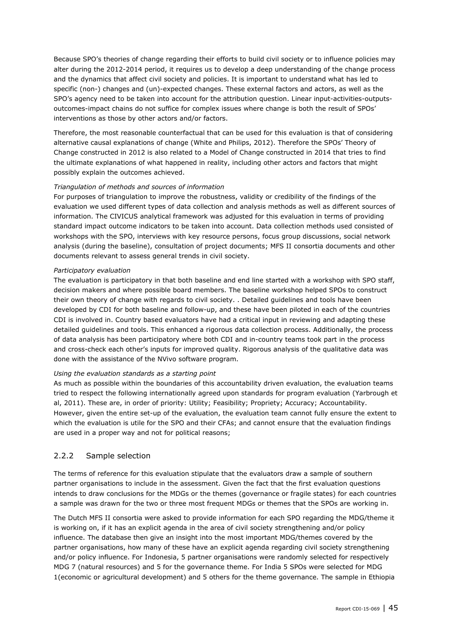Because SPO's theories of change regarding their efforts to build civil society or to influence policies may alter during the 2012-2014 period, it requires us to develop a deep understanding of the change process and the dynamics that affect civil society and policies. It is important to understand what has led to specific (non-) changes and (un)-expected changes. These external factors and actors, as well as the SPO's agency need to be taken into account for the attribution question. Linear input-activities-outputsoutcomes-impact chains do not suffice for complex issues where change is both the result of SPOs' interventions as those by other actors and/or factors.

Therefore, the most reasonable counterfactual that can be used for this evaluation is that of considering alternative causal explanations of change (White and Philips, 2012). Therefore the SPOs' Theory of Change constructed in 2012 is also related to a Model of Change constructed in 2014 that tries to find the ultimate explanations of what happened in reality, including other actors and factors that might possibly explain the outcomes achieved.

#### *Triangulation of methods and sources of information*

For purposes of triangulation to improve the robustness, validity or credibility of the findings of the evaluation we used different types of data collection and analysis methods as well as different sources of information. The CIVICUS analytical framework was adjusted for this evaluation in terms of providing standard impact outcome indicators to be taken into account. Data collection methods used consisted of workshops with the SPO, interviews with key resource persons, focus group discussions, social network analysis (during the baseline), consultation of project documents; MFS II consortia documents and other documents relevant to assess general trends in civil society.

#### *Participatory evaluation*

The evaluation is participatory in that both baseline and end line started with a workshop with SPO staff, decision makers and where possible board members. The baseline workshop helped SPOs to construct their own theory of change with regards to civil society. . Detailed guidelines and tools have been developed by CDI for both baseline and follow-up, and these have been piloted in each of the countries CDI is involved in. Country based evaluators have had a critical input in reviewing and adapting these detailed guidelines and tools. This enhanced a rigorous data collection process. Additionally, the process of data analysis has been participatory where both CDI and in-country teams took part in the process and cross-check each other's inputs for improved quality. Rigorous analysis of the qualitative data was done with the assistance of the NVivo software program.

#### *Using the evaluation standards as a starting point*

As much as possible within the boundaries of this accountability driven evaluation, the evaluation teams tried to respect the following internationally agreed upon standards for program evaluation (Yarbrough et al, 2011). These are, in order of priority: Utility; Feasibility; Propriety; Accuracy; Accountability. However, given the entire set-up of the evaluation, the evaluation team cannot fully ensure the extent to which the evaluation is utile for the SPO and their CFAs; and cannot ensure that the evaluation findings are used in a proper way and not for political reasons;

#### 2.2.2 Sample selection

The terms of reference for this evaluation stipulate that the evaluators draw a sample of southern partner organisations to include in the assessment. Given the fact that the first evaluation questions intends to draw conclusions for the MDGs or the themes (governance or fragile states) for each countries a sample was drawn for the two or three most frequent MDGs or themes that the SPOs are working in.

The Dutch MFS II consortia were asked to provide information for each SPO regarding the MDG/theme it is working on, if it has an explicit agenda in the area of civil society strengthening and/or policy influence. The database then give an insight into the most important MDG/themes covered by the partner organisations, how many of these have an explicit agenda regarding civil society strengthening and/or policy influence. For Indonesia, 5 partner organisations were randomly selected for respectively MDG 7 (natural resources) and 5 for the governance theme. For India 5 SPOs were selected for MDG 1(economic or agricultural development) and 5 others for the theme governance. The sample in Ethiopia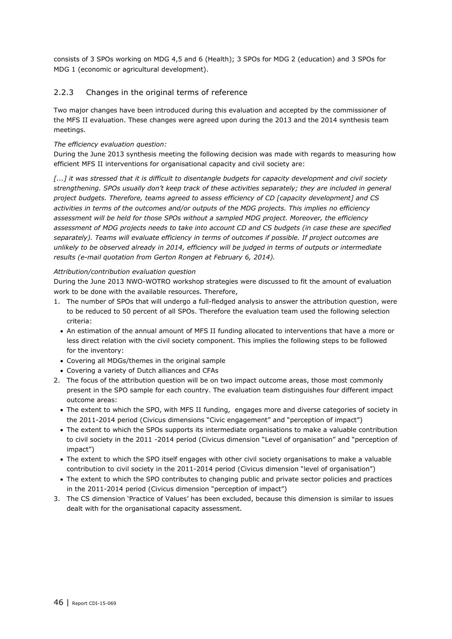consists of 3 SPOs working on MDG 4,5 and 6 (Health); 3 SPOs for MDG 2 (education) and 3 SPOs for MDG 1 (economic or agricultural development).

#### 2.2.3 Changes in the original terms of reference

Two major changes have been introduced during this evaluation and accepted by the commissioner of the MFS II evaluation. These changes were agreed upon during the 2013 and the 2014 synthesis team meetings.

#### *The efficiency evaluation question:*

During the June 2013 synthesis meeting the following decision was made with regards to measuring how efficient MFS II interventions for organisational capacity and civil society are:

*[...] it was stressed that it is difficult to disentangle budgets for capacity development and civil society strengthening. SPOs usually don't keep track of these activities separately; they are included in general project budgets. Therefore, teams agreed to assess efficiency of CD [capacity development] and CS activities in terms of the outcomes and/or outputs of the MDG projects. This implies no efficiency assessment will be held for those SPOs without a sampled MDG project. Moreover, the efficiency assessment of MDG projects needs to take into account CD and CS budgets (in case these are specified separately). Teams will evaluate efficiency in terms of outcomes if possible. If project outcomes are unlikely to be observed already in 2014, efficiency will be judged in terms of outputs or intermediate results (e-mail quotation from Gerton Rongen at February 6, 2014).*

#### *Attribution/contribution evaluation question*

During the June 2013 NWO-WOTRO workshop strategies were discussed to fit the amount of evaluation work to be done with the available resources. Therefore,

- 1. The number of SPOs that will undergo a full-fledged analysis to answer the attribution question, were to be reduced to 50 percent of all SPOs. Therefore the evaluation team used the following selection criteria:
	- An estimation of the annual amount of MFS II funding allocated to interventions that have a more or less direct relation with the civil society component. This implies the following steps to be followed for the inventory:
	- Covering all MDGs/themes in the original sample
	- Covering a variety of Dutch alliances and CFAs
- 2. The focus of the attribution question will be on two impact outcome areas, those most commonly present in the SPO sample for each country. The evaluation team distinguishes four different impact outcome areas:
	- The extent to which the SPO, with MFS II funding, engages more and diverse categories of society in the 2011-2014 period (Civicus dimensions "Civic engagement" and "perception of impact")
	- The extent to which the SPOs supports its intermediate organisations to make a valuable contribution to civil society in the 2011 -2014 period (Civicus dimension "Level of organisation" and "perception of impact")
	- The extent to which the SPO itself engages with other civil society organisations to make a valuable contribution to civil society in the 2011-2014 period (Civicus dimension "level of organisation")
	- The extent to which the SPO contributes to changing public and private sector policies and practices in the 2011-2014 period (Civicus dimension "perception of impact")
- 3. The CS dimension 'Practice of Values' has been excluded, because this dimension is similar to issues dealt with for the organisational capacity assessment.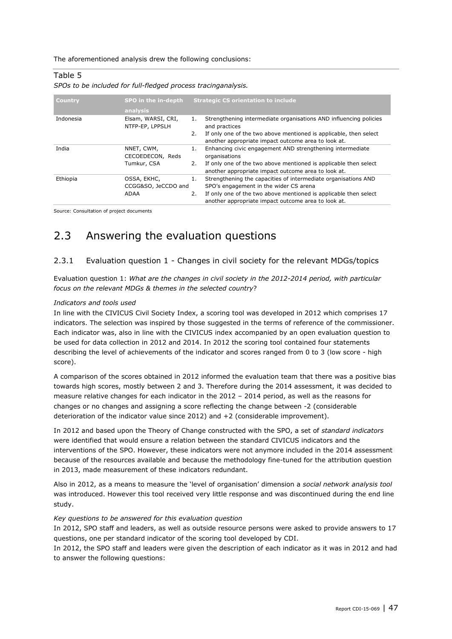The aforementioned analysis drew the following conclusions:

#### Table 5

|  |  | SPOs to be included for full-fledged process tracinganalysis. |  |  |
|--|--|---------------------------------------------------------------|--|--|
|  |  |                                                               |  |  |

| <b>Country</b> | SPO in the in-depth<br>analysis               |          | <b>Strategic CS orientation to include</b>                                                                                                                                                                                          |
|----------------|-----------------------------------------------|----------|-------------------------------------------------------------------------------------------------------------------------------------------------------------------------------------------------------------------------------------|
| Indonesia      | Elsam, WARSI, CRI,<br>NTFP-EP, LPPSLH         | 2.       | Strengthening intermediate organisations AND influencing policies<br>and practices<br>If only one of the two above mentioned is applicable, then select<br>another appropriate impact outcome area to look at.                      |
| India          | NNET, CWM,<br>CECOEDECON, Reds<br>Tumkur, CSA | 1.<br>2. | Enhancing civic engagement AND strengthening intermediate<br>organisations<br>If only one of the two above mentioned is applicable then select<br>another appropriate impact outcome area to look at.                               |
| Ethiopia       | OSSA, EKHC,<br>CCGG&SO, JeCCDO and<br>ADAA    | 2.       | Strengthening the capacities of intermediate organisations AND<br>SPO's engagement in the wider CS arena<br>If only one of the two above mentioned is applicable then select<br>another appropriate impact outcome area to look at. |

Source: Consultation of project documents

## 2.3 Answering the evaluation questions

#### 2.3.1 Evaluation question 1 - Changes in civil society for the relevant MDGs/topics

Evaluation question 1: *What are the changes in civil society in the 2012-2014 period, with particular focus on the relevant MDGs & themes in the selected country*?

#### *Indicators and tools used*

In line with the CIVICUS Civil Society Index, a scoring tool was developed in 2012 which comprises 17 indicators. The selection was inspired by those suggested in the terms of reference of the commissioner. Each indicator was, also in line with the CIVICUS index accompanied by an open evaluation question to be used for data collection in 2012 and 2014. In 2012 the scoring tool contained four statements describing the level of achievements of the indicator and scores ranged from 0 to 3 (low score - high score).

A comparison of the scores obtained in 2012 informed the evaluation team that there was a positive bias towards high scores, mostly between 2 and 3. Therefore during the 2014 assessment, it was decided to measure relative changes for each indicator in the 2012 – 2014 period, as well as the reasons for changes or no changes and assigning a score reflecting the change between -2 (considerable deterioration of the indicator value since 2012) and +2 (considerable improvement).

In 2012 and based upon the Theory of Change constructed with the SPO, a set of *standard indicators* were identified that would ensure a relation between the standard CIVICUS indicators and the interventions of the SPO. However, these indicators were not anymore included in the 2014 assessment because of the resources available and because the methodology fine-tuned for the attribution question in 2013, made measurement of these indicators redundant.

Also in 2012, as a means to measure the 'level of organisation' dimension a *social network analysis tool*  was introduced. However this tool received very little response and was discontinued during the end line study.

#### *Key questions to be answered for this evaluation question*

In 2012, SPO staff and leaders, as well as outside resource persons were asked to provide answers to 17 questions, one per standard indicator of the scoring tool developed by CDI.

In 2012, the SPO staff and leaders were given the description of each indicator as it was in 2012 and had to answer the following questions: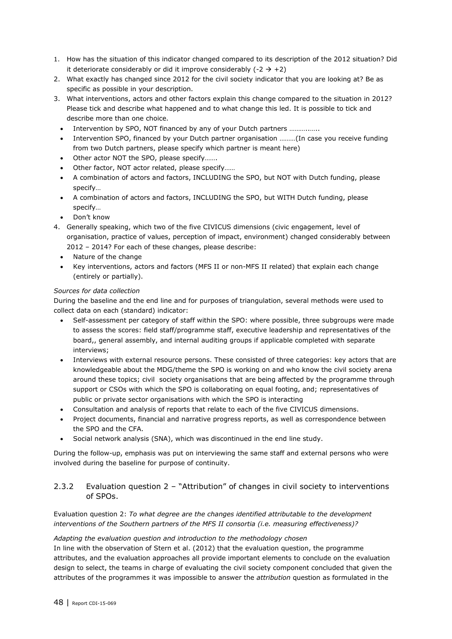- 1. How has the situation of this indicator changed compared to its description of the 2012 situation? Did it deteriorate considerably or did it improve considerably  $(-2 \rightarrow +2)$
- 2. What exactly has changed since 2012 for the civil society indicator that you are looking at? Be as specific as possible in your description.
- 3. What interventions, actors and other factors explain this change compared to the situation in 2012? Please tick and describe what happened and to what change this led. It is possible to tick and describe more than one choice.
	- Intervention by SPO, NOT financed by any of your Dutch partners ………..…..
	- Intervention SPO, financed by your Dutch partner organisation ………(In case you receive funding from two Dutch partners, please specify which partner is meant here)
	- Other actor NOT the SPO, please specify…….
	- Other factor, NOT actor related, please specify……
	- A combination of actors and factors, INCLUDING the SPO, but NOT with Dutch funding, please specify…
	- A combination of actors and factors, INCLUDING the SPO, but WITH Dutch funding, please specify…
	- Don't know
- 4. Generally speaking, which two of the five CIVICUS dimensions (civic engagement, level of organisation, practice of values, perception of impact, environment) changed considerably between 2012 – 2014? For each of these changes, please describe:
	- Nature of the change
	- Key interventions, actors and factors (MFS II or non-MFS II related) that explain each change (entirely or partially).

#### *Sources for data collection*

During the baseline and the end line and for purposes of triangulation, several methods were used to collect data on each (standard) indicator:

- Self-assessment per category of staff within the SPO: where possible, three subgroups were made to assess the scores: field staff/programme staff, executive leadership and representatives of the board,, general assembly, and internal auditing groups if applicable completed with separate interviews;
- Interviews with external resource persons. These consisted of three categories: key actors that are knowledgeable about the MDG/theme the SPO is working on and who know the civil society arena around these topics; civil society organisations that are being affected by the programme through support or CSOs with which the SPO is collaborating on equal footing, and; representatives of public or private sector organisations with which the SPO is interacting
- Consultation and analysis of reports that relate to each of the five CIVICUS dimensions.
- Project documents, financial and narrative progress reports, as well as correspondence between the SPO and the CFA.
- Social network analysis (SNA), which was discontinued in the end line study.

During the follow-up, emphasis was put on interviewing the same staff and external persons who were involved during the baseline for purpose of continuity.

#### 2.3.2 Evaluation question 2 – "Attribution" of changes in civil society to interventions of SPOs.

#### Evaluation question 2: *To what degree are the changes identified attributable to the development interventions of the Southern partners of the MFS II consortia (i.e. measuring effectiveness)?*

#### *Adapting the evaluation question and introduction to the methodology chosen*

In line with the observation of Stern et al. (2012) that the evaluation question, the programme attributes, and the evaluation approaches all provide important elements to conclude on the evaluation design to select, the teams in charge of evaluating the civil society component concluded that given the attributes of the programmes it was impossible to answer the *attribution* question as formulated in the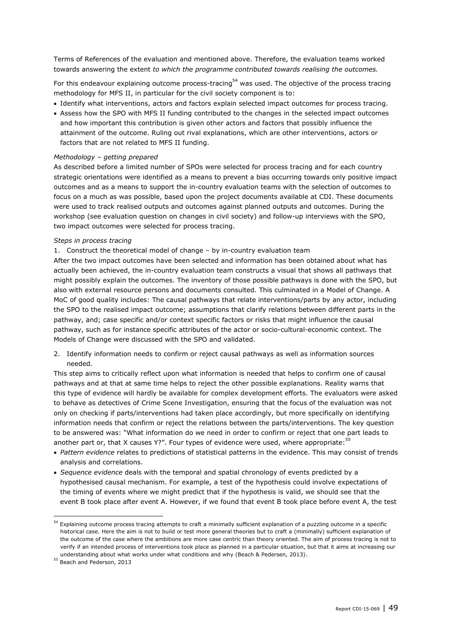Terms of References of the evaluation and mentioned above. Therefore, the evaluation teams worked towards answering the extent *to which the programme contributed towards realising the outcomes.*

For this endeavour explaining outcome process-tracing<sup>54</sup> was used. The objective of the process tracing methodology for MFS II, in particular for the civil society component is to:

- Identify what interventions, actors and factors explain selected impact outcomes for process tracing.
- Assess how the SPO with MFS II funding contributed to the changes in the selected impact outcomes and how important this contribution is given other actors and factors that possibly influence the attainment of the outcome. Ruling out rival explanations, which are other interventions, actors or factors that are not related to MFS II funding.

#### *Methodology – getting prepared*

As described before a limited number of SPOs were selected for process tracing and for each country strategic orientations were identified as a means to prevent a bias occurring towards only positive impact outcomes and as a means to support the in-country evaluation teams with the selection of outcomes to focus on a much as was possible, based upon the project documents available at CDI. These documents were used to track realised outputs and outcomes against planned outputs and outcomes. During the workshop (see evaluation question on changes in civil society) and follow-up interviews with the SPO, two impact outcomes were selected for process tracing.

#### *Steps in process tracing*

1. Construct the theoretical model of change – by in-country evaluation team

After the two impact outcomes have been selected and information has been obtained about what has actually been achieved, the in-country evaluation team constructs a visual that shows all pathways that might possibly explain the outcomes. The inventory of those possible pathways is done with the SPO, but also with external resource persons and documents consulted. This culminated in a Model of Change. A MoC of good quality includes: The causal pathways that relate interventions/parts by any actor, including the SPO to the realised impact outcome; assumptions that clarify relations between different parts in the pathway, and; case specific and/or context specific factors or risks that might influence the causal pathway, such as for instance specific attributes of the actor or socio-cultural-economic context. The Models of Change were discussed with the SPO and validated.

2. Identify information needs to confirm or reject causal pathways as well as information sources needed.

This step aims to critically reflect upon what information is needed that helps to confirm one of causal pathways and at that at same time helps to reject the other possible explanations. Reality warns that this type of evidence will hardly be available for complex development efforts. The evaluators were asked to behave as detectives of Crime Scene Investigation, ensuring that the focus of the evaluation was not only on checking if parts/interventions had taken place accordingly, but more specifically on identifying information needs that confirm or reject the relations between the parts/interventions. The key question to be answered was: "What information do we need in order to confirm or reject that one part leads to another part or, that X causes Y?". Four types of evidence were used, where appropriate: $55$ 

- *Pattern evidence* relates to predictions of statistical patterns in the evidence. This may consist of trends analysis and correlations.
- *Sequence evidence* deals with the temporal and spatial chronology of events predicted by a hypothesised causal mechanism. For example, a test of the hypothesis could involve expectations of the timing of events where we might predict that if the hypothesis is valid, we should see that the event B took place after event A. However, if we found that event B took place before event A, the test

<sup>&</sup>lt;sup>54</sup> Explaining outcome process tracing attempts to craft a minimally sufficient explanation of a puzzling outcome in a specific historical case. Here the aim is not to build or test more general theories but to craft a (minimally) sufficient explanation of the outcome of the case where the ambitions are more case centric than theory oriented. The aim of process tracing is not to verify if an intended process of interventions took place as planned in a particular situation, but that it aims at increasing our understanding about what works under what conditions and why (Beach & Pedersen, 2013).

<sup>55</sup> Beach and Pederson, 2013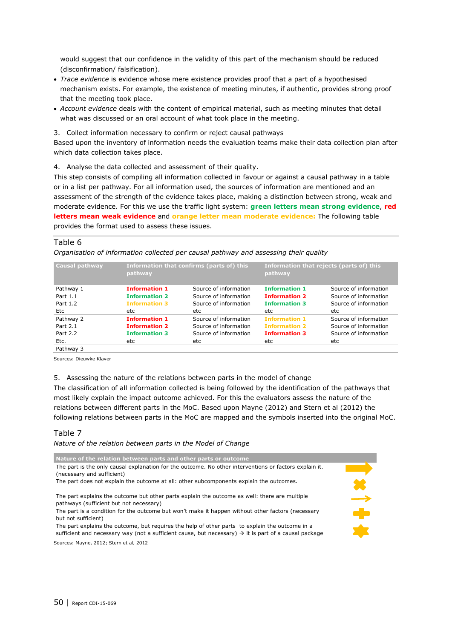would suggest that our confidence in the validity of this part of the mechanism should be reduced (disconfirmation/ falsification).

- *Trace evidence* is evidence whose mere existence provides proof that a part of a hypothesised mechanism exists. For example, the existence of meeting minutes, if authentic, provides strong proof that the meeting took place.
- *Account evidence* deals with the content of empirical material, such as meeting minutes that detail what was discussed or an oral account of what took place in the meeting.

3. Collect information necessary to confirm or reject causal pathways

Based upon the inventory of information needs the evaluation teams make their data collection plan after which data collection takes place.

4. Analyse the data collected and assessment of their quality.

This step consists of compiling all information collected in favour or against a causal pathway in a table or in a list per pathway. For all information used, the sources of information are mentioned and an assessment of the strength of the evidence takes place, making a distinction between strong, weak and moderate evidence. For this we use the traffic light system: **green letters mean strong evidence**, **red letters mean weak evidence** and **orange letter mean moderate evidence:** The following table provides the format used to assess these issues.

#### Table 6

*Organisation of information collected per causal pathway and assessing their quality*

| <b>Causal pathway</b> | pathway              | Information that confirms (parts of) this | pathway              | Information that rejects (parts of) this |
|-----------------------|----------------------|-------------------------------------------|----------------------|------------------------------------------|
| Pathway 1             | <b>Information 1</b> | Source of information                     | <b>Information 1</b> | Source of information                    |
| Part 1.1              | <b>Information 2</b> | Source of information                     | <b>Information 2</b> | Source of information                    |
| Part 1.2              | <b>Information 3</b> | Source of information                     | <b>Information 3</b> | Source of information                    |
| Etc                   | etc                  | etc                                       | etc                  | etc                                      |
| Pathway 2             | <b>Information 1</b> | Source of information                     | <b>Information 1</b> | Source of information                    |
| Part 2.1              | <b>Information 2</b> | Source of information                     | <b>Information 2</b> | Source of information                    |
| Part 2.2              | <b>Information 3</b> | Source of information                     | <b>Information 3</b> | Source of information                    |
| Etc.                  | etc                  | etc                                       | etc                  | etc                                      |
| Pathway 3             |                      |                                           |                      |                                          |

Sources: Dieuwke Klaver

5. Assessing the nature of the relations between parts in the model of change

The classification of all information collected is being followed by the identification of the pathways that most likely explain the impact outcome achieved. For this the evaluators assess the nature of the relations between different parts in the MoC. Based upon Mayne (2012) and Stern et al (2012) the following relations between parts in the MoC are mapped and the symbols inserted into the original MoC.

#### Table 7

*Nature of the relation between parts in the Model of Change*

**Nature of the relation between parts and other parts or outcome**  $\frac{1}{x}$ The part is the only causal explanation for the outcome. No other interventions or factors explain it. (necessary and sufficient) The part does not explain the outcome at all: other subcomponents explain the outcomes. The part explains the outcome but other parts explain the outcome as well: there are multiple pathways (sufficient but not necessary) The part is a condition for the outcome but won't make it happen without other factors (necessary but not sufficient) The part explains the outcome, but requires the help of other parts to explain the outcome in a sufficient and necessary way (not a sufficient cause, but necessary)  $\rightarrow$  it is part of a causal package Sources: Mayne, 2012; Stern et al, 2012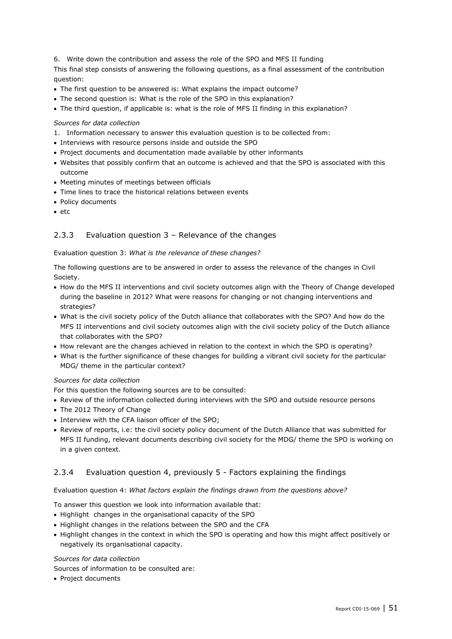6. Write down the contribution and assess the role of the SPO and MFS II funding

This final step consists of answering the following questions, as a final assessment of the contribution question:

- The first question to be answered is: What explains the impact outcome?
- The second question is: What is the role of the SPO in this explanation?
- The third question, if applicable is: what is the role of MFS II finding in this explanation?

#### *Sources for data collection*

- 1. Information necessary to answer this evaluation question is to be collected from:
- Interviews with resource persons inside and outside the SPO
- Project documents and documentation made available by other informants
- Websites that possibly confirm that an outcome is achieved and that the SPO is associated with this outcome
- Meeting minutes of meetings between officials
- Time lines to trace the historical relations between events
- Policy documents
- $e$  etc

#### 2.3.3 Evaluation question 3 – Relevance of the changes

#### Evaluation question 3: *What is the relevance of these changes?*

The following questions are to be answered in order to assess the relevance of the changes in Civil Society.

- How do the MFS II interventions and civil society outcomes align with the Theory of Change developed during the baseline in 2012? What were reasons for changing or not changing interventions and strategies?
- What is the civil society policy of the Dutch alliance that collaborates with the SPO? And how do the MFS II interventions and civil society outcomes align with the civil society policy of the Dutch alliance that collaborates with the SPO?
- How relevant are the changes achieved in relation to the context in which the SPO is operating?
- What is the further significance of these changes for building a vibrant civil society for the particular MDG/ theme in the particular context?

#### *Sources for data collection*

For this question the following sources are to be consulted:

- Review of the information collected during interviews with the SPO and outside resource persons
- The 2012 Theory of Change
- Interview with the CFA liaison officer of the SPO;
- Review of reports, i.e: the civil society policy document of the Dutch Alliance that was submitted for MFS II funding, relevant documents describing civil society for the MDG/ theme the SPO is working on in a given context.

#### 2.3.4 Evaluation question 4, previously 5 - Factors explaining the findings

#### Evaluation question 4: *What factors explain the findings drawn from the questions above?*

To answer this question we look into information available that:

- Highlight changes in the organisational capacity of the SPO
- Highlight changes in the relations between the SPO and the CFA
- Highlight changes in the context in which the SPO is operating and how this might affect positively or negatively its organisational capacity.

#### *Sources for data collection*

Sources of information to be consulted are:

• Project documents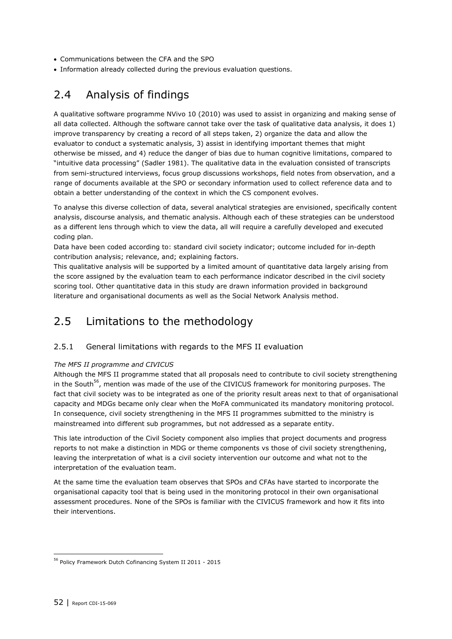- Communications between the CFA and the SPO
- Information already collected during the previous evaluation questions.

## 2.4 Analysis of findings

A qualitative software programme NVivo 10 (2010) was used to assist in organizing and making sense of all data collected. Although the software cannot take over the task of qualitative data analysis, it does 1) improve transparency by creating a record of all steps taken, 2) organize the data and allow the evaluator to conduct a systematic analysis, 3) assist in identifying important themes that might otherwise be missed, and 4) reduce the danger of bias due to human cognitive limitations, compared to "intuitive data processing" (Sadler 1981). The qualitative data in the evaluation consisted of transcripts from semi-structured interviews, focus group discussions workshops, field notes from observation, and a range of documents available at the SPO or secondary information used to collect reference data and to obtain a better understanding of the context in which the CS component evolves.

To analyse this diverse collection of data, several analytical strategies are envisioned, specifically content analysis, discourse analysis, and thematic analysis. Although each of these strategies can be understood as a different lens through which to view the data, all will require a carefully developed and executed coding plan.

Data have been coded according to: standard civil society indicator; outcome included for in-depth contribution analysis; relevance, and; explaining factors.

This qualitative analysis will be supported by a limited amount of quantitative data largely arising from the score assigned by the evaluation team to each performance indicator described in the civil society scoring tool. Other quantitative data in this study are drawn information provided in background literature and organisational documents as well as the Social Network Analysis method.

## 2.5 Limitations to the methodology

#### 2.5.1 General limitations with regards to the MFS II evaluation

#### *The MFS II programme and CIVICUS*

Although the MFS II programme stated that all proposals need to contribute to civil society strengthening in the South<sup>56</sup>, mention was made of the use of the CIVICUS framework for monitoring purposes. The fact that civil society was to be integrated as one of the priority result areas next to that of organisational capacity and MDGs became only clear when the MoFA communicated its mandatory monitoring protocol. In consequence, civil society strengthening in the MFS II programmes submitted to the ministry is mainstreamed into different sub programmes, but not addressed as a separate entity.

This late introduction of the Civil Society component also implies that project documents and progress reports to not make a distinction in MDG or theme components vs those of civil society strengthening, leaving the interpretation of what is a civil society intervention our outcome and what not to the interpretation of the evaluation team.

At the same time the evaluation team observes that SPOs and CFAs have started to incorporate the organisational capacity tool that is being used in the monitoring protocol in their own organisational assessment procedures. None of the SPOs is familiar with the CIVICUS framework and how it fits into their interventions.

<sup>56</sup> Policy Framework Dutch Cofinancing System II 2011 - 2015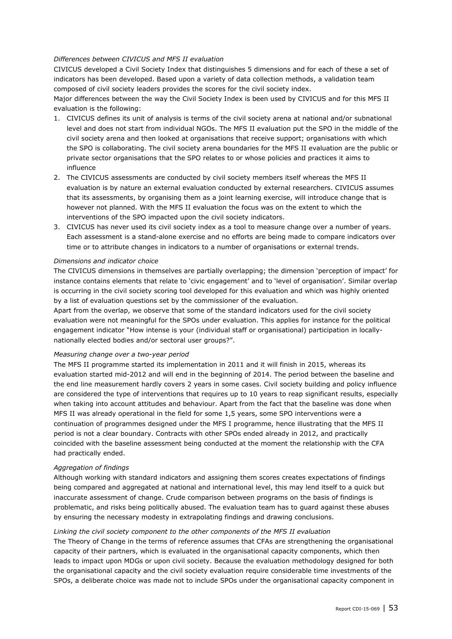#### *Differences between CIVICUS and MFS II evaluation*

CIVICUS developed a Civil Society Index that distinguishes 5 dimensions and for each of these a set of indicators has been developed. Based upon a variety of data collection methods, a validation team composed of civil society leaders provides the scores for the civil society index.

Major differences between the way the Civil Society Index is been used by CIVICUS and for this MFS II evaluation is the following:

- 1. CIVICUS defines its unit of analysis is terms of the civil society arena at national and/or subnational level and does not start from individual NGOs. The MFS II evaluation put the SPO in the middle of the civil society arena and then looked at organisations that receive support; organisations with which the SPO is collaborating. The civil society arena boundaries for the MFS II evaluation are the public or private sector organisations that the SPO relates to or whose policies and practices it aims to influence
- 2. The CIVICUS assessments are conducted by civil society members itself whereas the MFS II evaluation is by nature an external evaluation conducted by external researchers. CIVICUS assumes that its assessments, by organising them as a joint learning exercise, will introduce change that is however not planned. With the MFS II evaluation the focus was on the extent to which the interventions of the SPO impacted upon the civil society indicators.
- 3. CIVICUS has never used its civil society index as a tool to measure change over a number of years. Each assessment is a stand-alone exercise and no efforts are being made to compare indicators over time or to attribute changes in indicators to a number of organisations or external trends.

#### *Dimensions and indicator choice*

The CIVICUS dimensions in themselves are partially overlapping; the dimension 'perception of impact' for instance contains elements that relate to 'civic engagement' and to 'level of organisation'. Similar overlap is occurring in the civil society scoring tool developed for this evaluation and which was highly oriented by a list of evaluation questions set by the commissioner of the evaluation.

Apart from the overlap, we observe that some of the standard indicators used for the civil society evaluation were not meaningful for the SPOs under evaluation. This applies for instance for the political engagement indicator "How intense is your (individual staff or organisational) participation in locallynationally elected bodies and/or sectoral user groups?".

#### *Measuring change over a two-year period*

The MFS II programme started its implementation in 2011 and it will finish in 2015, whereas its evaluation started mid-2012 and will end in the beginning of 2014. The period between the baseline and the end line measurement hardly covers 2 years in some cases. Civil society building and policy influence are considered the type of interventions that requires up to 10 years to reap significant results, especially when taking into account attitudes and behaviour. Apart from the fact that the baseline was done when MFS II was already operational in the field for some 1,5 years, some SPO interventions were a continuation of programmes designed under the MFS I programme, hence illustrating that the MFS II period is not a clear boundary. Contracts with other SPOs ended already in 2012, and practically coincided with the baseline assessment being conducted at the moment the relationship with the CFA had practically ended.

#### *Aggregation of findings*

Although working with standard indicators and assigning them scores creates expectations of findings being compared and aggregated at national and international level, this may lend itself to a quick but inaccurate assessment of change. Crude comparison between programs on the basis of findings is problematic, and risks being politically abused. The evaluation team has to guard against these abuses by ensuring the necessary modesty in extrapolating findings and drawing conclusions.

#### *Linking the civil society component to the other components of the MFS II evaluation*

The Theory of Change in the terms of reference assumes that CFAs are strengthening the organisational capacity of their partners, which is evaluated in the organisational capacity components, which then leads to impact upon MDGs or upon civil society. Because the evaluation methodology designed for both the organisational capacity and the civil society evaluation require considerable time investments of the SPOs, a deliberate choice was made not to include SPOs under the organisational capacity component in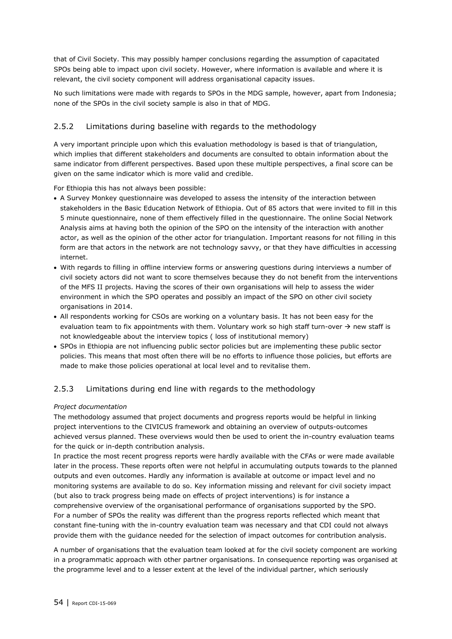that of Civil Society. This may possibly hamper conclusions regarding the assumption of capacitated SPOs being able to impact upon civil society. However, where information is available and where it is relevant, the civil society component will address organisational capacity issues.

No such limitations were made with regards to SPOs in the MDG sample, however, apart from Indonesia; none of the SPOs in the civil society sample is also in that of MDG.

#### 2.5.2 Limitations during baseline with regards to the methodology

A very important principle upon which this evaluation methodology is based is that of triangulation, which implies that different stakeholders and documents are consulted to obtain information about the same indicator from different perspectives. Based upon these multiple perspectives, a final score can be given on the same indicator which is more valid and credible.

For Ethiopia this has not always been possible:

- A Survey Monkey questionnaire was developed to assess the intensity of the interaction between stakeholders in the Basic Education Network of Ethiopia. Out of 85 actors that were invited to fill in this 5 minute questionnaire, none of them effectively filled in the questionnaire. The online Social Network Analysis aims at having both the opinion of the SPO on the intensity of the interaction with another actor, as well as the opinion of the other actor for triangulation. Important reasons for not filling in this form are that actors in the network are not technology savvy, or that they have difficulties in accessing internet.
- With regards to filling in offline interview forms or answering questions during interviews a number of civil society actors did not want to score themselves because they do not benefit from the interventions of the MFS II projects. Having the scores of their own organisations will help to assess the wider environment in which the SPO operates and possibly an impact of the SPO on other civil society organisations in 2014.
- All respondents working for CSOs are working on a voluntary basis. It has not been easy for the evaluation team to fix appointments with them. Voluntary work so high staff turn-over  $\rightarrow$  new staff is not knowledgeable about the interview topics ( loss of institutional memory)
- SPOs in Ethiopia are not influencing public sector policies but are implementing these public sector policies. This means that most often there will be no efforts to influence those policies, but efforts are made to make those policies operational at local level and to revitalise them.

#### 2.5.3 Limitations during end line with regards to the methodology

#### *Project documentation*

The methodology assumed that project documents and progress reports would be helpful in linking project interventions to the CIVICUS framework and obtaining an overview of outputs-outcomes achieved versus planned. These overviews would then be used to orient the in-country evaluation teams for the quick or in-depth contribution analysis.

In practice the most recent progress reports were hardly available with the CFAs or were made available later in the process. These reports often were not helpful in accumulating outputs towards to the planned outputs and even outcomes. Hardly any information is available at outcome or impact level and no monitoring systems are available to do so. Key information missing and relevant for civil society impact (but also to track progress being made on effects of project interventions) is for instance a comprehensive overview of the organisational performance of organisations supported by the SPO. For a number of SPOs the reality was different than the progress reports reflected which meant that constant fine-tuning with the in-country evaluation team was necessary and that CDI could not always provide them with the guidance needed for the selection of impact outcomes for contribution analysis.

A number of organisations that the evaluation team looked at for the civil society component are working in a programmatic approach with other partner organisations. In consequence reporting was organised at the programme level and to a lesser extent at the level of the individual partner, which seriously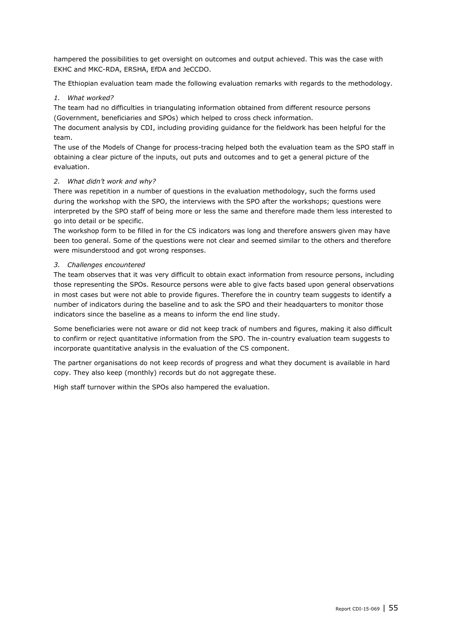hampered the possibilities to get oversight on outcomes and output achieved. This was the case with EKHC and MKC-RDA, ERSHA, EfDA and JeCCDO.

The Ethiopian evaluation team made the following evaluation remarks with regards to the methodology.

#### *1. What worked?*

The team had no difficulties in triangulating information obtained from different resource persons (Government, beneficiaries and SPOs) which helped to cross check information.

The document analysis by CDI, including providing guidance for the fieldwork has been helpful for the team.

The use of the Models of Change for process-tracing helped both the evaluation team as the SPO staff in obtaining a clear picture of the inputs, out puts and outcomes and to get a general picture of the evaluation.

#### *2. What didn't work and why?*

There was repetition in a number of questions in the evaluation methodology, such the forms used during the workshop with the SPO, the interviews with the SPO after the workshops; questions were interpreted by the SPO staff of being more or less the same and therefore made them less interested to go into detail or be specific.

The workshop form to be filled in for the CS indicators was long and therefore answers given may have been too general. Some of the questions were not clear and seemed similar to the others and therefore were misunderstood and got wrong responses.

#### *3. Challenges encountered*

The team observes that it was very difficult to obtain exact information from resource persons, including those representing the SPOs. Resource persons were able to give facts based upon general observations in most cases but were not able to provide figures. Therefore the in country team suggests to identify a number of indicators during the baseline and to ask the SPO and their headquarters to monitor those indicators since the baseline as a means to inform the end line study.

Some beneficiaries were not aware or did not keep track of numbers and figures, making it also difficult to confirm or reject quantitative information from the SPO. The in-country evaluation team suggests to incorporate quantitative analysis in the evaluation of the CS component.

The partner organisations do not keep records of progress and what they document is available in hard copy. They also keep (monthly) records but do not aggregate these.

High staff turnover within the SPOs also hampered the evaluation.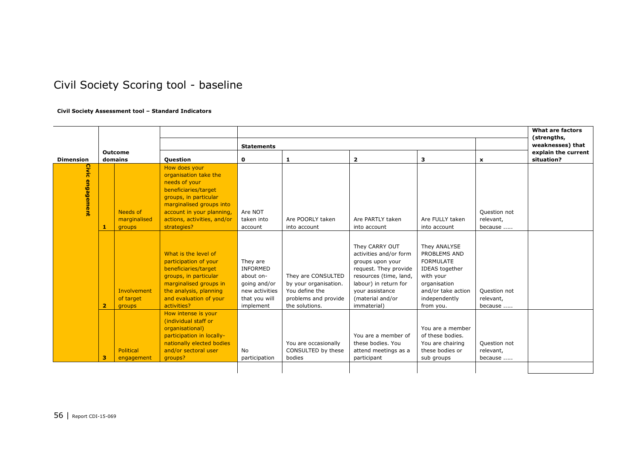## Civil Society Scoring tool - baseline

#### **Civil Society Assessment tool – Standard Indicators**

|                          |                                    |                                                                                                                                                                                                                 |                                                                                                   |                                                                                                         | <b>What are factors</b><br>(strengths,                                                                                                                                                         |                                                                                                                                                     |                                      |                                   |
|--------------------------|------------------------------------|-----------------------------------------------------------------------------------------------------------------------------------------------------------------------------------------------------------------|---------------------------------------------------------------------------------------------------|---------------------------------------------------------------------------------------------------------|------------------------------------------------------------------------------------------------------------------------------------------------------------------------------------------------|-----------------------------------------------------------------------------------------------------------------------------------------------------|--------------------------------------|-----------------------------------|
|                          |                                    |                                                                                                                                                                                                                 | <b>Statements</b>                                                                                 | weaknesses) that                                                                                        |                                                                                                                                                                                                |                                                                                                                                                     |                                      |                                   |
| <b>Dimension</b>         | <b>Outcome</b><br>domains          | <b>Question</b>                                                                                                                                                                                                 | 0                                                                                                 | 1                                                                                                       | $\overline{\mathbf{2}}$                                                                                                                                                                        | з                                                                                                                                                   | x                                    | explain the current<br>situation? |
| Civic<br>engagement<br>1 | Needs of<br>marginalised<br>groups | How does your<br>organisation take the<br>needs of your<br>beneficiaries/target<br>groups, in particular<br>marginalised groups into<br>account in your planning,<br>actions, activities, and/or<br>strategies? | Are NOT<br>taken into<br>account                                                                  | Are POORLY taken<br>into account                                                                        | Are PARTLY taken<br>into account                                                                                                                                                               | Are FULLY taken<br>into account                                                                                                                     | Question not<br>relevant,<br>because |                                   |
| $\overline{\mathbf{2}}$  | Involvement<br>of target<br>groups | What is the level of<br>participation of your<br>beneficiaries/target<br>groups, in particular<br>marginalised groups in<br>the analysis, planning<br>and evaluation of your<br>activities?                     | They are<br>INFORMED<br>about on-<br>going and/or<br>new activities<br>that you will<br>implement | They are CONSULTED<br>by your organisation.<br>You define the<br>problems and provide<br>the solutions. | They CARRY OUT<br>activities and/or form<br>groups upon your<br>request. They provide<br>resources (time, land,<br>labour) in return for<br>your assistance<br>(material and/or<br>immaterial) | They ANALYSE<br>PROBLEMS AND<br><b>FORMULATE</b><br>IDEAS together<br>with your<br>organisation<br>and/or take action<br>independently<br>from you. | Question not<br>relevant,<br>because |                                   |
| з                        | Political<br>engagement            | How intense is your<br>(individual staff or<br>organisational)<br>participation in locally-<br>nationally elected bodies<br>and/or sectoral user<br>groups?                                                     | No<br>participation                                                                               | You are occasionally<br>CONSULTED by these<br>bodies                                                    | You are a member of<br>these bodies. You<br>attend meetings as a<br>participant                                                                                                                | You are a member<br>of these bodies.<br>You are chairing<br>these bodies or<br>sub groups                                                           | Question not<br>relevant,<br>because |                                   |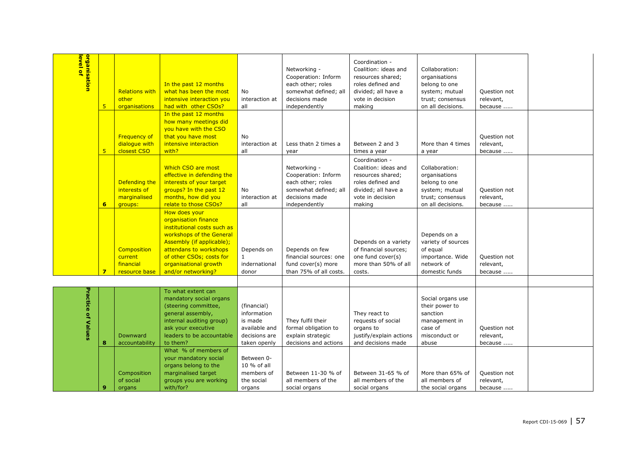| <mark>organisation</mark><br>l <mark>evel of</mark> | 5 <sub>5</sub>          | <b>Relations with</b><br>other<br>organisations             | In the past 12 months<br>what has been the most<br>intensive interaction you<br>had with other CSOs?                                                                                                                               | No<br>interaction at<br>all                                                             | Networking -<br>Cooperation: Inform<br>each other; roles<br>somewhat defined; all<br>decisions made<br>independently | Coordination -<br>Coalition: ideas and<br>resources shared;<br>roles defined and<br>divided; all have a<br>vote in decision<br>making | Collaboration:<br>organisations<br>belong to one<br>system; mutual<br>trust; consensus<br>on all decisions. | Question not<br>relevant,<br>because |  |
|-----------------------------------------------------|-------------------------|-------------------------------------------------------------|------------------------------------------------------------------------------------------------------------------------------------------------------------------------------------------------------------------------------------|-----------------------------------------------------------------------------------------|----------------------------------------------------------------------------------------------------------------------|---------------------------------------------------------------------------------------------------------------------------------------|-------------------------------------------------------------------------------------------------------------|--------------------------------------|--|
|                                                     | 5 <sub>5</sub>          | <b>Frequency of</b><br>dialogue with<br>closest CSO         | In the past 12 months<br>how many meetings did<br>you have with the CSO<br>that you have most<br>intensive interaction<br>with?                                                                                                    | No<br>interaction at<br>all                                                             | Less thatn 2 times a<br>year                                                                                         | Between 2 and 3<br>times a year                                                                                                       | More than 4 times<br>a year                                                                                 | Question not<br>relevant,<br>because |  |
|                                                     | 6                       | Defending the<br>interests of<br>marginalised<br>groups:    | <b>Which CSO are most</b><br>effective in defending the<br>interests of your target<br>groups? In the past 12<br>months, how did you<br>relate to those CSOs?                                                                      | No<br>interaction at<br>all                                                             | Networking -<br>Cooperation: Inform<br>each other; roles<br>somewhat defined; all<br>decisions made<br>independently | Coordination -<br>Coalition: ideas and<br>resources shared;<br>roles defined and<br>divided; all have a<br>vote in decision<br>making | Collaboration:<br>organisations<br>belong to one<br>system; mutual<br>trust; consensus<br>on all decisions. | Question not<br>relevant,<br>because |  |
|                                                     | $\overline{\mathbf{z}}$ | <b>Composition</b><br>current<br>financial<br>resource base | How does your<br>organisation finance<br>institutional costs such as<br>workshops of the General<br>Assembly (if applicable);<br>attendans to workshops<br>of other CSOs; costs for<br>organisational growth<br>and/or networking? | Depends on<br>$\mathbf{1}$<br>indernational<br>donor                                    | Depends on few<br>financial sources: one<br>fund cover(s) more<br>than 75% of all costs.                             | Depends on a variety<br>of financial sources;<br>one fund cover(s)<br>more than 50% of all<br>costs.                                  | Depends on a<br>variety of sources<br>of equal<br>importance. Wide<br>network of<br>domestic funds          | Question not<br>relevant,<br>because |  |
| <b>Practice of Values</b>                           | 8                       | Downward<br>accountability                                  | To what extent can<br>mandatory social organs<br>(steering committee,<br>general assembly,<br>internal auditing group)<br>ask your executive<br>leaders to be accountable<br>to them?                                              | (financial)<br>information<br>is made<br>available and<br>decisions are<br>taken openly | They fulfil their<br>formal obligation to<br>explain strategic<br>decisions and actions                              | They react to<br>requests of social<br>organs to<br>justify/explain actions<br>and decisions made                                     | Social organs use<br>their power to<br>sanction<br>management in<br>case of<br>misconduct or<br>abuse       | Question not<br>relevant,<br>because |  |
|                                                     | $\mathbf{9}$            | Composition<br>of social<br>organs                          | What % of members of<br>your mandatory social<br>organs belong to the<br>marginalised target<br>groups you are working<br>with/for?                                                                                                | Between 0-<br>10 % of all<br>members of<br>the social<br>organs                         | Between 11-30 % of<br>all members of the<br>social organs                                                            | Between 31-65 % of<br>all members of the<br>social organs                                                                             | More than 65% of<br>all members of<br>the social organs                                                     | Question not<br>relevant,<br>because |  |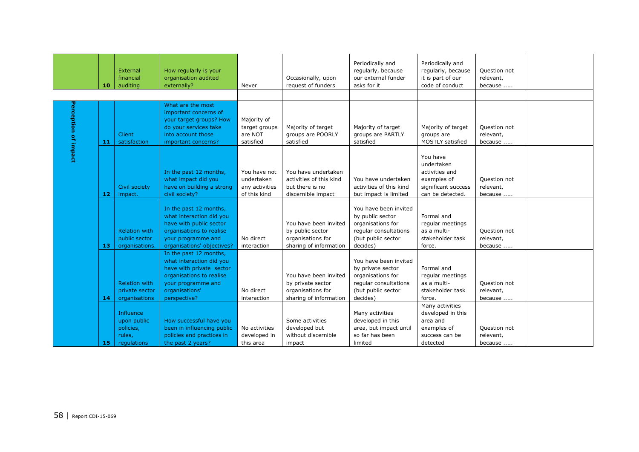|                     | 10  | External<br>financial<br>auditing                              | How regularly is your<br>organisation audited<br>externally?                                                                                                       | Never                                                        | Occasionally, upon<br>request of funders                                                  | Periodically and<br>regularly, because<br>our external funder<br>asks for it                                               | Periodically and<br>regularly, because<br>it is part of our<br>code of conduct                     | Question not<br>relevant,<br>because |  |
|---------------------|-----|----------------------------------------------------------------|--------------------------------------------------------------------------------------------------------------------------------------------------------------------|--------------------------------------------------------------|-------------------------------------------------------------------------------------------|----------------------------------------------------------------------------------------------------------------------------|----------------------------------------------------------------------------------------------------|--------------------------------------|--|
|                     |     |                                                                |                                                                                                                                                                    |                                                              |                                                                                           |                                                                                                                            |                                                                                                    |                                      |  |
| erception of impact | -11 | <b>Client</b><br>satisfaction                                  | What are the most<br>important concerns of<br>your target groups? How<br>do your services take<br>into account those<br>important concerns?                        | Majority of<br>target groups<br>are NOT<br>satisfied         | Majority of target<br>groups are POORLY<br>satisfied                                      | Majority of target<br>groups are PARTLY<br>satisfied                                                                       | Majority of target<br>groups are<br><b>MOSTLY satisfied</b>                                        | Ouestion not<br>relevant,<br>because |  |
|                     | -12 | Civil society<br>impact.                                       | In the past 12 months,<br>what impact did you<br>have on building a strong<br>civil society?                                                                       | You have not<br>undertaken<br>any activities<br>of this kind | You have undertaken<br>activities of this kind<br>but there is no<br>discernible impact   | You have undertaken<br>activities of this kind<br>but impact is limited                                                    | You have<br>undertaken<br>activities and<br>examples of<br>significant success<br>can be detected. | Question not<br>relevant,<br>because |  |
|                     | -13 | <b>Relation with</b><br>public sector<br>organisations.        | In the past 12 months,<br>what interaction did you<br>have with public sector<br>organisations to realise<br>your programme and<br>organisations' objectives?      | No direct<br>interaction                                     | You have been invited<br>by public sector<br>organisations for<br>sharing of information  | You have been invited<br>by public sector<br>organisations for<br>regular consultations<br>(but public sector<br>decides)  | Formal and<br>regular meetings<br>as a multi-<br>stakeholder task<br>force.                        | Question not<br>relevant,<br>because |  |
|                     | -14 | <b>Relation with</b><br>private sector<br>organisations        | In the past 12 months,<br>what interaction did you<br>have with private sector<br>organisations to realise<br>your programme and<br>organisations'<br>perspective? | No direct<br>interaction                                     | You have been invited<br>by private sector<br>organisations for<br>sharing of information | You have been invited<br>by private sector<br>organisations for<br>regular consultations<br>(but public sector<br>decides) | Formal and<br>regular meetings<br>as a multi-<br>stakeholder task<br>force.                        | Question not<br>relevant,<br>because |  |
|                     | 15  | Influence<br>upon public<br>policies,<br>rules,<br>regulations | How successful have you<br>been in influencing public<br>policies and practices in<br>the past 2 years?                                                            | No activities<br>developed in<br>this area                   | Some activities<br>developed but<br>without discernible<br>impact                         | Many activities<br>developed in this<br>area, but impact until<br>so far has been<br>limited                               | Many activities<br>developed in this<br>area and<br>examples of<br>success can be<br>detected      | Question not<br>relevant,<br>because |  |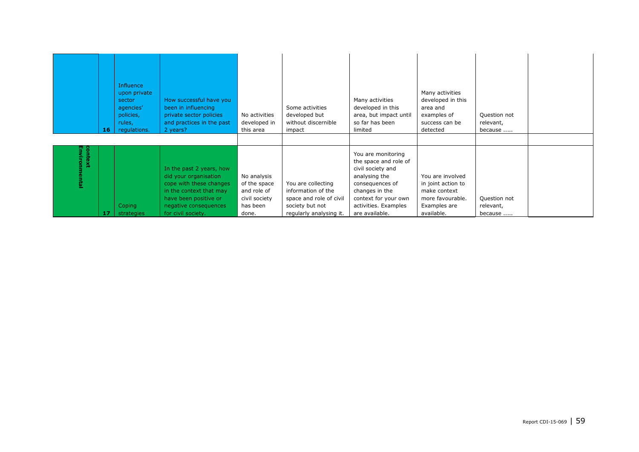|                          | 16 | Influence<br>upon private<br>sector<br>agencies'<br>policies,<br>rules,<br>regulations. | How successful have you<br>been in influencing<br>private sector policies<br>and practices in the past<br>2 years?                                                              | No activities<br>developed in<br>this area                                       | Some activities<br>developed but<br>without discernible<br>impact                                                 | Many activities<br>developed in this<br>area, but impact until<br>so far has been<br>limited                                                                                             | Many activities<br>developed in this<br>area and<br>examples of<br>success can be<br>detected            | Question not<br>relevant,<br>because |  |
|--------------------------|----|-----------------------------------------------------------------------------------------|---------------------------------------------------------------------------------------------------------------------------------------------------------------------------------|----------------------------------------------------------------------------------|-------------------------------------------------------------------------------------------------------------------|------------------------------------------------------------------------------------------------------------------------------------------------------------------------------------------|----------------------------------------------------------------------------------------------------------|--------------------------------------|--|
| context<br>Environmental | 17 | Coping<br>strategies                                                                    | In the past 2 years, how<br>did your organisation<br>cope with these changes<br>in the context that may<br>have been positive or<br>negative consequences<br>for civil society. | No analysis<br>of the space<br>and role of<br>civil society<br>has been<br>done. | You are collecting<br>information of the<br>space and role of civil<br>society but not<br>regularly analysing it. | You are monitoring<br>the space and role of<br>civil society and<br>analysing the<br>consequences of<br>changes in the<br>context for your own<br>activities. Examples<br>are available. | You are involved<br>in joint action to<br>make context<br>more favourable.<br>Examples are<br>available. | Question not<br>relevant,<br>because |  |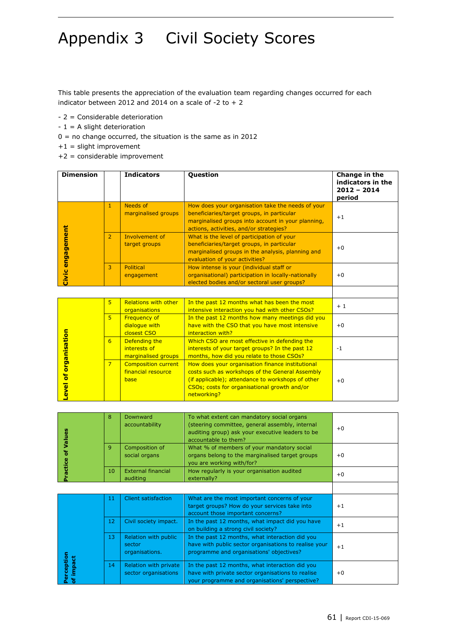## Appendix 3 Civil Society Scores

This table presents the appreciation of the evaluation team regarding changes occurred for each indicator between 2012 and 2014 on a scale of  $-2$  to  $+2$ 

- 2 = Considerable deterioration
- $-1 = A$  slight deterioration
- $0 =$  no change occurred, the situation is the same as in 2012
- +1 = slight improvement
- +2 = considerable improvement

| <b>Dimension</b>     |                | <b>Indicators</b>                                        | Question                                                                                                                                                                                                                | Change in the<br>indicators in the<br>$2012 - 2014$<br>period |
|----------------------|----------------|----------------------------------------------------------|-------------------------------------------------------------------------------------------------------------------------------------------------------------------------------------------------------------------------|---------------------------------------------------------------|
|                      | $\mathbf{1}$   | Needs of<br>marginalised groups                          | How does your organisation take the needs of your<br>beneficiaries/target groups, in particular<br>marginalised groups into account in your planning,<br>actions, activities, and/or strategies?                        | $+1$                                                          |
| Civic engagement     | $\overline{2}$ | Involvement of<br>target groups                          | What is the level of participation of your<br>beneficiaries/target groups, in particular<br>marginalised groups in the analysis, planning and<br>evaluation of your activities?                                         | $+0$                                                          |
|                      | $\overline{3}$ | Political<br>engagement                                  | How intense is your (individual staff or<br>organisational) participation in locally-nationally<br>elected bodies and/or sectoral user groups?                                                                          | $+0$                                                          |
|                      |                |                                                          |                                                                                                                                                                                                                         |                                                               |
|                      | 5 <sup>1</sup> | <b>Relations with other</b><br>organisations             | In the past 12 months what has been the most<br>intensive interaction you had with other CSOs?                                                                                                                          | $+1$                                                          |
|                      | 5 <sup>5</sup> | <b>Frequency of</b><br>dialogue with<br>closest CSO      | In the past 12 months how many meetings did you<br>have with the CSO that you have most intensive<br>interaction with?                                                                                                  | $+0$                                                          |
|                      | 6              | Defending the<br>interests of<br>marginalised groups     | Which CSO are most effective in defending the<br>interests of your target groups? In the past 12<br>months, how did you relate to those CSOs?                                                                           | $-1$                                                          |
| evel of organisation | $\overline{7}$ | <b>Composition current</b><br>financial resource<br>base | How does your organisation finance institutional<br>costs such as workshops of the General Assembly<br>(if applicable); attendance to workshops of other<br>CSOs; costs for organisational growth and/or<br>networking? | $+0$                                                          |

| alues   | 8  | Downward<br>accountability            | To what extent can mandatory social organs<br>(steering committee, general assembly, internal<br>auditing group) ask your executive leaders to be<br>accountable to them? | $+0$ |
|---------|----|---------------------------------------|---------------------------------------------------------------------------------------------------------------------------------------------------------------------------|------|
| ៉ិ      | 9  | Composition of<br>social organs       | What % of members of your mandatory social<br>organs belong to the marginalised target groups<br>you are working with/for?                                                | $+0$ |
| ractice | 10 | <b>External financial</b><br>auditing | How regularly is your organisation audited<br>externally?                                                                                                                 | $+0$ |
|         |    |                                       |                                                                                                                                                                           |      |
|         | 11 | <b>Client satisfaction</b>            | What are the most important concerns of your                                                                                                                              |      |

|                   | 11 | <b>Client satisfaction</b>                       | What are the most important concerns of your<br>target groups? How do your services take into<br>account those important concerns?                     | $+1$ |
|-------------------|----|--------------------------------------------------|--------------------------------------------------------------------------------------------------------------------------------------------------------|------|
|                   | 12 | Civil society impact.                            | In the past 12 months, what impact did you have<br>on building a strong civil society?                                                                 | $+1$ |
|                   | 13 | Relation with public<br>sector<br>organisations. | In the past 12 months, what interaction did you<br>have with public sector organisations to realise your<br>programme and organisations' objectives?   | $+1$ |
| ception<br>impact | 14 | Relation with private<br>sector organisations    | In the past 12 months, what interaction did you<br>have with private sector organisations to realise<br>your programme and organisations' perspective? | $+0$ |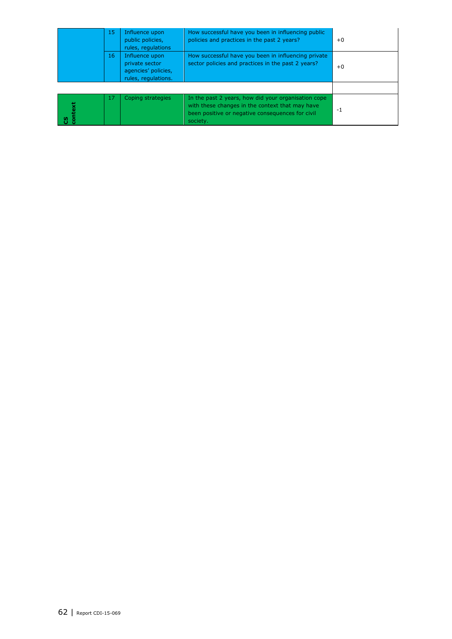|       | 15 | Influence upon<br>public policies,<br>rules, regulations                       | How successful have you been in influencing public<br>policies and practices in the past 2 years?                                                                      | $+0$ |
|-------|----|--------------------------------------------------------------------------------|------------------------------------------------------------------------------------------------------------------------------------------------------------------------|------|
|       | 16 | Influence upon<br>private sector<br>agencies' policies,<br>rules, regulations. | How successful have you been in influencing private<br>sector policies and practices in the past 2 years?                                                              | $+0$ |
|       |    |                                                                                |                                                                                                                                                                        |      |
| ntext | 17 | Coping strategies                                                              | In the past 2 years, how did your organisation cope<br>with these changes in the context that may have<br>been positive or negative consequences for civil<br>society. | -1   |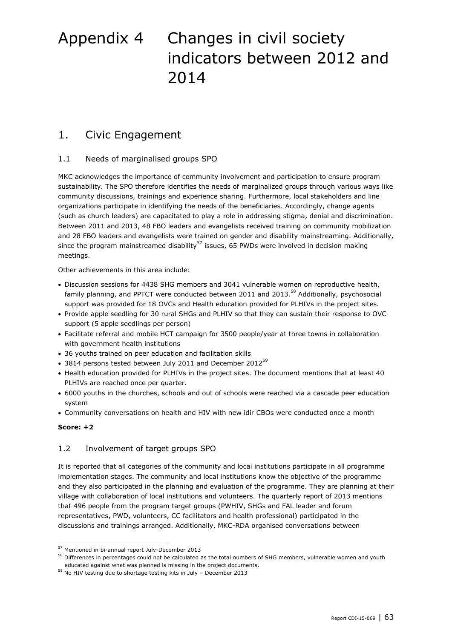## <span id="page-62-0"></span>Appendix 4 Changes in civil society indicators between 2012 and 2014

### <span id="page-62-1"></span>1. Civic Engagement

#### 1.1 Needs of marginalised groups SPO

MKC acknowledges the importance of community involvement and participation to ensure program sustainability. The SPO therefore identifies the needs of marginalized groups through various ways like community discussions, trainings and experience sharing. Furthermore, local stakeholders and line organizations participate in identifying the needs of the beneficiaries. Accordingly, change agents (such as church leaders) are capacitated to play a role in addressing stigma, denial and discrimination. Between 2011 and 2013, 48 FBO leaders and evangelists received training on community mobilization and 28 FBO leaders and evangelists were trained on gender and disability mainstreaming. Additionally, since the program mainstreamed disability<sup>57</sup> issues, 65 PWDs were involved in decision making meetings.

Other achievements in this area include:

- Discussion sessions for 4438 SHG members and 3041 vulnerable women on reproductive health, family planning, and PPTCT were conducted between 2011 and 2013.<sup>58</sup> Additionally, psychosocial support was provided for 18 OVCs and Health education provided for PLHIVs in the project sites.
- Provide apple seedling for 30 rural SHGs and PLHIV so that they can sustain their response to OVC support (5 apple seedlings per person)
- Facilitate referral and mobile HCT campaign for 3500 people/year at three towns in collaboration with government health institutions
- 36 youths trained on peer education and facilitation skills
- $\bullet$  3814 persons tested between July 2011 and December 2012<sup>59</sup>
- Health education provided for PLHIVs in the project sites. The document mentions that at least 40 PLHIVs are reached once per quarter.
- 6000 youths in the churches, schools and out of schools were reached via a cascade peer education system
- Community conversations on health and HIV with new idir CBOs were conducted once a month

#### **Score: +2**

ł

#### 1.2 Involvement of target groups SPO

It is reported that all categories of the community and local institutions participate in all programme implementation stages. The community and local institutions know the objective of the programme and they also participated in the planning and evaluation of the programme. They are planning at their village with collaboration of local institutions and volunteers. The quarterly report of 2013 mentions that 496 people from the program target groups (PWHIV, SHGs and FAL leader and forum representatives, PWD, volunteers, CC facilitators and health professional) participated in the discussions and trainings arranged. Additionally, MKC-RDA organised conversations between

<sup>57</sup> Mentioned in bi-annual report July-December 2013

 $58$  Differences in percentages could not be calculated as the total numbers of SHG members, vulnerable women and youth educated against what was planned is missing in the project documents.

<sup>59</sup> No HIV testing due to shortage testing kits in July – December 2013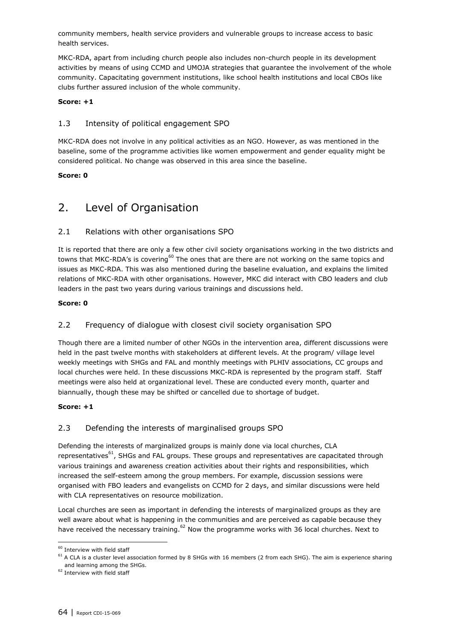community members, health service providers and vulnerable groups to increase access to basic health services.

MKC-RDA, apart from including church people also includes non-church people in its development activities by means of using CCMD and UMOJA strategies that guarantee the involvement of the whole community. Capacitating government institutions, like school health institutions and local CBOs like clubs further assured inclusion of the whole community.

#### **Score: +1**

#### 1.3 Intensity of political engagement SPO

MKC-RDA does not involve in any political activities as an NGO. However, as was mentioned in the baseline, some of the programme activities like women empowerment and gender equality might be considered political. No change was observed in this area since the baseline.

#### <span id="page-63-0"></span>**Score: 0**

### 2. Level of Organisation

#### 2.1 Relations with other organisations SPO

It is reported that there are only a few other civil society organisations working in the two districts and towns that MKC-RDA's is covering<sup>60</sup> The ones that are there are not working on the same topics and issues as MKC-RDA. This was also mentioned during the baseline evaluation, and explains the limited relations of MKC-RDA with other organisations. However, MKC did interact with CBO leaders and club leaders in the past two years during various trainings and discussions held.

#### **Score: 0**

#### 2.2 Frequency of dialogue with closest civil society organisation SPO

Though there are a limited number of other NGOs in the intervention area, different discussions were held in the past twelve months with stakeholders at different levels. At the program/ village level weekly meetings with SHGs and FAL and monthly meetings with PLHIV associations, CC groups and local churches were held. In these discussions MKC-RDA is represented by the program staff. Staff meetings were also held at organizational level. These are conducted every month, quarter and biannually, though these may be shifted or cancelled due to shortage of budget.

#### **Score: +1**

#### 2.3 Defending the interests of marginalised groups SPO

Defending the interests of marginalized groups is mainly done via local churches, CLA representatives<sup>61</sup>, SHGs and FAL groups. These groups and representatives are capacitated through various trainings and awareness creation activities about their rights and responsibilities, which increased the self-esteem among the group members. For example, discussion sessions were organised with FBO leaders and evangelists on CCMD for 2 days, and similar discussions were held with CLA representatives on resource mobilization.

Local churches are seen as important in defending the interests of marginalized groups as they are well aware about what is happening in the communities and are perceived as capable because they have received the necessary training.<sup>62</sup> Now the programme works with 36 local churches. Next to

ł

 $^{60}$  Interview with field staff

<sup>&</sup>lt;sup>61</sup> A CLA is a cluster level association formed by 8 SHGs with 16 members (2 from each SHG). The aim is experience sharing and learning among the SHGs.

<sup>&</sup>lt;sup>62</sup> Interview with field staff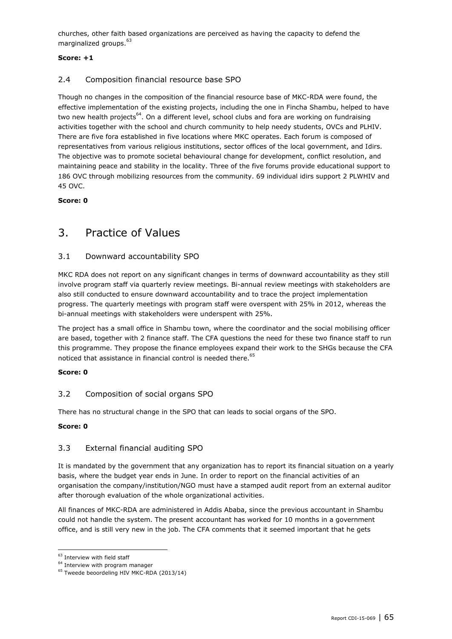churches, other faith based organizations are perceived as having the capacity to defend the marginalized groups.<sup>63</sup>

#### **Score: +1**

#### 2.4 Composition financial resource base SPO

Though no changes in the composition of the financial resource base of MKC-RDA were found, the effective implementation of the existing projects, including the one in Fincha Shambu, helped to have two new health projects<sup>64</sup>. On a different level, school clubs and fora are working on fundraising activities together with the school and church community to help needy students, OVCs and PLHIV. There are five fora established in five locations where MKC operates. Each forum is composed of representatives from various religious institutions, sector offices of the local government, and Idirs. The objective was to promote societal behavioural change for development, conflict resolution, and maintaining peace and stability in the locality. Three of the five forums provide educational support to 186 OVC through mobilizing resources from the community. 69 individual idirs support 2 PLWHIV and 45 OVC.

#### <span id="page-64-0"></span>**Score: 0**

### 3. Practice of Values

#### 3.1 Downward accountability SPO

MKC RDA does not report on any significant changes in terms of downward accountability as they still involve program staff via quarterly review meetings. Bi-annual review meetings with stakeholders are also still conducted to ensure downward accountability and to trace the project implementation progress. The quarterly meetings with program staff were overspent with 25% in 2012, whereas the bi-annual meetings with stakeholders were underspent with 25%.

The project has a small office in Shambu town, where the coordinator and the social mobilising officer are based, together with 2 finance staff. The CFA questions the need for these two finance staff to run this programme. They propose the finance employees expand their work to the SHGs because the CFA noticed that assistance in financial control is needed there. $^{65}$ 

#### **Score: 0**

#### 3.2 Composition of social organs SPO

There has no structural change in the SPO that can leads to social organs of the SPO.

#### **Score: 0**

#### 3.3 External financial auditing SPO

It is mandated by the government that any organization has to report its financial situation on a yearly basis, where the budget year ends in June. In order to report on the financial activities of an organisation the company/institution/NGO must have a stamped audit report from an external auditor after thorough evaluation of the whole organizational activities.

All finances of MKC-RDA are administered in Addis Ababa, since the previous accountant in Shambu could not handle the system. The present accountant has worked for 10 months in a government office, and is still very new in the job. The CFA comments that it seemed important that he gets

 $^{63}$  Interview with field staff

<sup>&</sup>lt;sup>64</sup> Interview with program manager

<sup>&</sup>lt;sup>65</sup> Tweede beoordeling HIV MKC-RDA (2013/14)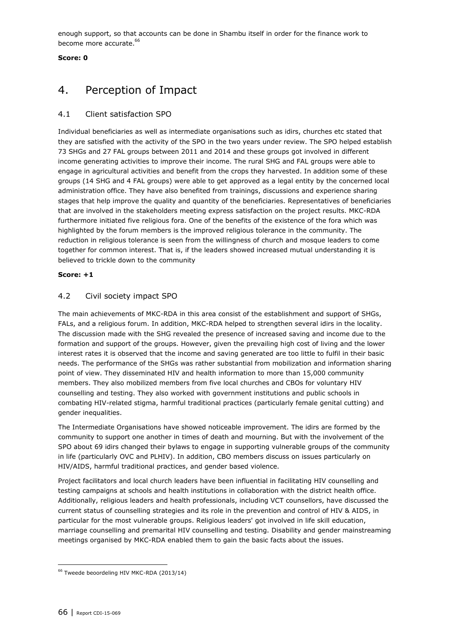enough support, so that accounts can be done in Shambu itself in order for the finance work to become more accurate.<sup>66</sup>

#### <span id="page-65-0"></span>**Score: 0**

### 4. Perception of Impact

#### 4.1 Client satisfaction SPO

Individual beneficiaries as well as intermediate organisations such as idirs, churches etc stated that they are satisfied with the activity of the SPO in the two years under review. The SPO helped establish 73 SHGs and 27 FAL groups between 2011 and 2014 and these groups got involved in different income generating activities to improve their income. The rural SHG and FAL groups were able to engage in agricultural activities and benefit from the crops they harvested. In addition some of these groups (14 SHG and 4 FAL groups) were able to get approved as a legal entity by the concerned local administration office. They have also benefited from trainings, discussions and experience sharing stages that help improve the quality and quantity of the beneficiaries. Representatives of beneficiaries that are involved in the stakeholders meeting express satisfaction on the project results. MKC-RDA furthermore initiated five religious fora. One of the benefits of the existence of the fora which was highlighted by the forum members is the improved religious tolerance in the community. The reduction in religious tolerance is seen from the willingness of church and mosque leaders to come together for common interest. That is, if the leaders showed increased mutual understanding it is believed to trickle down to the community

#### **Score: +1**

#### 4.2 Civil society impact SPO

The main achievements of MKC-RDA in this area consist of the establishment and support of SHGs, FALs, and a religious forum. In addition, MKC-RDA helped to strengthen several idirs in the locality. The discussion made with the SHG revealed the presence of increased saving and income due to the formation and support of the groups. However, given the prevailing high cost of living and the lower interest rates it is observed that the income and saving generated are too little to fulfil in their basic needs. The performance of the SHGs was rather substantial from mobilization and information sharing point of view. They disseminated HIV and health information to more than 15,000 community members. They also mobilized members from five local churches and CBOs for voluntary HIV counselling and testing. They also worked with government institutions and public schools in combating HIV-related stigma, harmful traditional practices (particularly female genital cutting) and gender inequalities.

The Intermediate Organisations have showed noticeable improvement. The idirs are formed by the community to support one another in times of death and mourning. But with the involvement of the SPO about 69 idirs changed their bylaws to engage in supporting vulnerable groups of the community in life (particularly OVC and PLHIV). In addition, CBO members discuss on issues particularly on HIV/AIDS, harmful traditional practices, and gender based violence.

Project facilitators and local church leaders have been influential in facilitating HIV counselling and testing campaigns at schools and health institutions in collaboration with the district health office. Additionally, religious leaders and health professionals, including VCT counsellors, have discussed the current status of counselling strategies and its role in the prevention and control of HIV & AIDS, in particular for the most vulnerable groups. Religious leaders' got involved in life skill education, marriage counselling and premarital HIV counselling and testing. Disability and gender mainstreaming meetings organised by MKC-RDA enabled them to gain the basic facts about the issues.

ł

<sup>66</sup> Tweede beoordeling HIV MKC-RDA (2013/14)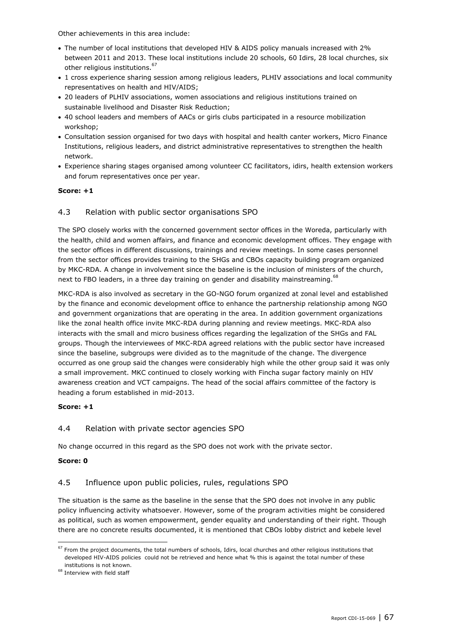Other achievements in this area include:

- The number of local institutions that developed HIV & AIDS policy manuals increased with 2% between 2011 and 2013. These local institutions include 20 schools, 60 Idirs, 28 local churches, six other religious institutions.<sup>67</sup>
- 1 cross experience sharing session among religious leaders, PLHIV associations and local community representatives on health and HIV/AIDS;
- 20 leaders of PLHIV associations, women associations and religious institutions trained on sustainable livelihood and Disaster Risk Reduction;
- 40 school leaders and members of AACs or girls clubs participated in a resource mobilization workshop;
- Consultation session organised for two days with hospital and health canter workers, Micro Finance Institutions, religious leaders, and district administrative representatives to strengthen the health network.
- Experience sharing stages organised among volunteer CC facilitators, idirs, health extension workers and forum representatives once per year.

#### **Score: +1**

#### 4.3 Relation with public sector organisations SPO

The SPO closely works with the concerned government sector offices in the Woreda, particularly with the health, child and women affairs, and finance and economic development offices. They engage with the sector offices in different discussions, trainings and review meetings. In some cases personnel from the sector offices provides training to the SHGs and CBOs capacity building program organized by MKC-RDA. A change in involvement since the baseline is the inclusion of ministers of the church, next to FBO leaders, in a three day training on gender and disability mainstreaming.  $^{68}$ 

MKC-RDA is also involved as secretary in the GO-NGO forum organized at zonal level and established by the finance and economic development office to enhance the partnership relationship among NGO and government organizations that are operating in the area. In addition government organizations like the zonal health office invite MKC-RDA during planning and review meetings. MKC-RDA also interacts with the small and micro business offices regarding the legalization of the SHGs and FAL groups. Though the interviewees of MKC-RDA agreed relations with the public sector have increased since the baseline, subgroups were divided as to the magnitude of the change. The divergence occurred as one group said the changes were considerably high while the other group said it was only a small improvement. MKC continued to closely working with Fincha sugar factory mainly on HIV awareness creation and VCT campaigns. The head of the social affairs committee of the factory is heading a forum established in mid-2013.

#### **Score: +1**

#### 4.4 Relation with private sector agencies SPO

No change occurred in this regard as the SPO does not work with the private sector.

#### **Score: 0**

ł

#### 4.5 Influence upon public policies, rules, regulations SPO

The situation is the same as the baseline in the sense that the SPO does not involve in any public policy influencing activity whatsoever. However, some of the program activities might be considered as political, such as women empowerment, gender equality and understanding of their right. Though there are no concrete results documented, it is mentioned that CBOs lobby district and kebele level

 $67$  From the project documents, the total numbers of schools, Idirs, local churches and other religious institutions that developed HIV-AIDS policies could not be retrieved and hence what % this is against the total number of these institutions is not known.

 $^{68}$  Interview with field staff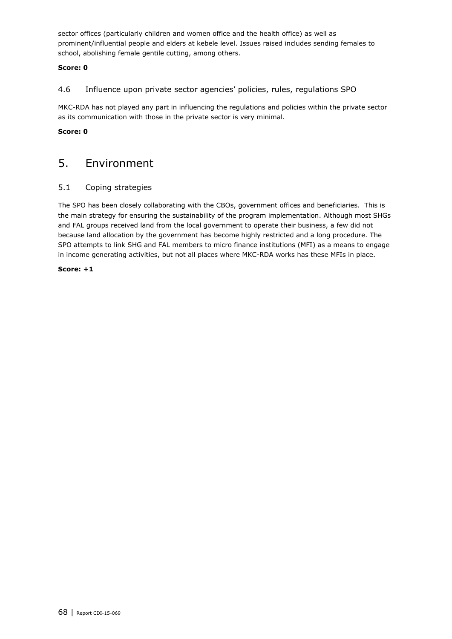sector offices (particularly children and women office and the health office) as well as prominent/influential people and elders at kebele level. Issues raised includes sending females to school, abolishing female gentile cutting, among others.

#### **Score: 0**

#### 4.6 Influence upon private sector agencies' policies, rules, regulations SPO

MKC-RDA has not played any part in influencing the regulations and policies within the private sector as its communication with those in the private sector is very minimal.

#### <span id="page-67-0"></span>**Score: 0**

### 5. Environment

#### 5.1 Coping strategies

The SPO has been closely collaborating with the CBOs, government offices and beneficiaries. This is the main strategy for ensuring the sustainability of the program implementation. Although most SHGs and FAL groups received land from the local government to operate their business, a few did not because land allocation by the government has become highly restricted and a long procedure. The SPO attempts to link SHG and FAL members to micro finance institutions (MFI) as a means to engage in income generating activities, but not all places where MKC-RDA works has these MFIs in place.

#### **Score: +1**